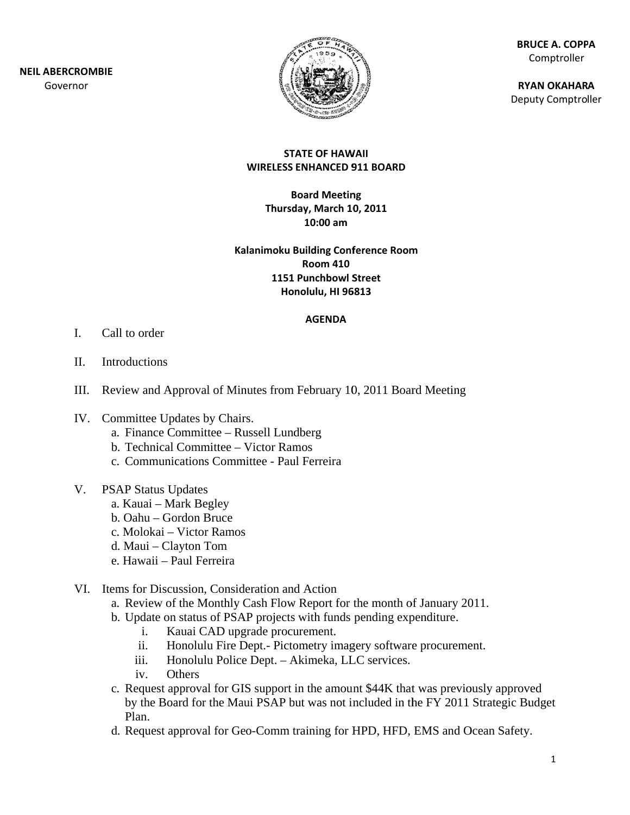

**BR RUCE A. COPP PA** Comptroller

**RY YAN OKAHAR A** Deputy Comptroller

### **ST TATE OF HAW WAII WIRELESS ENHANCED 9 911 BOARD**

**B Board Meetin ng Thursd day, March 10 0, 2011 10:00 am**

### **Kalanimoku B Building Conf ference Room m1151 Punchbowl S Street Ho nolulu, HI 96 6813 Room 410**

### **AGENDA**

- I. Call to order
- II. Introductions
- III. Review and Approval of Minutes from February 10, 2011 Board Meeting
- IV. Committee Updates by Chairs.
	- a. Finance Committee Russell Lundberg
	- b. Technical Committee Victor Ramos
	- c. Communications Committee Paul Ferreira
- V. PSAP Status Updates
	- a. Kauai Mark Begley
	- b. Oahu Gordon Bruce
	- c. Molokai Victor Ramos
	- d. Maui Clayton Tom
	- e. . Hawaii P Paul Ferreira
- VI. Items for Discussion, Consideration and Action
	- a. Review of the Monthly Cash Flow Report for the month of January 2011.
	- b . Update on status of PS SAP projects s with funds pending exp penditure.
		- i. Kauai CAD upgrade procurement.
		- ii. Honolulu Fire Dept.- Pictometry imagery software procurement.
		- iii. Honolulu Police Dept. Akimeka, LLC services.
		- $iv.$ Others
	- c. Request approval for GIS support in the amount \$44K that was previously approved by the Board for the Maui PSAP but was not included in the FY 2011 Strategic Budget Plan.
	- d. Request approval for Geo-Comm training for HPD, HFD, EMS and Ocean Safety.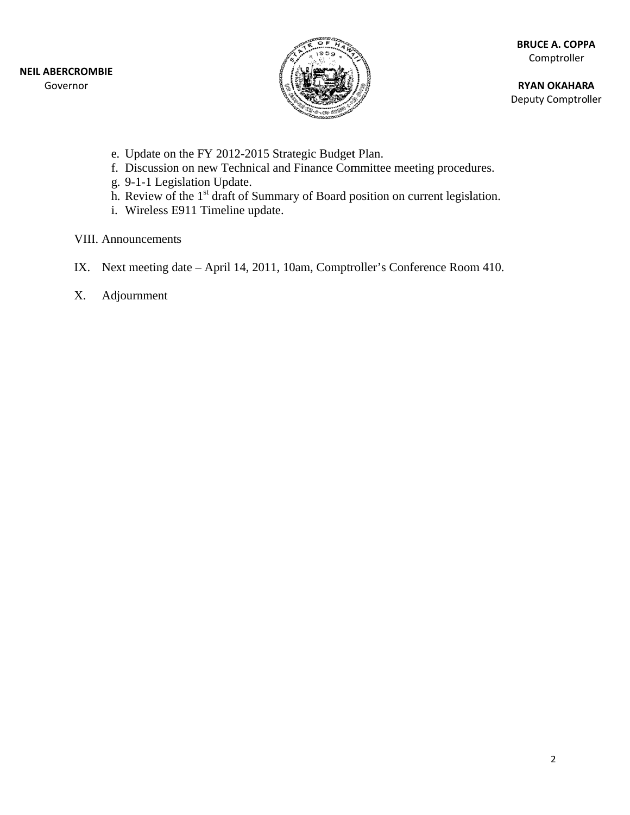

**RY YAN OKAHAR A** Deputy Comptroller

- e. Update on the FY 2012-2015 Strategic Budget Plan.
- f. Discussion on new Technical and Finance Committee meeting procedures.
- g. 9-1-1 Legislation Update.
- h. Review of the 1<sup>st</sup> draft of Summary of Board position on current legislation.
- i. Wireless E911 Timeline update.

VIII. Announcements

- IX. Next meeting date April 14, 2011, 10am, Comptroller's Conference Room 410.
- X. Adj journment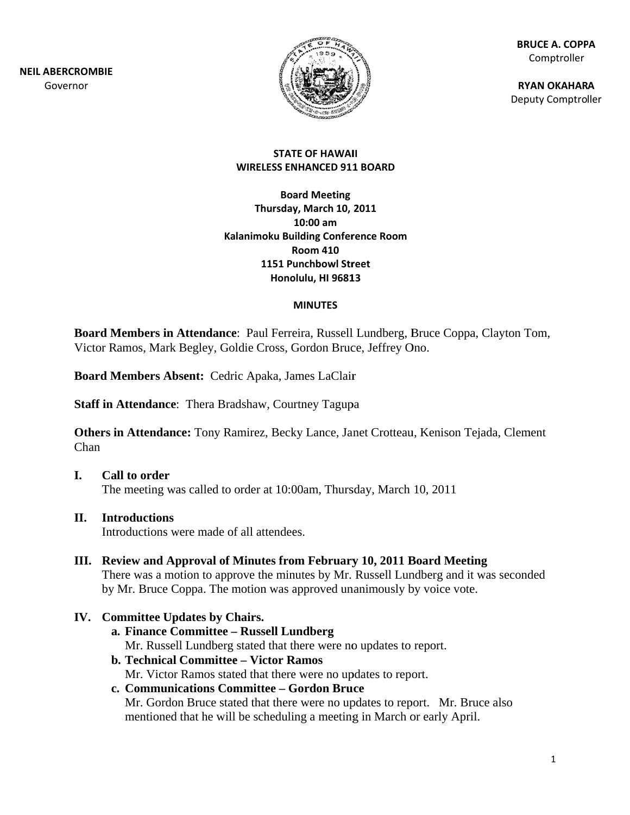**NEIL ABE RCROMBIE** Gov ernor



**BR RUCE A. COPP PA** Comptroller

**RY YAN OKAHAR A** Deputy Comptroller

### **STAT TE OF HAWAI II WIRELESS EN NHANCED 911 1 BOARD**

**Ka lanimoku Bu ilding Confer rence Room Boa ard Meeting Thursday y, March 10, 2011 R Room 410 1151 Pu unchbowl Str reet Hono olulu, HI 9681 13 10:00 am**

### **MINUTES**

Board Members in Attendance: Paul Ferreira, Russell Lundberg, Bruce Coppa, Clayton Tom, Victor Ramos, Mark Begley, Goldie Cross, Gordon Bruce, Jeffrey Ono.

Board Members Absent: Cedric Apaka, James LaClair

Board Members Absent: Cedric Apaka, James LaClair<br>Staff in Attendance: Thera Bradshaw, Courtney Tagupa

Others in Attendance: Tony Ramirez, Becky Lance, Janet Crotteau, Kenison Tejada, Clement Chan

### **I. Cal ll to order**

The meeting was called to order at 10:00am, Thursday, March 10, 2011

### **II. Int roductions**

Introductions were made of all attendees.

III. Review and Approval of Minutes from February 10, 2011 Board Meeting There was a motion to approve the minutes by Mr. Russell Lundberg and it was seconded by Mr. Bruce Coppa. The motion was approved unanimously by voice vote.

### IV. Committee Updates by Chairs.

- **a . Finance C Committee – Russell Lu undberg** Mr. Russell Lundberg stated that there were no updates to report.
- **b . Technical Committee e Victor R Ramos**  Mr. Victor Ramos stated that there were no updates to report.

# **c.** Communications Committee – Gordon Bruce

Mr. Gordon Bruce stated that there were no updates to report. Mr. Bruce also mentioned that he will be scheduling a meeting in March or early April.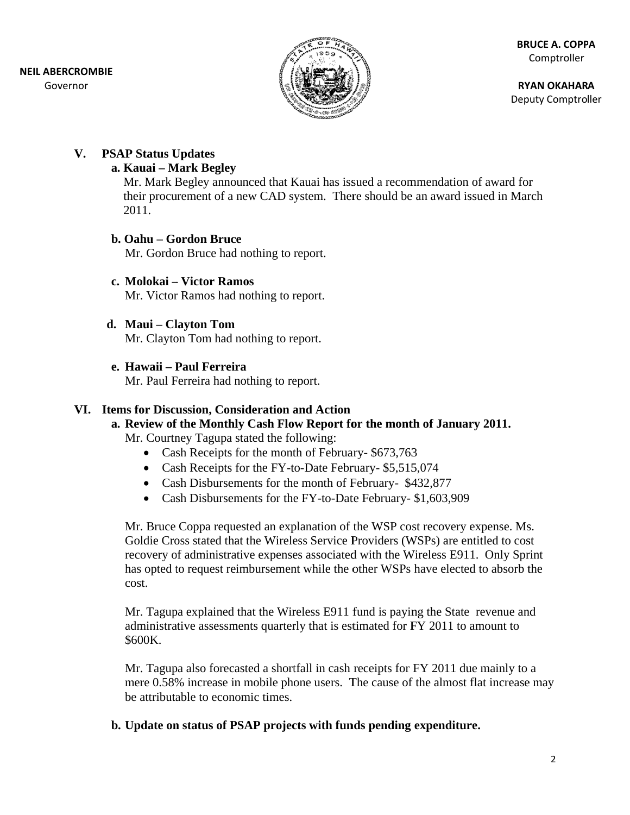

**RY YAN OKAHAR A** Deputy Comptroller

# **V.** PSAP Status Updates

## **a . Kauai – M Mark Begley y**

Mr. Mark Begley announced that Kauai has issued a recommendation of award for Mr. Mark Begley announced that Kauai has issued a recommendation of award for<br>their procurement of a new CAD system. There should be an award issued in March 2011.

## **b.** Oahu – Gordon Bruce

Mr. Gordon Bruce had nothing to report.

**c. . Molokai – – Victor Ram mos**  Mr. Victor Ramos had nothing to report.

## **d. Maui – Cl layton Tom**

Mr. Clayton Tom had nothing to report.

**e. . Hawaii – P Paul Ferrei ra** 

Mr. Paul Ferreira had nothing to report.

# VI. Items for Discussion, Consideration and Action

# a. Review of the Monthly Cash Flow Report for the month of January 2011.

Mr. Courtney Tagupa stated the following:

- Cash Receipts for the month of February- \$673,763
- Cash Receipts for the FY-to-Date February- \$5,515,074
- Cash Disbursements for the month of February- \$432,877
- Cash Disbursements for the FY-to-Date February- \$1,603,909

Mr. Bruce Coppa requested an explanation of the WSP cost recovery expense. Ms. Goldie Cross stated that the Wireless Service Providers (WSPs) are entitled to cost recovery of administrative expenses associated with the Wireless E911. Only Sprint has opted to request reimbursement while the other WSPs have elected to absorb the cost.

Mr. Tagupa explained that the Wireless E911 fund is paying the State revenue and administrative assessments quarterly that is estimated for FY 2011 to amount to \$600K.

Mr. Tagupa also forecasted a shortfall in cash receipts for FY 2011 due mainly to a mere 0.58% increase in mobile phone users. The cause of the almost flat increase may be attributable to economic times.

**b.** Update on status of PSAP projects with funds pending expenditure.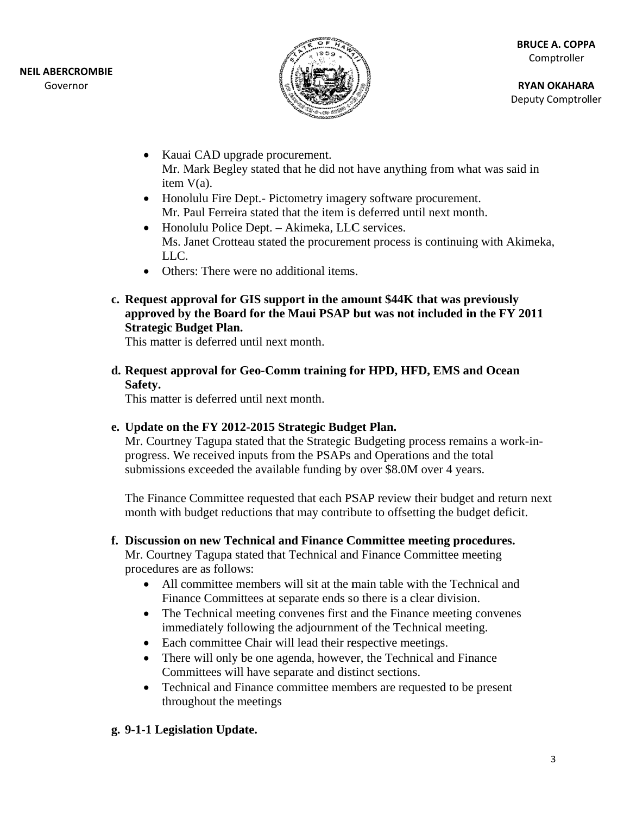

**RY YAN OKAHAR A** Deputy Comptroller

- Kauai CAD upgrade procurement. Mr. Mark Begley stated that he did not have anything from what was said in item V(a).
- Honolulu Fire Dept.- Pictometry imagery software procurement. Mr. Paul Ferreira stated that the item is deferred until next month.
- Honolulu Police Dept. Akimeka, LLC services. Ms. Janet Crotteau stated the procurement process is continuing with Akimeka, LL LC.
- Others: There were no additional items.
- **c. . Request a pproval for r GIS suppo ort in the am mount \$44K K that was p reviously** approved by the Board for the Maui PSAP but was not included in the FY 2011 **Strategic B Budget Plan n.**

This matter is deferred until next month.

**d.** Request approval for Geo-Comm training for HPD, HFD, EMS and Ocean **Safety.** 

This matter is deferred until next month.

## **e.** Update on the FY 2012-2015 Strategic Budget Plan.

Mr. Courtney Tagupa stated that the Strategic Budgeting process remains a work-inprogress. We received inputs from the PSAPs and Operations and the total submissions exceeded the available funding by over \$8.0M over 4 years.

The Finance Committee requested that each PSAP review their budget and return next month with budget reductions that may contribute to offsetting the budget deficit.

## **f.** Discussion on new Technical and Finance Committee meeting procedures.

Mr. Courtney Tagupa stated that Technical and Finance Committee meeting procedures are as follows:

- All committee members will sit at the main table with the Technical and Finance Committees at separate ends so there is a clear division.
- The Technical meeting convenes first and the Finance meeting convenes immediately following the adjournment of the Technical meeting.
- Each committee Chair will lead their respective meetings.
- There will only be one agenda, however, the Technical and Finance Committees will have separate and distinct sections.
- Technical and Finance committee members are requested to be present throughout the meetings

## g. 9-1-1 Legislation Update.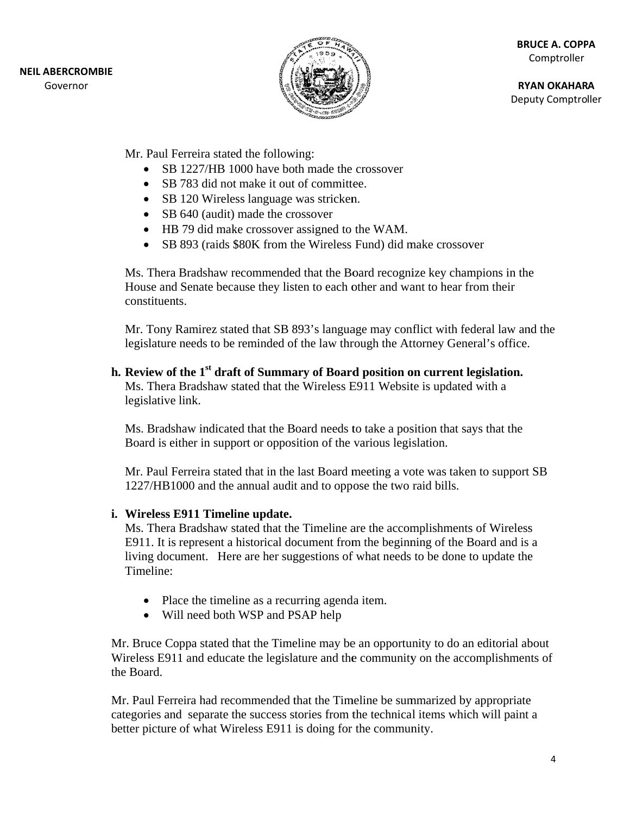

**BR RUCE A. COPP PA** Comptroller

**RY YAN OKAHAR A** Deputy Comptroller

Mr. Paul Ferreira stated the following:

- SB 1227/HB 1000 have both made the crossover
- SB 783 did not make it out of committee.
- SB 120 Wireless language was stricken.
- SB 640 (audit) made the crossover
- HB 79 did make crossover assigned to the WAM.
- SB 893 (raids \$80K from the Wireless Fund) did make crossover

Ms. Thera Bradshaw recommended that the Board recognize key champions in the House and Senate because they listen to each other and want to hear from their constituents. Ms. Thera Bradshaw recommended that the Board recognize key champions in the<br>House and Senate because they listen to each other and want to hear from their<br>constituents.<br>Mr. Tony Ramirez stated that SB 893's language may c

legislature needs to be reminded of the law through the Attorney General's office.

**h.** Review of the 1<sup>st</sup> draft of Summary of Board position on current legislation.

Ms. Thera Bradshaw stated that the Wireless E911 Website is updated with a legislative link.

Ms. Bradshaw indicated that the Board needs to take a position that says that the Board is either in support or opposition of the various legislation.

Mr. Paul Ferreira stated that in the last Board meeting a vote was taken to support SB 1227/HB1 000 and the annual audi t and to opp ose the two raid bills.

### **i.** Wireless E911 Timeline update.

Iiving document. Here are her suggestions of what needs to be done to update the<br>
Timeline:<br>
• Place the timeline as a recurring agenda item.<br>
• Will need both WSP and PSAP help<br>
Mr. Bruce Coppa stated that the Timeline ma Ms. Thera Bradshaw stated that the Timeline are the accomplishments of Wireless E911. It is represent a historical document from the beginning of the Board and is a living document. Here are her suggestions of what needs to be done to update the Timeline:

- Place the timeline as a recurring agenda item.
- Will need both WSP and PSAP help

Wireless E911 and educate the legislature and the community on the accomplishments of th he Board.

Mr. Paul Ferreira had recommended that the Timeline be summarized by appropriate categories and separate the success stories from the technical items which will paint a better picture of what Wireless E911 is doing for the community.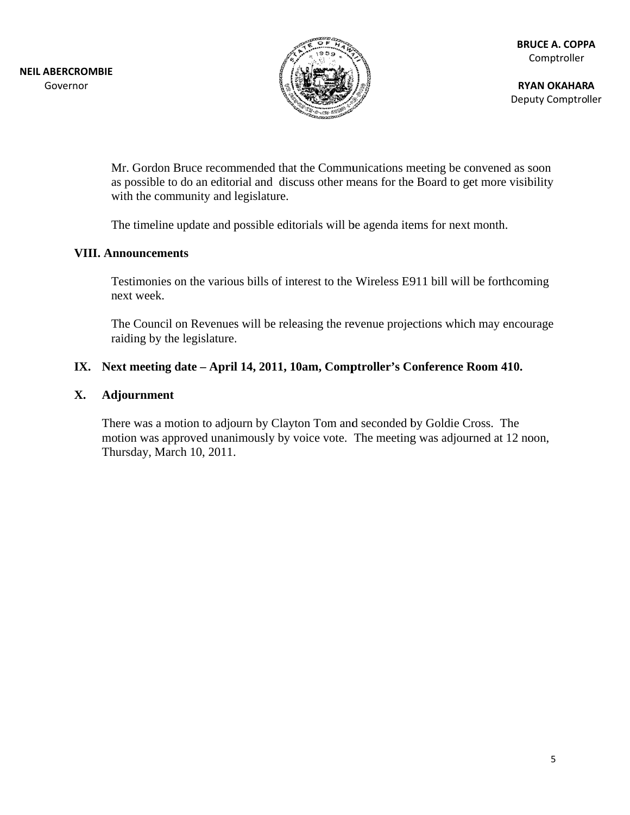

**RY YAN OKAHAR A** Deputy Comptroller

Mr. Gordon Bruce recommended that the Communications meeting be convened as soon as possible to do an editorial and discuss other means for the Board to get more visibility with the community and legislature.

The timeline update and possible editorials will be agenda items for next month.

### **VIII.** Announcements

Testimonies on the various bills of interest to the Wireless E911 bill will be forthcoming n ext week.

The Council on Revenues will be releasing the revenue projections which may encourage raiding by the legislature.

### IX. Next meeting date – April 14, 2011, 10am, Comptroller's Conference Room 410.

### **X. Adj journment**

There was a motion to adjourn by Clayton Tom and seconded by Goldie Cross. The motion was approved unanimously by voice vote. The meeting was adjourned at 12 noon, Thursday, March 10, 2011.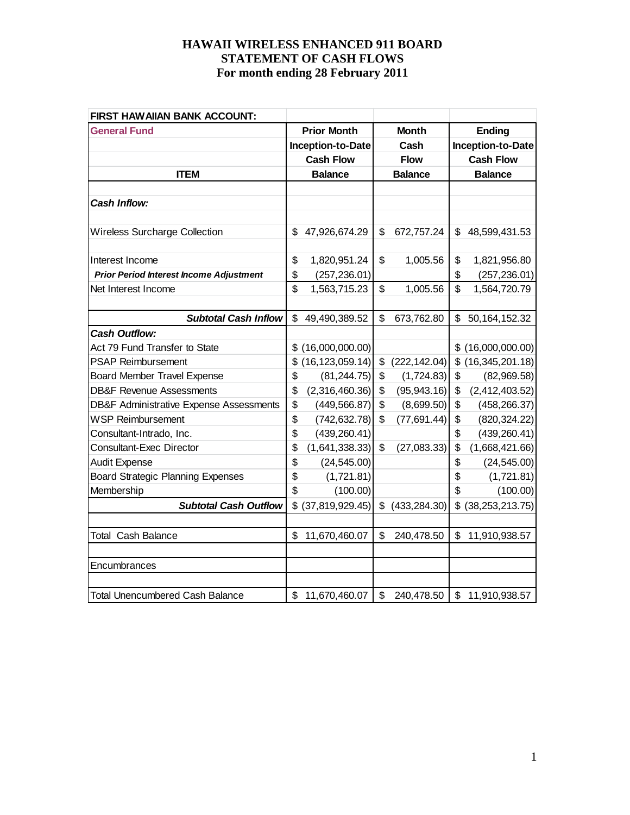| FIRST HAW AIIAN BANK ACCOUNT:                      |                         |             |                |                         |  |  |  |  |  |                   |
|----------------------------------------------------|-------------------------|-------------|----------------|-------------------------|--|--|--|--|--|-------------------|
| <b>General Fund</b>                                | <b>Prior Month</b>      |             | <b>Month</b>   | <b>Ending</b>           |  |  |  |  |  |                   |
|                                                    | Inception-to-Date       | Cash        |                |                         |  |  |  |  |  | Inception-to-Date |
|                                                    | <b>Cash Flow</b>        | <b>Flow</b> |                | <b>Cash Flow</b>        |  |  |  |  |  |                   |
| <b>ITEM</b>                                        | <b>Balance</b>          |             | <b>Balance</b> | <b>Balance</b>          |  |  |  |  |  |                   |
|                                                    |                         |             |                |                         |  |  |  |  |  |                   |
| <b>Cash Inflow:</b>                                |                         |             |                |                         |  |  |  |  |  |                   |
|                                                    |                         |             |                |                         |  |  |  |  |  |                   |
| <b>Wireless Surcharge Collection</b>               | \$<br>47,926,674.29     | \$          | 672,757.24     | \$<br>48,599,431.53     |  |  |  |  |  |                   |
|                                                    |                         |             |                |                         |  |  |  |  |  |                   |
| Interest Income                                    | \$<br>1,820,951.24      | \$          | 1,005.56       | \$<br>1,821,956.80      |  |  |  |  |  |                   |
| <b>Prior Period Interest Income Adjustment</b>     | \$<br>(257, 236.01)     |             |                | \$<br>(257, 236.01)     |  |  |  |  |  |                   |
| Net Interest Income                                | \$<br>1,563,715.23      | \$          | 1,005.56       | \$<br>1,564,720.79      |  |  |  |  |  |                   |
|                                                    |                         |             |                |                         |  |  |  |  |  |                   |
| <b>Subtotal Cash Inflow</b>                        | \$<br>49,490,389.52     | \$          | 673,762.80     | \$<br>50, 164, 152. 32  |  |  |  |  |  |                   |
| <b>Cash Outflow:</b>                               |                         |             |                |                         |  |  |  |  |  |                   |
| Act 79 Fund Transfer to State                      | \$<br>(16,000,000.00)   |             |                | \$<br>(16,000,000.00)   |  |  |  |  |  |                   |
| <b>PSAP Reimbursement</b>                          | \$<br>(16, 123, 059.14) | \$          | (222, 142.04)  | \$<br>(16, 345, 201.18) |  |  |  |  |  |                   |
| <b>Board Member Travel Expense</b>                 | \$<br>(81, 244.75)      | \$          | (1,724.83)     | \$<br>(82,969.58)       |  |  |  |  |  |                   |
| <b>DB&amp;F Revenue Assessments</b>                | \$<br>(2,316,460.36)    | \$          | (95, 943.16)   | \$<br>(2,412,403.52)    |  |  |  |  |  |                   |
| <b>DB&amp;F Administrative Expense Assessments</b> | \$<br>(449, 566.87)     | \$          | (8,699.50)     | \$<br>(458, 266.37)     |  |  |  |  |  |                   |
| <b>WSP Reimbursement</b>                           | \$<br>(742, 632.78)     | \$          | (77, 691.44)   | \$<br>(820, 324.22)     |  |  |  |  |  |                   |
| Consultant-Intrado, Inc.                           | \$<br>(439, 260.41)     |             |                | \$<br>(439, 260.41)     |  |  |  |  |  |                   |
| <b>Consultant-Exec Director</b>                    | \$<br>(1,641,338.33)    | \$          | (27,083.33)    | \$<br>(1,668,421.66)    |  |  |  |  |  |                   |
| <b>Audit Expense</b>                               | \$<br>(24, 545.00)      |             |                | \$<br>(24, 545.00)      |  |  |  |  |  |                   |
| <b>Board Strategic Planning Expenses</b>           | \$<br>(1,721.81)        |             |                | \$<br>(1,721.81)        |  |  |  |  |  |                   |
| Membership                                         | \$<br>(100.00)          |             |                | \$<br>(100.00)          |  |  |  |  |  |                   |
| <b>Subtotal Cash Outflow</b>                       | \$<br>(37, 819, 929.45) | \$          | (433, 284.30)  | \$<br>(38, 253, 213.75) |  |  |  |  |  |                   |
|                                                    |                         |             |                |                         |  |  |  |  |  |                   |
| <b>Total Cash Balance</b>                          | \$<br>11,670,460.07     | \$          | 240,478.50     | \$<br>11,910,938.57     |  |  |  |  |  |                   |
|                                                    |                         |             |                |                         |  |  |  |  |  |                   |
| Encumbrances                                       |                         |             |                |                         |  |  |  |  |  |                   |
|                                                    |                         |             |                |                         |  |  |  |  |  |                   |
| <b>Total Unencumbered Cash Balance</b>             | \$<br>11,670,460.07     | \$          | 240,478.50     | \$<br>11,910,938.57     |  |  |  |  |  |                   |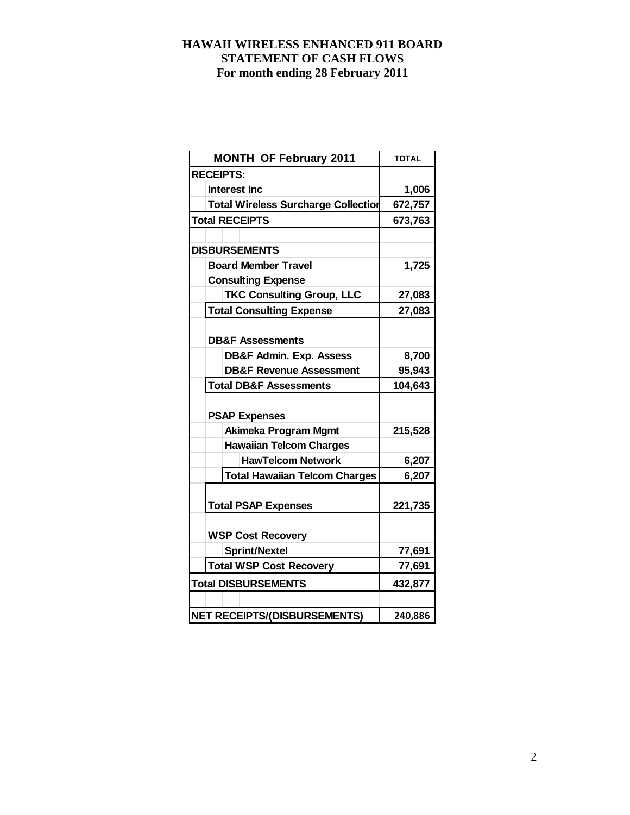| <b>MONTH OF February 2011</b>              | <b>TOTAL</b> |
|--------------------------------------------|--------------|
| <b>RECEIPTS:</b>                           |              |
| <b>Interest Inc</b>                        | 1,006        |
| <b>Total Wireless Surcharge Collection</b> | 672,757      |
| <b>Total RECEIPTS</b>                      | 673,763      |
|                                            |              |
| <b>DISBURSEMENTS</b>                       |              |
| <b>Board Member Travel</b>                 | 1,725        |
| <b>Consulting Expense</b>                  |              |
| <b>TKC Consulting Group, LLC</b>           | 27,083       |
| <b>Total Consulting Expense</b>            | 27,083       |
|                                            |              |
| <b>DB&amp;F Assessments</b>                |              |
| <b>DB&amp;F Admin. Exp. Assess</b>         | 8,700        |
| <b>DB&amp;F Revenue Assessment</b>         | 95,943       |
| <b>Total DB&amp;F Assessments</b>          | 104,643      |
|                                            |              |
| <b>PSAP Expenses</b>                       |              |
| <b>Akimeka Program Mgmt</b>                | 215,528      |
| <b>Hawaiian Telcom Charges</b>             |              |
| <b>HawTelcom Network</b>                   | 6,207        |
| <b>Total Hawaiian Telcom Charges</b>       | 6,207        |
|                                            |              |
| <b>Total PSAP Expenses</b>                 | 221,735      |
|                                            |              |
| <b>WSP Cost Recovery</b>                   |              |
| <b>Sprint/Nextel</b>                       | 77,691       |
| <b>Total WSP Cost Recovery</b>             | 77,691       |
| <b>Total DISBURSEMENTS</b>                 | 432,877      |
|                                            |              |
| <b>NET RECEIPTS/(DISBURSEMENTS)</b>        | 240,886      |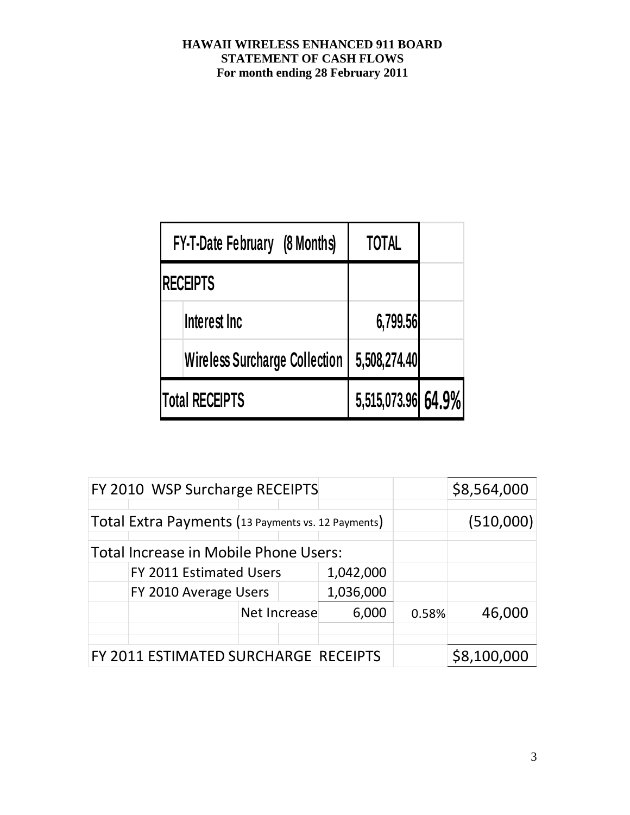| <b>FY-T-Date February (8 Months)</b> | <b>TOTAL</b>       |  |
|--------------------------------------|--------------------|--|
| <b>RECEIPTS</b>                      |                    |  |
| Interest Inc                         | 6,799.56           |  |
| <b>Wireless Surcharge Collection</b> | 5,508,274.40       |  |
| Total RECEIPTS                       | 5,515,073.96 64.9% |  |

| FY 2010 WSP Surcharge RECEIPTS                     |              | \$8,564,000 |           |       |        |
|----------------------------------------------------|--------------|-------------|-----------|-------|--------|
| Total Extra Payments (13 Payments vs. 12 Payments) |              | (510,000)   |           |       |        |
| Total Increase in Mobile Phone Users:              |              |             |           |       |        |
| FY 2011 Estimated Users                            |              |             | 1,042,000 |       |        |
| FY 2010 Average Users                              |              | 1,036,000   |           |       |        |
|                                                    | Net Increase |             | 6,000     | 0.58% | 46,000 |
|                                                    |              |             |           |       |        |
| FY 2011 ESTIMATED SURCHARGE RECEIPTS               |              | \$8,100,000 |           |       |        |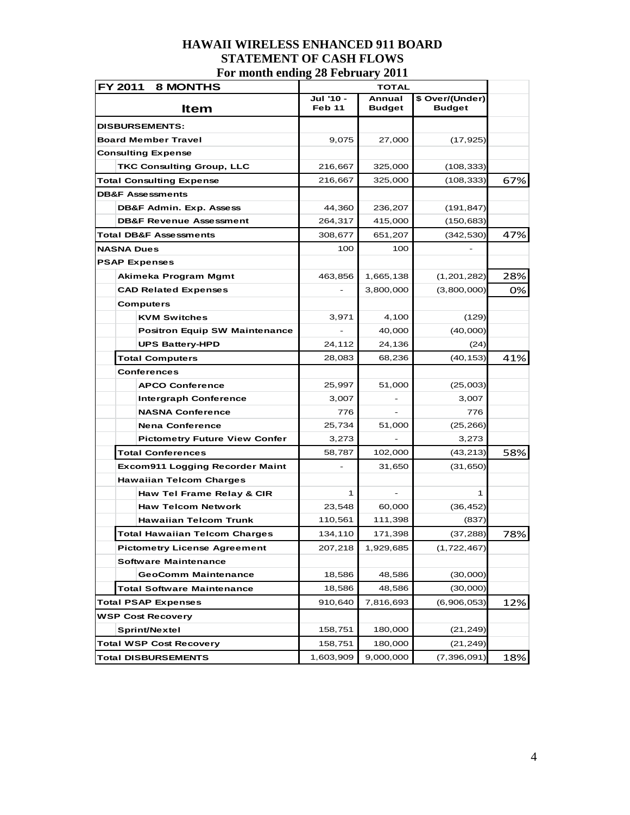|                        | FY 2011<br><b>8 MONTHS</b>             |                     | <b>TOTAL</b>     |                                  |     |
|------------------------|----------------------------------------|---------------------|------------------|----------------------------------|-----|
|                        | Item                                   | Jul '10 -<br>Feb 11 | Annual<br>Budget | \$ Over/(Under)<br><b>Budget</b> |     |
|                        | <b>DISBURSEMENTS:</b>                  |                     |                  |                                  |     |
|                        | <b>Board Member Travel</b>             | 9,075               | 27,000           | (17, 925)                        |     |
|                        | <b>Consulting Expense</b>              |                     |                  |                                  |     |
|                        | <b>TKC Consulting Group, LLC</b>       | 216,667             | 325,000          | (108, 333)                       |     |
|                        | <b>Total Consulting Expense</b>        | 216,667             | 325,000          | (108, 333)                       | 67% |
|                        | <b>DB&amp;F Assessments</b>            |                     |                  |                                  |     |
|                        | DB&F Admin. Exp. Assess                | 44,360              | 236,207          | (191, 847)                       |     |
|                        | <b>DB&amp;F Revenue Assessment</b>     | 264,317             | 415,000          | (150, 683)                       |     |
|                        | <b>Total DB&amp;F Assessments</b>      | 308,677             | 651,207          | (342, 530)                       | 47% |
|                        | <b>NASNA Dues</b>                      | 100                 | 100              |                                  |     |
|                        | <b>PSAP Expenses</b>                   |                     |                  |                                  |     |
|                        | Akimeka Program Mgmt                   | 463,856             | 1,665,138        | (1,201,282)                      | 28% |
|                        | <b>CAD Related Expenses</b>            |                     | 3,800,000        | (3,800,000)                      | 0%  |
|                        | <b>Computers</b>                       |                     |                  |                                  |     |
|                        | <b>KVM Switches</b>                    | 3,971               | 4,100            | (129)                            |     |
|                        | <b>Positron Equip SW Maintenance</b>   |                     | 40,000           | (40,000)                         |     |
|                        | <b>UPS Battery-HPD</b>                 | 24,112              | 24,136           | (24)                             |     |
| <b>Total Computers</b> |                                        | 28,083              | 68,236           | (40, 153)                        | 41% |
| <b>Conferences</b>     |                                        |                     |                  |                                  |     |
|                        | <b>APCO Conference</b>                 | 25,997              | 51,000           | (25,003)                         |     |
|                        | <b>Intergraph Conference</b>           | 3,007               |                  | 3,007                            |     |
|                        | <b>NASNA Conference</b>                | 776                 |                  | 776                              |     |
|                        | <b>Nena Conference</b>                 | 25,734              | 51,000           | (25, 266)                        |     |
|                        | <b>Pictometry Future View Confer</b>   | 3,273               |                  | 3,273                            |     |
|                        | <b>Total Conferences</b>               | 58,787              | 102,000          | (43, 213)                        | 58% |
|                        | <b>Excom911 Logging Recorder Maint</b> |                     | 31,650           | (31, 650)                        |     |
|                        | <b>Hawaiian Telcom Charges</b>         |                     |                  |                                  |     |
|                        | Haw Tel Frame Relay & CIR              | 1                   |                  | 1                                |     |
|                        | <b>Haw Telcom Network</b>              | 23,548              | 60,000           | (36, 452)                        |     |
|                        | <b>Hawaiian Telcom Trunk</b>           | 110,561             | 111,398          | (837)                            |     |
|                        | <b>Total Hawaiian Telcom Charges</b>   | 134,110             | 171,398          | (37, 288)                        | 78% |
|                        | <b>Pictometry License Agreement</b>    | 207,218             | 1,929,685        | (1,722,467)                      |     |
|                        | <b>Software Maintenance</b>            |                     |                  |                                  |     |
|                        | <b>GeoComm Maintenance</b>             | 18,586              | 48,586           | (30,000)                         |     |
|                        | <b>Total Software Maintenance</b>      | 18,586              | 48,586           | (30,000)                         |     |
|                        | <b>Total PSAP Expenses</b>             | 910,640             | 7,816,693        | (6,906,053)                      | 12% |
|                        | <b>WSP Cost Recovery</b>               |                     |                  |                                  |     |
|                        | Sprint/Nextel                          | 158,751             | 180,000          | (21, 249)                        |     |
|                        | <b>Total WSP Cost Recovery</b>         | 158,751             | 180,000          | (21, 249)                        |     |
|                        | <b>Total DISBURSEMENTS</b>             | 1,603,909           | 9,000,000        | (7,396,091)                      | 18% |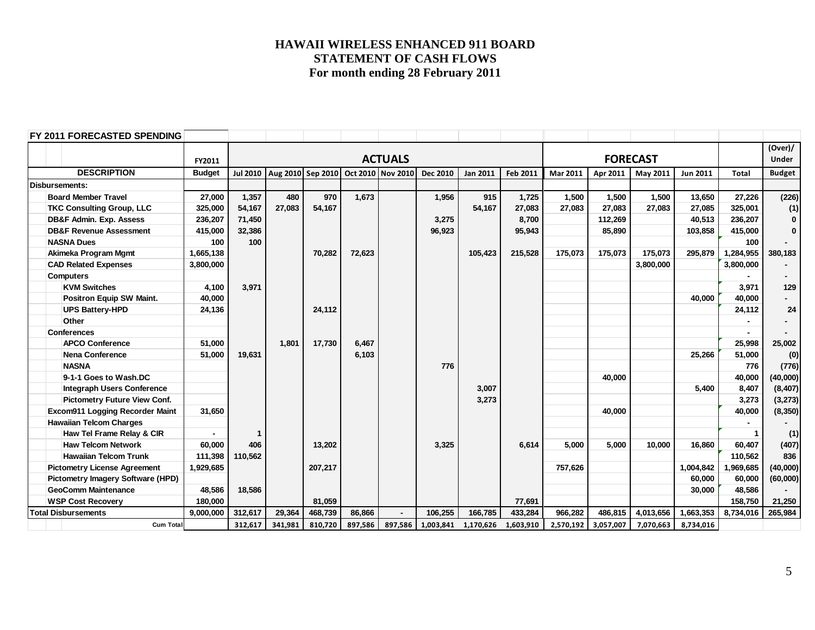| FY 2011 FORECASTED SPENDING         |               |                 |         |                                     |         |                |          |                     |           |           |           |                 |                 |              |               |
|-------------------------------------|---------------|-----------------|---------|-------------------------------------|---------|----------------|----------|---------------------|-----------|-----------|-----------|-----------------|-----------------|--------------|---------------|
|                                     |               |                 |         |                                     |         |                |          |                     |           |           |           |                 |                 |              | (Over)/       |
|                                     | FY2011        |                 |         |                                     |         | <b>ACTUALS</b> |          |                     |           |           |           | <b>FORECAST</b> |                 |              | <b>Under</b>  |
| <b>DESCRIPTION</b>                  | <b>Budget</b> | <b>Jul 2010</b> |         | Aug 2010 Sep 2010 Oct 2010 Nov 2010 |         |                | Dec 2010 | <b>Jan 2011</b>     | Feb 2011  | Mar 2011  | Apr 2011  | May 2011        | <b>Jun 2011</b> | <b>Total</b> | <b>Budget</b> |
| <b>Disbursements:</b>               |               |                 |         |                                     |         |                |          |                     |           |           |           |                 |                 |              |               |
| <b>Board Member Travel</b>          | 27,000        | 1,357           | 480     | 970                                 | 1,673   |                | 1,956    | 915                 | 1,725     | 1,500     | 1,500     | 1,500           | 13,650          | 27,226       | (226)         |
| <b>TKC Consulting Group, LLC</b>    | 325,000       | 54,167          | 27,083  | 54,167                              |         |                |          | 54,167              | 27,083    | 27,083    | 27,083    | 27,083          | 27,085          | 325,001      | (1)           |
| <b>DB&amp;F Admin. Exp. Assess</b>  | 236,207       | 71,450          |         |                                     |         |                | 3,275    |                     | 8,700     |           | 112,269   |                 | 40,513          | 236,207      | $\mathbf{0}$  |
| <b>DB&amp;F Revenue Assessment</b>  | 415,000       | 32,386          |         |                                     |         |                | 96,923   |                     | 95,943    |           | 85,890    |                 | 103,858         | 415,000      | $\mathbf 0$   |
| <b>NASNA Dues</b>                   | 100           | 100             |         |                                     |         |                |          |                     |           |           |           |                 |                 | 100          |               |
| Akimeka Program Mgmt                | 1,665,138     |                 |         | 70,282                              | 72,623  |                |          | 105,423             | 215,528   | 175,073   | 175,073   | 175,073         | 295,879         | 1,284,955    | 380,183       |
| <b>CAD Related Expenses</b>         | 3,800,000     |                 |         |                                     |         |                |          |                     |           |           |           | 3,800,000       |                 | 3,800,000    |               |
| <b>Computers</b>                    |               |                 |         |                                     |         |                |          |                     |           |           |           |                 |                 |              |               |
| <b>KVM Switches</b>                 | 4,100         | 3,971           |         |                                     |         |                |          |                     |           |           |           |                 |                 | 3,971        | 129           |
| Positron Equip SW Maint.            | 40,000        |                 |         |                                     |         |                |          |                     |           |           |           |                 | 40.000          | 40,000       |               |
| <b>UPS Battery-HPD</b>              | 24,136        |                 |         | 24,112                              |         |                |          |                     |           |           |           |                 |                 | 24,112       | 24            |
| Other                               |               |                 |         |                                     |         |                |          |                     |           |           |           |                 |                 |              |               |
| <b>Conferences</b>                  |               |                 |         |                                     |         |                |          |                     |           |           |           |                 |                 |              |               |
| <b>APCO Conference</b>              | 51,000        |                 | 1,801   | 17,730                              | 6,467   |                |          |                     |           |           |           |                 |                 | 25,998       | 25,002        |
| <b>Nena Conference</b>              | 51,000        | 19,631          |         |                                     | 6,103   |                |          |                     |           |           |           |                 | 25,266          | 51,000       | (0)           |
| <b>NASNA</b>                        |               |                 |         |                                     |         |                | 776      |                     |           |           |           |                 |                 | 776          | (776)         |
| 9-1-1 Goes to Wash.DC               |               |                 |         |                                     |         |                |          |                     |           |           | 40.000    |                 |                 | 40,000       | (40,000)      |
| <b>Integraph Users Conference</b>   |               |                 |         |                                     |         |                |          | 3,007               |           |           |           |                 | 5.400           | 8,407        | (8, 407)      |
| Pictometry Future View Conf.        |               |                 |         |                                     |         |                |          | 3,273               |           |           |           |                 |                 | 3,273        | (3, 273)      |
| Excom911 Logging Recorder Maint     | 31,650        |                 |         |                                     |         |                |          |                     |           |           | 40.000    |                 |                 | 40,000       | (8, 350)      |
| <b>Hawaiian Telcom Charges</b>      |               |                 |         |                                     |         |                |          |                     |           |           |           |                 |                 |              |               |
| Haw Tel Frame Relay & CIR           |               | 1               |         |                                     |         |                |          |                     |           |           |           |                 |                 | 1            | (1)           |
| <b>Haw Telcom Network</b>           | 60,000        | 406             |         | 13,202                              |         |                | 3,325    |                     | 6,614     | 5.000     | 5,000     | 10.000          | 16,860          | 60,407       | (407)         |
| <b>Hawaiian Telcom Trunk</b>        | 111,398       | 110,562         |         |                                     |         |                |          |                     |           |           |           |                 |                 | 110,562      | 836           |
| <b>Pictometry License Agreement</b> | 1,929,685     |                 |         | 207,217                             |         |                |          |                     |           | 757,626   |           |                 | 1,004,842       | 1,969,685    | (40,000)      |
| Pictometry Imagery Software (HPD)   |               |                 |         |                                     |         |                |          |                     |           |           |           |                 | 60,000          | 60,000       | (60,000)      |
| <b>GeoComm Maintenance</b>          | 48,586        | 18,586          |         |                                     |         |                |          |                     |           |           |           |                 | 30,000          | 48,586       |               |
| <b>WSP Cost Recovery</b>            | 180,000       |                 |         | 81,059                              |         |                |          |                     | 77,691    |           |           |                 |                 | 158,750      | 21,250        |
| <b>Total Disbursements</b>          | 9,000,000     | 312,617         | 29,364  | 468,739                             | 86,866  | $\blacksquare$ | 106,255  | 166.785             | 433,284   | 966,282   | 486.815   | 4,013,656       | 1,663,353       | 8,734,016    | 265,984       |
| <b>Cum Total</b>                    |               | 312,617         | 341,981 | 810,720                             | 897,586 | 897,586        |          | 1,003,841 1,170,626 | 1,603,910 | 2,570,192 | 3,057,007 | 7,070,663       | 8,734,016       |              |               |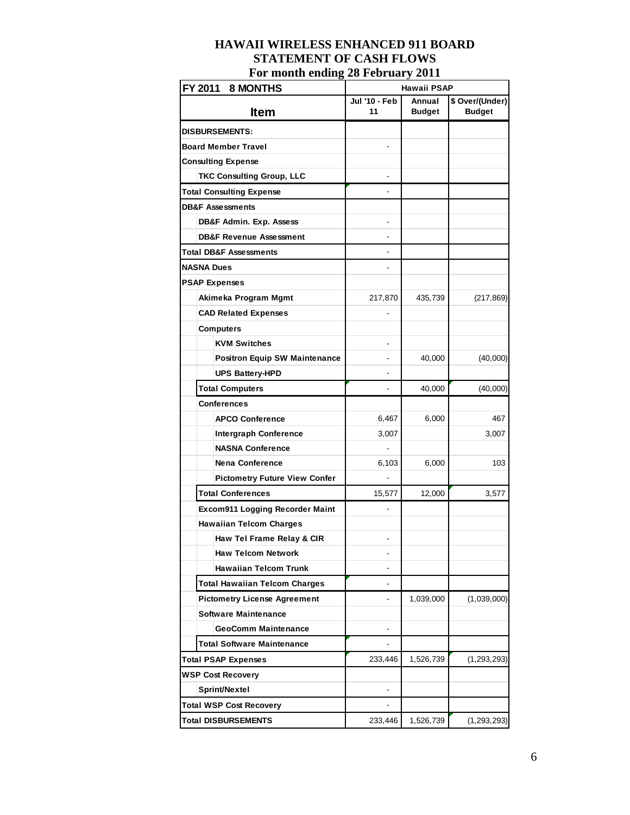| FY 2011<br><b>8 MONTHS</b>             | Hawaii PSAP              |               |                 |  |
|----------------------------------------|--------------------------|---------------|-----------------|--|
|                                        | Jul '10 - Feb            | Annual        | \$ Over/(Under) |  |
| <b>Item</b>                            | 11                       | <b>Budget</b> | <b>Budget</b>   |  |
| <b>DISBURSEMENTS:</b>                  |                          |               |                 |  |
| <b>Board Member Travel</b>             |                          |               |                 |  |
| <b>Consulting Expense</b>              |                          |               |                 |  |
| <b>TKC Consulting Group, LLC</b>       |                          |               |                 |  |
| <b>Total Consulting Expense</b>        |                          |               |                 |  |
| <b>DB&amp;F Assessments</b>            |                          |               |                 |  |
| DB&F Admin. Exp. Assess                |                          |               |                 |  |
| <b>DB&amp;F Revenue Assessment</b>     |                          |               |                 |  |
| <b>Total DB&amp;F Assessments</b>      |                          |               |                 |  |
| <b>NASNA Dues</b>                      | $\overline{\phantom{m}}$ |               |                 |  |
| <b>PSAP Expenses</b>                   |                          |               |                 |  |
| Akimeka Program Mgmt                   | 217,870                  | 435,739       | (217, 869)      |  |
| <b>CAD Related Expenses</b>            |                          |               |                 |  |
| <b>Computers</b>                       |                          |               |                 |  |
| <b>KVM Switches</b>                    |                          |               |                 |  |
| <b>Positron Equip SW Maintenance</b>   |                          | 40,000        | (40,000)        |  |
| <b>UPS Battery-HPD</b>                 |                          |               |                 |  |
| <b>Total Computers</b>                 |                          | 40,000        | (40,000)        |  |
| Conferences                            |                          |               |                 |  |
| <b>APCO Conference</b>                 | 6,467                    | 6,000         | 467             |  |
| <b>Intergraph Conference</b>           | 3,007                    |               | 3,007           |  |
| <b>NASNA Conference</b>                |                          |               |                 |  |
| <b>Nena Conference</b>                 | 6,103                    | 6,000         | 103             |  |
| <b>Pictometry Future View Confer</b>   |                          |               |                 |  |
| <b>Total Conferences</b>               | 15,577                   | 12,000        | 3,577           |  |
| <b>Excom911 Logging Recorder Maint</b> |                          |               |                 |  |
| <b>Hawaiian Telcom Charges</b>         |                          |               |                 |  |
| Haw Tel Frame Relay & CIR              |                          |               |                 |  |
| <b>Haw Telcom Network</b>              |                          |               |                 |  |
| <b>Hawaiian Telcom Trunk</b>           |                          |               |                 |  |
| <b>Total Hawaiian Telcom Charges</b>   | $\overline{\phantom{a}}$ |               |                 |  |
| <b>Pictometry License Agreement</b>    |                          | 1,039,000     | (1,039,000)     |  |
| <b>Software Maintenance</b>            |                          |               |                 |  |
| <b>GeoComm Maintenance</b>             |                          |               |                 |  |
| <b>Total Software Maintenance</b>      | $\overline{\phantom{a}}$ |               |                 |  |
| <b>Total PSAP Expenses</b>             | 233,446                  | 1,526,739     | (1, 293, 293)   |  |
| <b>WSP Cost Recovery</b>               |                          |               |                 |  |
| Sprint/Nextel                          |                          |               |                 |  |
| <b>Total WSP Cost Recovery</b>         | $\frac{1}{2}$            |               |                 |  |
| <b>Total DISBURSEMENTS</b>             | 233,446                  | 1,526,739     | (1, 293, 293)   |  |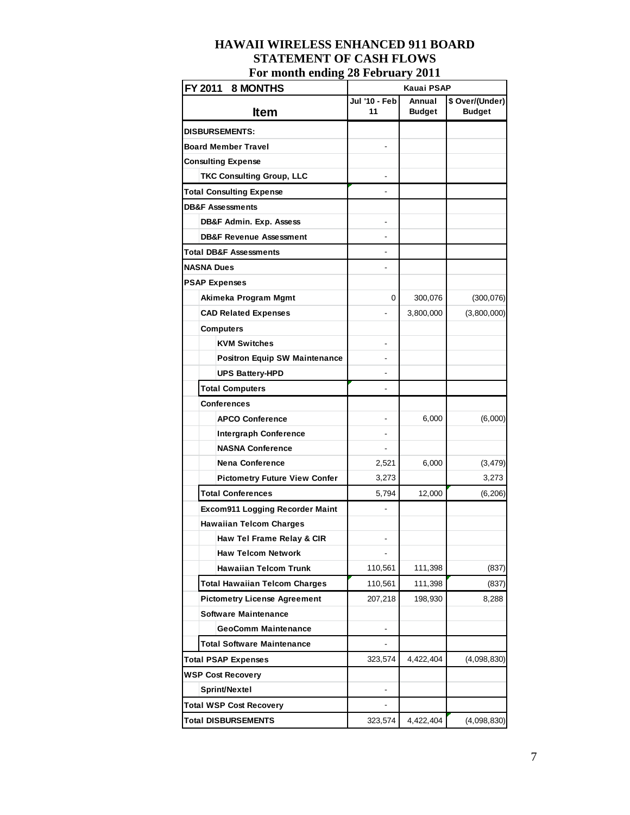| FY 2011<br><b>8 MONTHS</b>             | Kauai PSAP          |                         |                                  |  |  |
|----------------------------------------|---------------------|-------------------------|----------------------------------|--|--|
| <b>Item</b>                            | Jul '10 - Feb<br>11 | Annual<br><b>Budget</b> | \$ Over/(Under)<br><b>Budget</b> |  |  |
| <b>DISBURSEMENTS:</b>                  |                     |                         |                                  |  |  |
| <b>Board Member Travel</b>             |                     |                         |                                  |  |  |
| <b>Consulting Expense</b>              |                     |                         |                                  |  |  |
| <b>TKC Consulting Group, LLC</b>       |                     |                         |                                  |  |  |
| <b>Total Consulting Expense</b>        |                     |                         |                                  |  |  |
| <b>DB&amp;F Assessments</b>            |                     |                         |                                  |  |  |
| DB&F Admin. Exp. Assess                |                     |                         |                                  |  |  |
| <b>DB&amp;F Revenue Assessment</b>     |                     |                         |                                  |  |  |
| Total DB&F Assessments                 |                     |                         |                                  |  |  |
| <b>NASNA Dues</b>                      |                     |                         |                                  |  |  |
| <b>PSAP Expenses</b>                   |                     |                         |                                  |  |  |
| Akimeka Program Mgmt                   | 0                   | 300,076                 | (300, 076)                       |  |  |
| <b>CAD Related Expenses</b>            |                     | 3,800,000               | (3,800,000)                      |  |  |
| <b>Computers</b>                       |                     |                         |                                  |  |  |
| <b>KVM Switches</b>                    |                     |                         |                                  |  |  |
| <b>Positron Equip SW Maintenance</b>   |                     |                         |                                  |  |  |
| <b>UPS Battery-HPD</b>                 |                     |                         |                                  |  |  |
| <b>Total Computers</b>                 |                     |                         |                                  |  |  |
| <b>Conferences</b>                     |                     |                         |                                  |  |  |
| <b>APCO Conference</b>                 |                     | 6,000                   | (6,000)                          |  |  |
| <b>Intergraph Conference</b>           |                     |                         |                                  |  |  |
| <b>NASNA Conference</b>                |                     |                         |                                  |  |  |
| <b>Nena Conference</b>                 | 2,521               | 6,000                   | (3, 479)                         |  |  |
| <b>Pictometry Future View Confer</b>   | 3,273               |                         | 3,273                            |  |  |
| <b>Total Conferences</b>               | 5,794               | 12,000                  | (6, 206)                         |  |  |
| <b>Excom911 Logging Recorder Maint</b> | ٠                   |                         |                                  |  |  |
| <b>Hawaiian Telcom Charges</b>         |                     |                         |                                  |  |  |
| Haw Tel Frame Relay & CIR              |                     |                         |                                  |  |  |
| <b>Haw Telcom Network</b>              |                     |                         |                                  |  |  |
| <b>Hawaiian Telcom Trunk</b>           | 110,561             | 111,398                 | (837)                            |  |  |
| <b>Total Hawaiian Telcom Charges</b>   | 110,561             | 111,398                 | (837)                            |  |  |
| <b>Pictometry License Agreement</b>    | 207,218             | 198,930                 | 8,288                            |  |  |
| <b>Software Maintenance</b>            |                     |                         |                                  |  |  |
| <b>GeoComm Maintenance</b>             |                     |                         |                                  |  |  |
| <b>Total Software Maintenance</b>      | ۰                   |                         |                                  |  |  |
| <b>Total PSAP Expenses</b>             | 323,574             | 4,422,404               | (4,098,830)                      |  |  |
| <b>WSP Cost Recovery</b>               |                     |                         |                                  |  |  |
| Sprint/Nextel                          |                     |                         |                                  |  |  |
| <b>Total WSP Cost Recovery</b>         |                     |                         |                                  |  |  |
| <b>Total DISBURSEMENTS</b>             | 323,574             | 4,422,404               | (4,098,830)                      |  |  |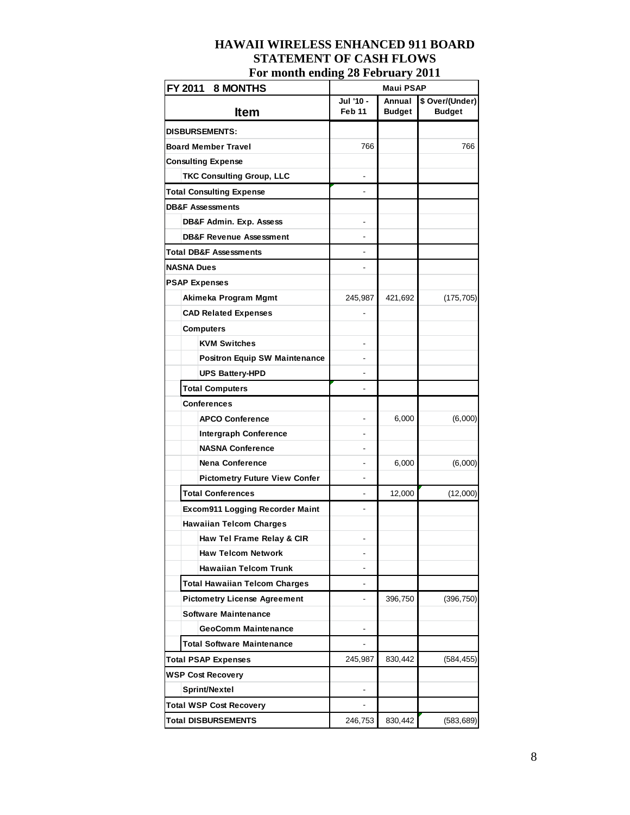# **HAWAII WIRELESS ENHANCED 911 BOARD STATEMENT OF CASH FLOWS**

| For month ending 28 February 2011    |                     |                         |                                  |  |  |  |  |
|--------------------------------------|---------------------|-------------------------|----------------------------------|--|--|--|--|
| FY 2011 8 MONTHS                     | <b>Maui PSAP</b>    |                         |                                  |  |  |  |  |
| <b>Item</b>                          | Jul '10 -<br>Feb 11 | Annual<br><b>Budget</b> | \$ Over/(Under)<br><b>Budget</b> |  |  |  |  |
| <b>DISBURSEMENTS:</b>                |                     |                         |                                  |  |  |  |  |
| Board Member Travel                  | 766                 |                         | 766                              |  |  |  |  |
| <b>Consulting Expense</b>            |                     |                         |                                  |  |  |  |  |
| <b>TKC Consulting Group, LLC</b>     |                     |                         |                                  |  |  |  |  |
| <b>Total Consulting Expense</b>      |                     |                         |                                  |  |  |  |  |
| <b>DB&amp;F Assessments</b>          |                     |                         |                                  |  |  |  |  |
| DB&F Admin. Exp. Assess              |                     |                         |                                  |  |  |  |  |
| <b>DB&amp;F Revenue Assessment</b>   |                     |                         |                                  |  |  |  |  |
| <b>Total DB&amp;F Assessments</b>    |                     |                         |                                  |  |  |  |  |
| NASNA Dues                           |                     |                         |                                  |  |  |  |  |
| <b>PSAP Expenses</b>                 |                     |                         |                                  |  |  |  |  |
| Akimeka Program Mgmt                 | 245,987             | 421,692                 | (175, 705)                       |  |  |  |  |
| <b>CAD Related Expenses</b>          |                     |                         |                                  |  |  |  |  |
| <b>Computers</b>                     |                     |                         |                                  |  |  |  |  |
| <b>KVM Switches</b>                  |                     |                         |                                  |  |  |  |  |
| <b>Positron Equip SW Maintenance</b> |                     |                         |                                  |  |  |  |  |
| <b>UPS Battery-HPD</b>               |                     |                         |                                  |  |  |  |  |
| <b>Total Computers</b>               |                     |                         |                                  |  |  |  |  |
| <b>Conferences</b>                   |                     |                         |                                  |  |  |  |  |
| <b>APCO Conference</b>               |                     | 6,000                   | (6,000)                          |  |  |  |  |
| <b>Intergraph Conference</b>         |                     |                         |                                  |  |  |  |  |
| <b>NASNA Conference</b>              |                     |                         |                                  |  |  |  |  |
| <b>Nena Conference</b>               |                     | 6,000                   | (6,000)                          |  |  |  |  |
| <b>Pictometry Future View Confer</b> |                     |                         |                                  |  |  |  |  |
| <b>Total Conferences</b>             |                     | 12,000                  | (12,000)                         |  |  |  |  |
| Excom911 Logging Recorder Maint      |                     |                         |                                  |  |  |  |  |
| <b>Hawaiian Telcom Charges</b>       |                     |                         |                                  |  |  |  |  |
| Haw Tel Frame Relay & CIR            |                     |                         |                                  |  |  |  |  |
| <b>Haw Telcom Network</b>            |                     |                         |                                  |  |  |  |  |
| <b>Hawaiian Telcom Trunk</b>         |                     |                         |                                  |  |  |  |  |
| <b>Total Hawaiian Telcom Charges</b> |                     |                         |                                  |  |  |  |  |
| <b>Pictometry License Agreement</b>  |                     | 396,750                 | (396, 750)                       |  |  |  |  |
| <b>Software Maintenance</b>          |                     |                         |                                  |  |  |  |  |
| <b>GeoComm Maintenance</b>           |                     |                         |                                  |  |  |  |  |
| <b>Total Software Maintenance</b>    |                     |                         |                                  |  |  |  |  |
| <b>Total PSAP Expenses</b>           | 245,987             | 830,442                 | (584,455)                        |  |  |  |  |
| <b>WSP Cost Recovery</b>             |                     |                         |                                  |  |  |  |  |
| Sprint/Nextel                        |                     |                         |                                  |  |  |  |  |
| Total WSP Cost Recovery              |                     |                         |                                  |  |  |  |  |

**Total DISBURSEMENTS** 246,753 830,442 (583,689)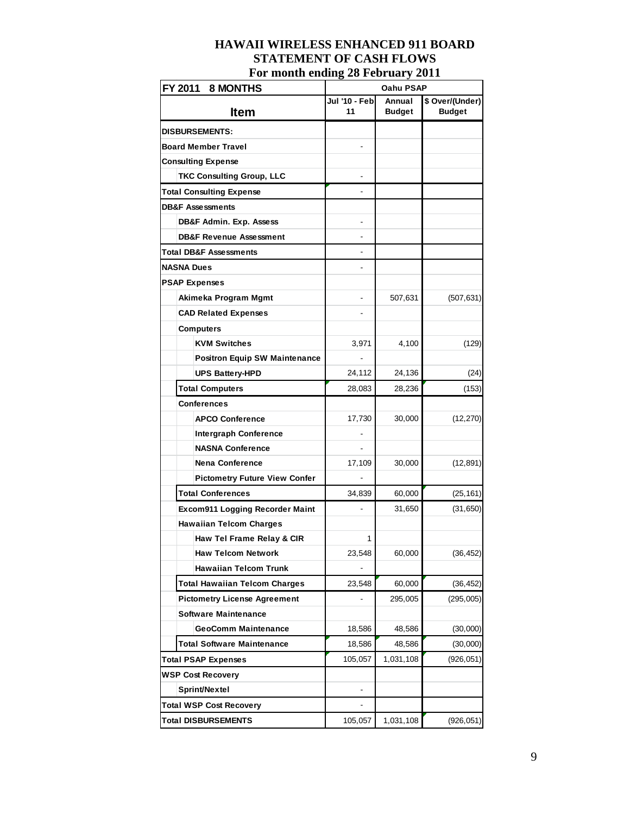# **HAWAII WIRELESS ENHANCED 911 BOARD STATEMENT OF CASH FLOWS**

| FY 2011<br>8 MONTHS                    | Oahu PSAP     |               |                 |  |
|----------------------------------------|---------------|---------------|-----------------|--|
|                                        | Jul '10 - Feb | Annual        | \$ Over/(Under) |  |
| Item                                   | 11            | <b>Budget</b> | <b>Budget</b>   |  |
| <b>DISBURSEMENTS:</b>                  |               |               |                 |  |
| Board Member Travel                    |               |               |                 |  |
| Consulting Expense                     |               |               |                 |  |
| <b>TKC Consulting Group, LLC</b>       |               |               |                 |  |
| <b>Total Consulting Expense</b>        |               |               |                 |  |
| <b>DB&amp;F Assessments</b>            |               |               |                 |  |
| DB&F Admin. Exp. Assess                |               |               |                 |  |
| <b>DB&amp;F Revenue Assessment</b>     |               |               |                 |  |
| <b>Total DB&amp;F Assessments</b>      |               |               |                 |  |
| <b>NASNA Dues</b>                      |               |               |                 |  |
| <b>PSAP Expenses</b>                   |               |               |                 |  |
| Akimeka Program Mgmt                   |               | 507,631       | (507, 631)      |  |
| <b>CAD Related Expenses</b>            |               |               |                 |  |
| <b>Computers</b>                       |               |               |                 |  |
| <b>KVM Switches</b>                    | 3,971         | 4,100         | (129)           |  |
| <b>Positron Equip SW Maintenance</b>   |               |               |                 |  |
| <b>UPS Battery-HPD</b>                 | 24,112        | 24,136        | (24)            |  |
| <b>Total Computers</b>                 | 28,083        | 28,236        | (153)           |  |
| <b>Conferences</b>                     |               |               |                 |  |
| <b>APCO Conference</b>                 | 17,730        | 30,000        | (12, 270)       |  |
| <b>Intergraph Conference</b>           |               |               |                 |  |
| <b>NASNA Conference</b>                |               |               |                 |  |
| <b>Nena Conference</b>                 | 17,109        | 30,000        | (12, 891)       |  |
| <b>Pictometry Future View Confer</b>   |               |               |                 |  |
| <b>Total Conferences</b>               | 34,839        | 60,000        | (25, 161)       |  |
| <b>Excom911 Logging Recorder Maint</b> |               | 31,650        | (31, 650)       |  |
| <b>Hawaiian Telcom Charges</b>         |               |               |                 |  |
| Haw Tel Frame Relay & CIR              | 1             |               |                 |  |
| <b>Haw Telcom Network</b>              | 23,548        | 60,000        | (36, 452)       |  |
| <b>Hawaiian Telcom Trunk</b>           |               |               |                 |  |
| <b>Total Hawaiian Telcom Charges</b>   | 23,548        | 60,000        | (36, 452)       |  |
| <b>Pictometry License Agreement</b>    |               | 295,005       | (295,005)       |  |
| Software Maintenance                   |               |               |                 |  |
| <b>GeoComm Maintenance</b>             | 18,586        | 48,586        | (30,000)        |  |
| <b>Total Software Maintenance</b>      | 18,586        | 48,586        | (30,000)        |  |
| Total PSAP Expenses                    | 105,057       | 1,031,108     | (926, 051)      |  |
| <b>WSP Cost Recovery</b>               |               |               |                 |  |
| Sprint/Nextel                          |               |               |                 |  |
| <b>Total WSP Cost Recovery</b>         |               |               |                 |  |
| <b>Total DISBURSEMENTS</b>             | 105,057       | 1,031,108     | (926, 051)      |  |

## **For month ending 28 February 2011**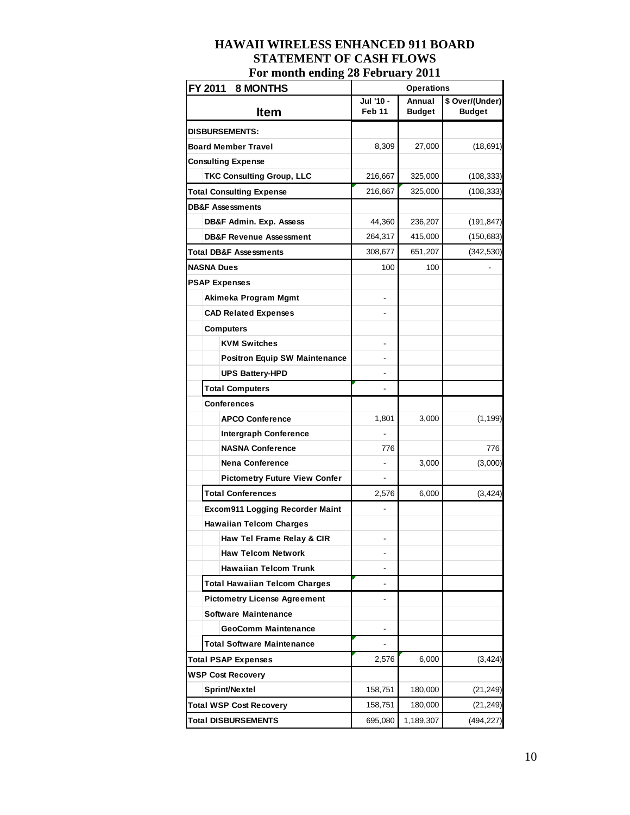| FY 2011 8 MONTHS                     | <b>Operations</b>        |                         |                                  |
|--------------------------------------|--------------------------|-------------------------|----------------------------------|
| <b>Item</b>                          | Jul '10 -<br>Feb 11      | Annual<br><b>Budget</b> | \$ Over/(Under)<br><b>Budget</b> |
| <b>DISBURSEMENTS:</b>                |                          |                         |                                  |
| <b>Board Member Travel</b>           | 8,309                    | 27,000                  | (18, 691)                        |
| <b>Consulting Expense</b>            |                          |                         |                                  |
| <b>TKC Consulting Group, LLC</b>     | 216,667                  | 325,000                 | (108, 333)                       |
| <b>Total Consulting Expense</b>      | 216,667                  | 325,000                 | (108, 333)                       |
| <b>DB&amp;F Assessments</b>          |                          |                         |                                  |
| DB&F Admin. Exp. Assess              | 44,360                   | 236,207                 | (191, 847)                       |
| <b>DB&amp;F Revenue Assessment</b>   | 264,317                  | 415,000                 | (150, 683)                       |
| Total DB&F Assessments               | 308,677                  | 651,207                 | (342, 530)                       |
| <b>NASNA Dues</b>                    | 100                      | 100                     |                                  |
| <b>PSAP Expenses</b>                 |                          |                         |                                  |
| Akimeka Program Mgmt                 |                          |                         |                                  |
| <b>CAD Related Expenses</b>          |                          |                         |                                  |
| <b>Computers</b>                     |                          |                         |                                  |
| <b>KVM Switches</b>                  |                          |                         |                                  |
| <b>Positron Equip SW Maintenance</b> |                          |                         |                                  |
| <b>UPS Battery-HPD</b>               |                          |                         |                                  |
| <b>Total Computers</b>               |                          |                         |                                  |
| <b>Conferences</b>                   |                          |                         |                                  |
| <b>APCO Conference</b>               | 1,801                    | 3,000                   | (1, 199)                         |
| <b>Intergraph Conference</b>         |                          |                         |                                  |
| <b>NASNA Conference</b>              | 776                      |                         | 776                              |
| <b>Nena Conference</b>               |                          | 3,000                   | (3,000)                          |
| <b>Pictometry Future View Confer</b> |                          |                         |                                  |
| <b>Total Conferences</b>             | 2,576                    | 6,000                   | (3, 424)                         |
| Excom911 Logging Recorder Maint      | $\overline{\phantom{0}}$ |                         |                                  |
| <b>Hawaiian Telcom Charges</b>       |                          |                         |                                  |
| Haw Tel Frame Relay & CIR            |                          |                         |                                  |
| <b>Haw Telcom Network</b>            |                          |                         |                                  |
| <b>Hawaiian Telcom Trunk</b>         |                          |                         |                                  |
| <b>Total Hawaiian Telcom Charges</b> |                          |                         |                                  |
| <b>Pictometry License Agreement</b>  |                          |                         |                                  |
| <b>Software Maintenance</b>          |                          |                         |                                  |
| <b>GeoComm Maintenance</b>           |                          |                         |                                  |
| <b>Total Software Maintenance</b>    |                          |                         |                                  |
| <b>Total PSAP Expenses</b>           | 2,576                    | 6,000                   | (3, 424)                         |
| <b>WSP Cost Recovery</b>             |                          |                         |                                  |
| Sprint/Nextel                        | 158,751                  | 180,000                 | (21, 249)                        |
| <b>Total WSP Cost Recovery</b>       | 158,751                  | 180,000                 | (21, 249)                        |
| <b>Total DISBURSEMENTS</b>           | 695,080                  | 1,189,307               | (494, 227)                       |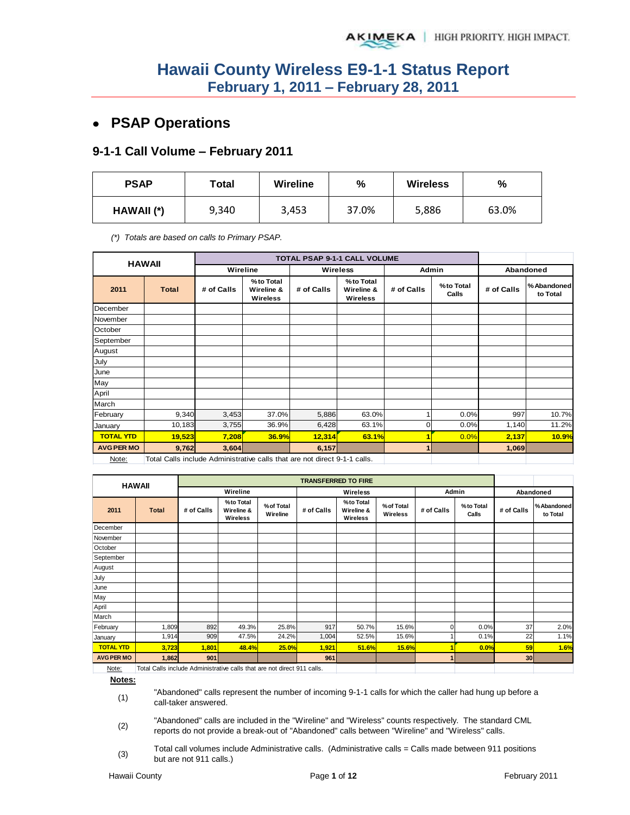# **PSAP Operations**

## **9-1-1 Call Volume – February 2011**

| <b>PSAP</b> | Total | <b>Wireline</b> | %     | <b>Wireless</b> | %     |
|-------------|-------|-----------------|-------|-----------------|-------|
| HAWAII (*)  | 9,340 | 3,453           | 37.0% | 5,886           | 63.0% |

*(\*) Totals are based on calls to Primary PSAP.* 

|                   | <b>HAWAII</b>                                                            |            |                                            |            | TOTAL PSAP 9-1-1 CALL VOLUME        |            |                    |            |                         |
|-------------------|--------------------------------------------------------------------------|------------|--------------------------------------------|------------|-------------------------------------|------------|--------------------|------------|-------------------------|
|                   |                                                                          | Wireline   |                                            |            | <b>Wireless</b>                     | Admin      |                    | Abandoned  |                         |
| 2011              | <b>Total</b>                                                             | # of Calls | %to Total<br>Wireline &<br><b>Wireless</b> | # of Calls | %to Total<br>Wireline &<br>Wireless | # of Calls | %to Total<br>Calls | # of Calls | % Abandoned<br>to Total |
| December          |                                                                          |            |                                            |            |                                     |            |                    |            |                         |
| November          |                                                                          |            |                                            |            |                                     |            |                    |            |                         |
| October           |                                                                          |            |                                            |            |                                     |            |                    |            |                         |
| September         |                                                                          |            |                                            |            |                                     |            |                    |            |                         |
| August            |                                                                          |            |                                            |            |                                     |            |                    |            |                         |
| July              |                                                                          |            |                                            |            |                                     |            |                    |            |                         |
| June              |                                                                          |            |                                            |            |                                     |            |                    |            |                         |
| May               |                                                                          |            |                                            |            |                                     |            |                    |            |                         |
| April             |                                                                          |            |                                            |            |                                     |            |                    |            |                         |
| March             |                                                                          |            |                                            |            |                                     |            |                    |            |                         |
| February          | 9,340                                                                    | 3,453      | 37.0%                                      | 5,886      | 63.0%                               |            | 0.0%               | 997        | 10.7%                   |
| January           | 10,183                                                                   | 3,755      | 36.9%                                      | 6,428      | 63.1%                               | 0          | 0.0%               | 1,140      | 11.2%                   |
| <b>TOTAL YTD</b>  | 19,523                                                                   | 7,208      | 36.9%                                      | 12,314     | 63.1%                               | 1          | 0.0%               | 2,137      | 10.9%                   |
| <b>AVG PER MO</b> | 9,762                                                                    | 3,604      |                                            | 6,157      |                                     | 1          |                    | 1,069      |                         |
| Note:             | Total Calls include Administrative calls that are not direct 9-1-1 calls |            |                                            |            |                                     |            |                    |            |                         |

Note: Total Calls include Administrative calls that are not direct 9-1-1 calls.

|                   | <b>HAWAII</b>                                                           |            |                                     |                        | <b>TRANSFERRED TO FIRE</b> |                                     |                        |              |                    |            |                        |
|-------------------|-------------------------------------------------------------------------|------------|-------------------------------------|------------------------|----------------------------|-------------------------------------|------------------------|--------------|--------------------|------------|------------------------|
|                   |                                                                         |            | Wireline                            |                        |                            | Wireless                            |                        | Admin        |                    | Abandoned  |                        |
| 2011              | <b>Total</b>                                                            | # of Calls | %to Total<br>Wireline &<br>Wireless | % of Total<br>Wireline | # of Calls                 | %to Total<br>Wireline &<br>Wireless | % of Total<br>Wireless | # of Calls   | %to Total<br>Calls | # of Calls | %Abandoned<br>to Total |
| December          |                                                                         |            |                                     |                        |                            |                                     |                        |              |                    |            |                        |
| November          |                                                                         |            |                                     |                        |                            |                                     |                        |              |                    |            |                        |
| October           |                                                                         |            |                                     |                        |                            |                                     |                        |              |                    |            |                        |
| September         |                                                                         |            |                                     |                        |                            |                                     |                        |              |                    |            |                        |
| August            |                                                                         |            |                                     |                        |                            |                                     |                        |              |                    |            |                        |
| July              |                                                                         |            |                                     |                        |                            |                                     |                        |              |                    |            |                        |
| June              |                                                                         |            |                                     |                        |                            |                                     |                        |              |                    |            |                        |
| May               |                                                                         |            |                                     |                        |                            |                                     |                        |              |                    |            |                        |
| April             |                                                                         |            |                                     |                        |                            |                                     |                        |              |                    |            |                        |
| March             |                                                                         |            |                                     |                        |                            |                                     |                        |              |                    |            |                        |
| February          | 1,809                                                                   | 892        | 49.3%                               | 25.8%                  | 917                        | 50.7%                               | 15.6%                  |              | 0.0%               | 37         | 2.0%                   |
| January           | 1,914                                                                   | 909        | 47.5%                               | 24.2%                  | 1,004                      | 52.5%                               | 15.6%                  |              | 0.1%               | 22         | 1.1%                   |
| <b>TOTAL YTD</b>  | 3,723                                                                   | 1,801      | 48.4%                               | 25.0%                  | 1,921                      | 51.6%                               | 15.6%                  |              | 0.0%               | 59         | 1.6%                   |
| <b>AVG PER MO</b> | 1,862                                                                   | 901        |                                     |                        | 961                        |                                     |                        | $\mathbf{1}$ |                    | 30         |                        |
| Note:             | Total Calls include Administrative calls that are not direct 911 calls. |            |                                     |                        |                            |                                     |                        |              |                    |            |                        |

**Notes:**

(1) "Abandoned" calls represent the number of incoming 9-1-1 calls for which the caller had hung up before a call-taker answered.

(2) "Abandoned" calls are included in the "Wireline" and "Wireless" counts respectively. The standard CML reports do not provide a break-out of "Abandoned" calls between "Wireline" and "Wireless" calls.

(3) Total call volumes include Administrative calls. (Administrative calls = Calls made between 911 positions but are not 911 calls.)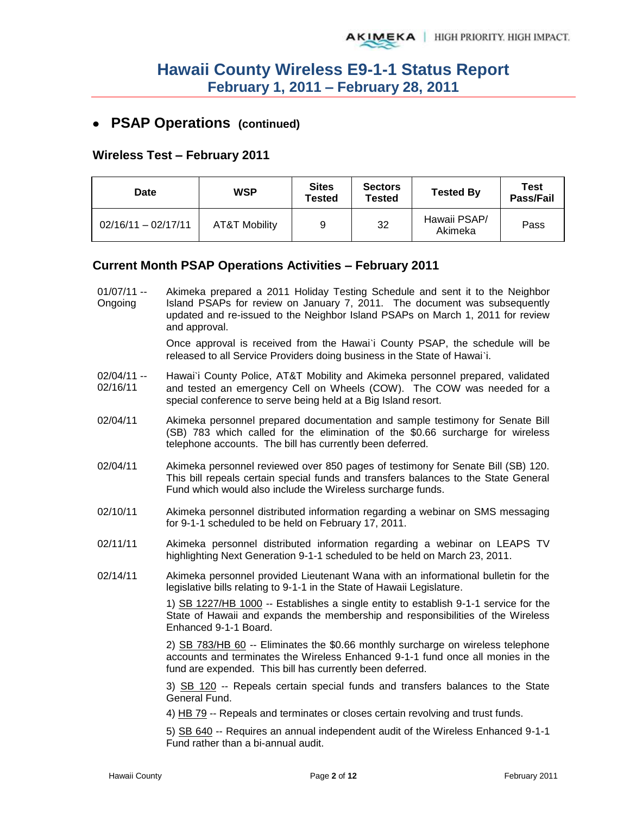## **PSAP Operations (continued)**

### **Wireless Test – February 2011**

| Date                  | WSP           | <b>Sites</b><br><b>Tested</b> | <b>Sectors</b><br><b>Tested</b> | <b>Tested By</b>        | Test<br>Pass/Fail |
|-----------------------|---------------|-------------------------------|---------------------------------|-------------------------|-------------------|
| $02/16/11 - 02/17/11$ | AT&T Mobility | 9                             | 32                              | Hawaii PSAP/<br>Akimeka | Pass              |

### **Current Month PSAP Operations Activities – February 2011**

01/07/11 -- Ongoing Akimeka prepared a 2011 Holiday Testing Schedule and sent it to the Neighbor Island PSAPs for review on January 7, 2011. The document was subsequently updated and re-issued to the Neighbor Island PSAPs on March 1, 2011 for review and approval.

> Once approval is received from the Hawai`i County PSAP, the schedule will be released to all Service Providers doing business in the State of Hawai`i.

- 02/04/11 -- 02/16/11 Hawai`i County Police, AT&T Mobility and Akimeka personnel prepared, validated and tested an emergency Cell on Wheels (COW). The COW was needed for a special conference to serve being held at a Big Island resort.
- 02/04/11 Akimeka personnel prepared documentation and sample testimony for Senate Bill (SB) 783 which called for the elimination of the \$0.66 surcharge for wireless telephone accounts. The bill has currently been deferred.
- 02/04/11 Akimeka personnel reviewed over 850 pages of testimony for Senate Bill (SB) 120. This bill repeals certain special funds and transfers balances to the State General Fund which would also include the Wireless surcharge funds.
- 02/10/11 Akimeka personnel distributed information regarding a webinar on SMS messaging for 9-1-1 scheduled to be held on February 17, 2011.
- 02/11/11 Akimeka personnel distributed information regarding a webinar on LEAPS TV highlighting Next Generation 9-1-1 scheduled to be held on March 23, 2011.
- 02/14/11 Akimeka personnel provided Lieutenant Wana with an informational bulletin for the legislative bills relating to 9-1-1 in the State of Hawaii Legislature.

1) SB 1227/HB 1000 -- Establishes a single entity to establish 9-1-1 service for the State of Hawaii and expands the membership and responsibilities of the Wireless Enhanced 9-1-1 Board.

2) SB 783/HB 60 -- Eliminates the \$0.66 monthly surcharge on wireless telephone accounts and terminates the Wireless Enhanced 9-1-1 fund once all monies in the fund are expended. This bill has currently been deferred.

3) SB 120 -- Repeals certain special funds and transfers balances to the State General Fund.

4) HB 79 -- Repeals and terminates or closes certain revolving and trust funds.

5) SB 640 -- Requires an annual independent audit of the Wireless Enhanced 9-1-1 Fund rather than a bi-annual audit.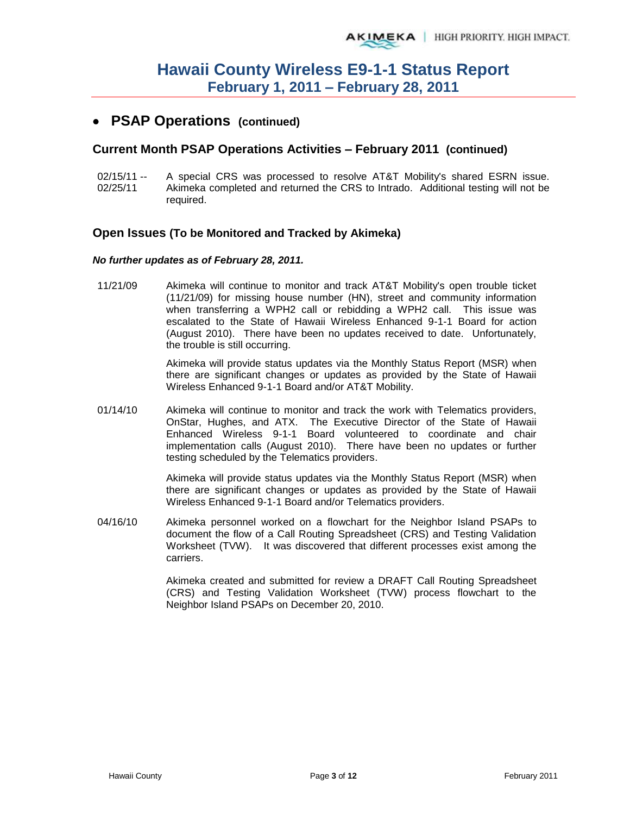## **PSAP Operations (continued)**

### **Current Month PSAP Operations Activities – February 2011 (continued)**

 $02/15/11 -$ 02/25/11 A special CRS was processed to resolve AT&T Mobility's shared ESRN issue. Akimeka completed and returned the CRS to Intrado. Additional testing will not be required.

### **Open Issues (To be Monitored and Tracked by Akimeka)**

#### *No further updates as of February 28, 2011.*

11/21/09 Akimeka will continue to monitor and track AT&T Mobility's open trouble ticket (11/21/09) for missing house number (HN), street and community information when transferring a WPH2 call or rebidding a WPH2 call. This issue was escalated to the State of Hawaii Wireless Enhanced 9-1-1 Board for action (August 2010). There have been no updates received to date. Unfortunately, the trouble is still occurring.

> Akimeka will provide status updates via the Monthly Status Report (MSR) when there are significant changes or updates as provided by the State of Hawaii Wireless Enhanced 9-1-1 Board and/or AT&T Mobility.

01/14/10 Akimeka will continue to monitor and track the work with Telematics providers, OnStar, Hughes, and ATX. The Executive Director of the State of Hawaii Enhanced Wireless 9-1-1 Board volunteered to coordinate and chair implementation calls (August 2010). There have been no updates or further testing scheduled by the Telematics providers.

> Akimeka will provide status updates via the Monthly Status Report (MSR) when there are significant changes or updates as provided by the State of Hawaii Wireless Enhanced 9-1-1 Board and/or Telematics providers.

04/16/10 Akimeka personnel worked on a flowchart for the Neighbor Island PSAPs to document the flow of a Call Routing Spreadsheet (CRS) and Testing Validation Worksheet (TVW). It was discovered that different processes exist among the carriers.

> Akimeka created and submitted for review a DRAFT Call Routing Spreadsheet (CRS) and Testing Validation Worksheet (TVW) process flowchart to the Neighbor Island PSAPs on December 20, 2010.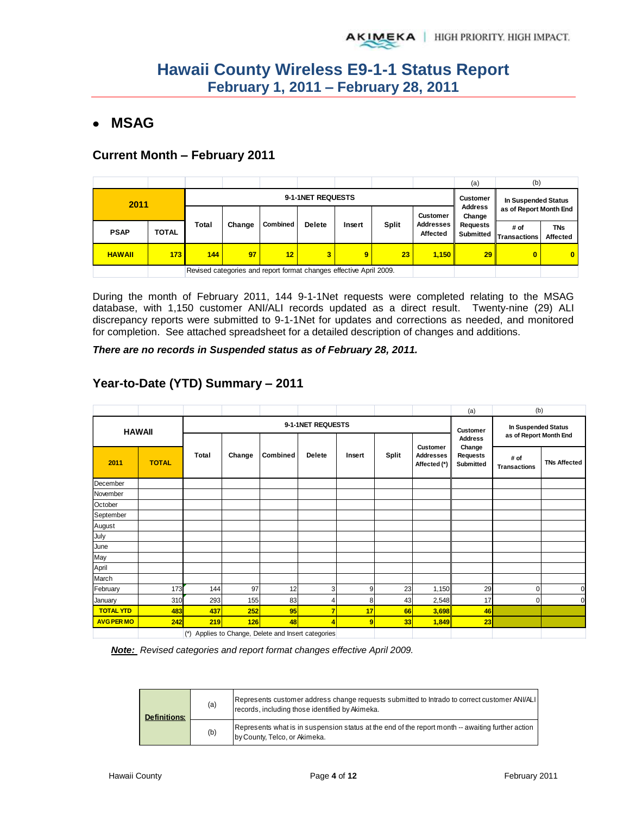# **MSAG**

### **Current Month – February 2011**

|                           |              |       |                                                                    |    |                              |                      |                               |                     | (a) | (b)                              |              |              |                              |                          |                        |  |
|---------------------------|--------------|-------|--------------------------------------------------------------------|----|------------------------------|----------------------|-------------------------------|---------------------|-----|----------------------------------|--------------|--------------|------------------------------|--------------------------|------------------------|--|
| 9-1-1NET REQUESTS<br>2011 |              |       |                                                                    |    |                              |                      | <b>Customer</b>               | In Suspended Status |     |                                  |              |              |                              |                          |                        |  |
|                           |              |       | <b>Customer</b>                                                    |    |                              |                      |                               |                     |     | <b>Combined</b><br><b>Delete</b> | Insert       | <b>Split</b> | Addresses<br><b>Affected</b> | <b>Address</b><br>Change | as of Report Month End |  |
| <b>PSAP</b>               | <b>TOTAL</b> | Total | Change                                                             |    | <b>Requests</b><br>Submitted | # of<br>Transactions | <b>TNs</b><br><b>Affected</b> |                     |     |                                  |              |              |                              |                          |                        |  |
| <b>HAWAII</b>             | 173          | 144   | 97                                                                 | 12 | 3                            | 9                    | 23                            | 1,150               | 29  | $\bf{0}$                         | $\mathbf{0}$ |              |                              |                          |                        |  |
|                           |              |       | Revised categories and report format changes effective April 2009. |    |                              |                      |                               |                     |     |                                  |              |              |                              |                          |                        |  |

During the month of February 2011, 144 9-1-1Net requests were completed relating to the MSAG database, with 1,150 customer ANI/ALI records updated as a direct result. Twenty-nine (29) ALI discrepancy reports were submitted to 9-1-1Net for updates and corrections as needed, and monitored for completion. See attached spreadsheet for a detailed description of changes and additions.

*There are no records in Suspended status as of February 28, 2011.* 

|                   |               |       |        |                                                 |                   |        |    |                                                     | (a)                             | (b)                         |                        |  |
|-------------------|---------------|-------|--------|-------------------------------------------------|-------------------|--------|----|-----------------------------------------------------|---------------------------------|-----------------------------|------------------------|--|
|                   | <b>HAWAII</b> |       |        |                                                 | 9-1-1NET REQUESTS |        |    |                                                     | <b>Customer</b>                 | In Suspended Status         |                        |  |
|                   |               |       |        |                                                 |                   |        |    |                                                     |                                 | <b>Address</b>              | as of Report Month End |  |
| 2011              | <b>TOTAL</b>  | Total | Change | Combined                                        | <b>Delete</b>     | Insert |    | <b>Customer</b><br><b>Addresses</b><br>Affected (*) | Change<br>Requests<br>Submitted | # of<br><b>Transactions</b> | <b>TNs Affected</b>    |  |
| December          |               |       |        |                                                 |                   |        |    |                                                     |                                 |                             |                        |  |
| November          |               |       |        |                                                 |                   |        |    |                                                     |                                 |                             |                        |  |
| October           |               |       |        |                                                 |                   |        |    |                                                     |                                 |                             |                        |  |
| September         |               |       |        |                                                 |                   |        |    |                                                     |                                 |                             |                        |  |
| August            |               |       |        |                                                 |                   |        |    |                                                     |                                 |                             |                        |  |
| July              |               |       |        |                                                 |                   |        |    |                                                     |                                 |                             |                        |  |
| June              |               |       |        |                                                 |                   |        |    |                                                     |                                 |                             |                        |  |
| May               |               |       |        |                                                 |                   |        |    |                                                     |                                 |                             |                        |  |
| April             |               |       |        |                                                 |                   |        |    |                                                     |                                 |                             |                        |  |
| March             |               |       |        |                                                 |                   |        |    |                                                     |                                 |                             |                        |  |
| February          | 173           | 144   | 97     | 12                                              | 3                 | 9      | 23 | 1,150                                               | 29                              | 0                           | 0                      |  |
| January           | 310           | 293   | 155    | 83                                              | 4                 | 8      | 43 | 2,548                                               | 17                              | 0                           | $\Omega$               |  |
| <b>TOTAL YTD</b>  | 483           | 437   | 252    | 95                                              | $\overline{7}$    | 17     | 66 | 3,698                                               | 46                              |                             |                        |  |
| <b>AVG PER MO</b> | 242           | 219   | 126    | 48                                              | 4                 | 9      | 33 | 1,849                                               | 23                              |                             |                        |  |
|                   |               | $(*)$ |        | Applies to Change, Delete and Insert categories |                   |        |    |                                                     |                                 |                             |                        |  |

## **Year-to-Date (YTD) Summary – 2011**

*Note: Revised categories and report format changes effective April 2009.* 

| <b>Definitions:</b> | (a) | Represents customer address change requests submitted to Intrado to correct customer ANI/ALI<br>records, including those identified by Akimeka. |
|---------------------|-----|-------------------------------------------------------------------------------------------------------------------------------------------------|
|                     | (b) | Represents what is in suspension status at the end of the report month -- awaiting further action<br>by County, Telco, or Akimeka.              |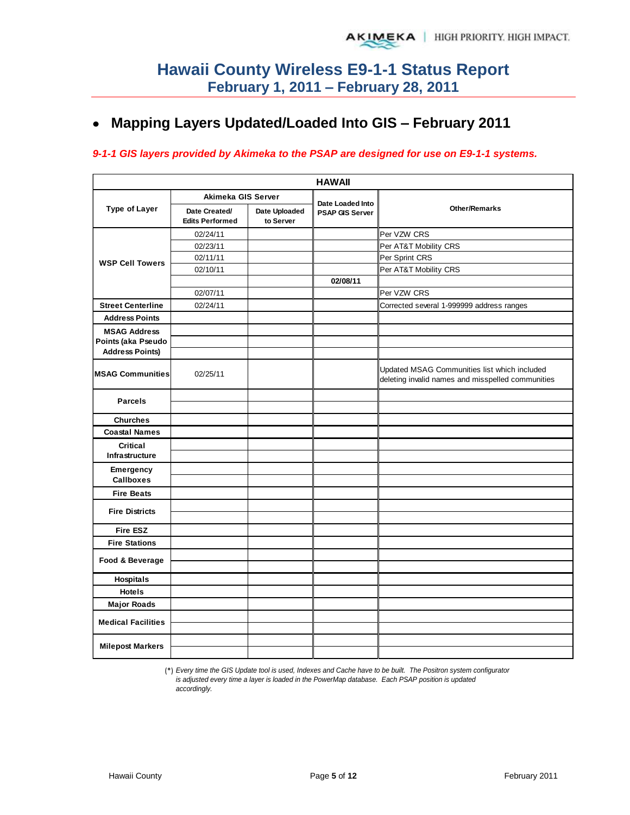# **Mapping Layers Updated/Loaded Into GIS – February 2011**

### *9-1-1 GIS layers provided by Akimeka to the PSAP are designed for use on E9-1-1 systems.*

|                           |                                         |                            | <b>HAWAII</b>                              |                                                                                                   |
|---------------------------|-----------------------------------------|----------------------------|--------------------------------------------|---------------------------------------------------------------------------------------------------|
|                           | Akimeka GIS Server                      |                            |                                            |                                                                                                   |
| <b>Type of Layer</b>      | Date Created/<br><b>Edits Performed</b> | Date Uploaded<br>to Server | Date Loaded Into<br><b>PSAP GIS Server</b> | <b>Other/Remarks</b>                                                                              |
|                           | 02/24/11                                |                            |                                            | Per VZW CRS                                                                                       |
|                           | 02/23/11                                |                            |                                            | Per AT&T Mobility CRS                                                                             |
| <b>WSP Cell Towers</b>    | 02/11/11                                |                            |                                            | Per Sprint CRS                                                                                    |
|                           | 02/10/11                                |                            |                                            | Per AT&T Mobility CRS                                                                             |
|                           |                                         |                            | 02/08/11                                   |                                                                                                   |
|                           | 02/07/11                                |                            |                                            | Per VZW CRS                                                                                       |
| <b>Street Centerline</b>  | 02/24/11                                |                            |                                            | Corrected several 1-999999 address ranges                                                         |
| <b>Address Points</b>     |                                         |                            |                                            |                                                                                                   |
| <b>MSAG Address</b>       |                                         |                            |                                            |                                                                                                   |
| Points (aka Pseudo        |                                         |                            |                                            |                                                                                                   |
| <b>Address Points)</b>    |                                         |                            |                                            |                                                                                                   |
| <b>MSAG Communities</b>   | 02/25/11                                |                            |                                            | Updated MSAG Communities list which included<br>deleting invalid names and misspelled communities |
|                           |                                         |                            |                                            |                                                                                                   |
| <b>Parcels</b>            |                                         |                            |                                            |                                                                                                   |
| <b>Churches</b>           |                                         |                            |                                            |                                                                                                   |
| <b>Coastal Names</b>      |                                         |                            |                                            |                                                                                                   |
| <b>Critical</b>           |                                         |                            |                                            |                                                                                                   |
| Infrastructure            |                                         |                            |                                            |                                                                                                   |
| Emergency                 |                                         |                            |                                            |                                                                                                   |
| <b>Callboxes</b>          |                                         |                            |                                            |                                                                                                   |
| <b>Fire Beats</b>         |                                         |                            |                                            |                                                                                                   |
|                           |                                         |                            |                                            |                                                                                                   |
| <b>Fire Districts</b>     |                                         |                            |                                            |                                                                                                   |
| <b>Fire ESZ</b>           |                                         |                            |                                            |                                                                                                   |
| <b>Fire Stations</b>      |                                         |                            |                                            |                                                                                                   |
|                           |                                         |                            |                                            |                                                                                                   |
| Food & Beverage           |                                         |                            |                                            |                                                                                                   |
| Hospitals                 |                                         |                            |                                            |                                                                                                   |
| <b>Hotels</b>             |                                         |                            |                                            |                                                                                                   |
| <b>Major Roads</b>        |                                         |                            |                                            |                                                                                                   |
|                           |                                         |                            |                                            |                                                                                                   |
| <b>Medical Facilities</b> |                                         |                            |                                            |                                                                                                   |
| <b>Milepost Markers</b>   |                                         |                            |                                            |                                                                                                   |

(\*) *Every time the GIS Update tool is used, Indexes and Cache have to be built. The Positron system configurator is adjusted every time a layer is loaded in the PowerMap database. Each PSAP position is updated accordingly.*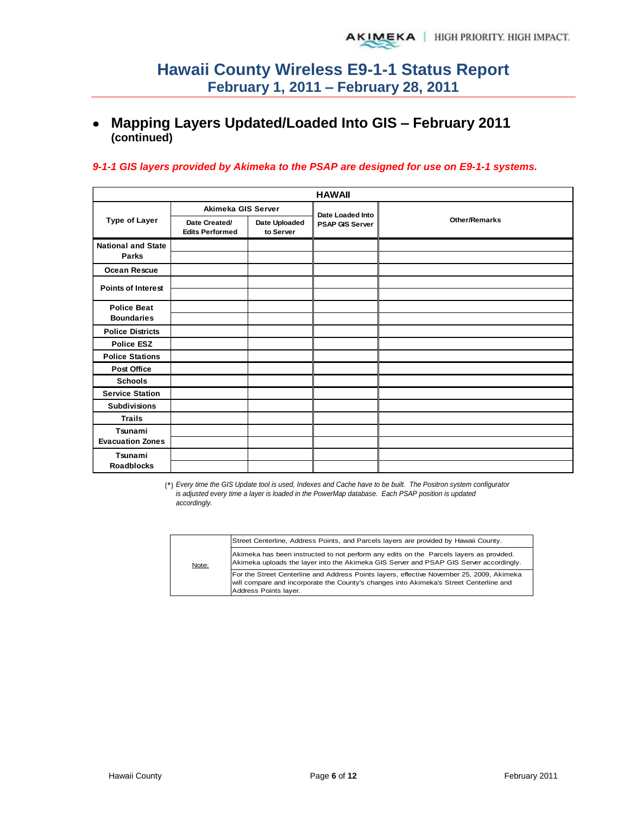# **Mapping Layers Updated/Loaded Into GIS – February 2011 (continued)**

### *9-1-1 GIS layers provided by Akimeka to the PSAP are designed for use on E9-1-1 systems.*

|                           |                                         |                            | <b>HAWAII</b>          |                      |
|---------------------------|-----------------------------------------|----------------------------|------------------------|----------------------|
|                           | Akimeka GIS Server                      |                            | Date Loaded Into       |                      |
| <b>Type of Layer</b>      | Date Created/<br><b>Edits Performed</b> | Date Uploaded<br>to Server | <b>PSAP GIS Server</b> | <b>Other/Remarks</b> |
| <b>National and State</b> |                                         |                            |                        |                      |
| <b>Parks</b>              |                                         |                            |                        |                      |
| <b>Ocean Rescue</b>       |                                         |                            |                        |                      |
| <b>Points of Interest</b> |                                         |                            |                        |                      |
|                           |                                         |                            |                        |                      |
| <b>Police Beat</b>        |                                         |                            |                        |                      |
| <b>Boundaries</b>         |                                         |                            |                        |                      |
| <b>Police Districts</b>   |                                         |                            |                        |                      |
| <b>Police ESZ</b>         |                                         |                            |                        |                      |
| <b>Police Stations</b>    |                                         |                            |                        |                      |
| <b>Post Office</b>        |                                         |                            |                        |                      |
| <b>Schools</b>            |                                         |                            |                        |                      |
| <b>Service Station</b>    |                                         |                            |                        |                      |
| <b>Subdivisions</b>       |                                         |                            |                        |                      |
| <b>Trails</b>             |                                         |                            |                        |                      |
| Tsunami                   |                                         |                            |                        |                      |
| <b>Evacuation Zones</b>   |                                         |                            |                        |                      |
| Tsunami                   |                                         |                            |                        |                      |
| <b>Roadblocks</b>         |                                         |                            |                        |                      |

(\*) *Every time the GIS Update tool is used, Indexes and Cache have to be built. The Positron system configurator is adjusted every time a layer is loaded in the PowerMap database. Each PSAP position is updated accordingly.*

|       | Street Centerline, Address Points, and Parcels layers are provided by Hawaii County.                                                                                                                         |
|-------|--------------------------------------------------------------------------------------------------------------------------------------------------------------------------------------------------------------|
| Note: | Akimeka has been instructed to not perform any edits on the Parcels layers as provided.<br>Akimeka uploads the layer into the Akimeka GIS Server and PSAP GIS Server accordingly.                            |
|       | For the Street Centerline and Address Points layers, effective November 25, 2009, Akimeka<br>will compare and incorporate the County's changes into Akimeka's Street Centerline and<br>Address Points layer. |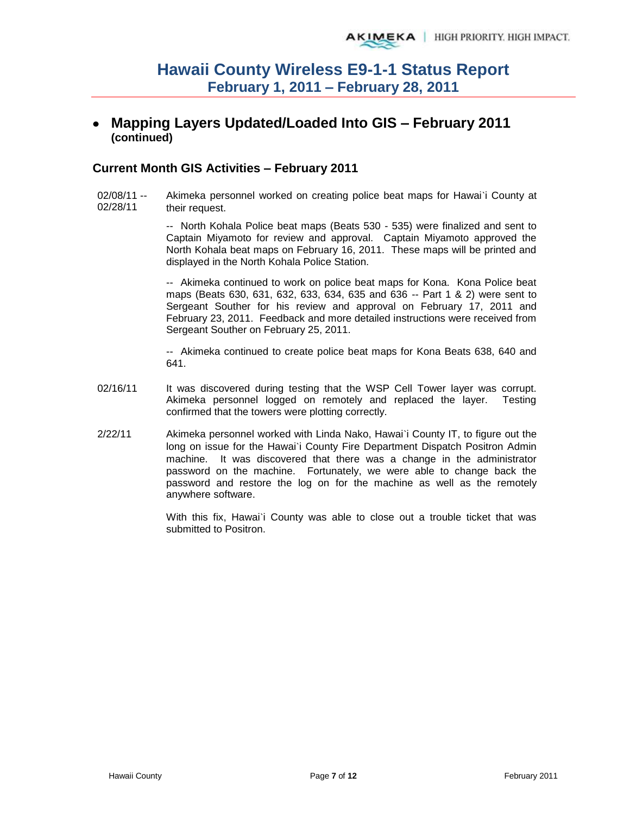## **Mapping Layers Updated/Loaded Into GIS – February 2011 (continued)**

### **Current Month GIS Activities – February 2011**

02/08/11 -- 02/28/11 Akimeka personnel worked on creating police beat maps for Hawai`i County at their request.

> -- North Kohala Police beat maps (Beats 530 - 535) were finalized and sent to Captain Miyamoto for review and approval. Captain Miyamoto approved the North Kohala beat maps on February 16, 2011. These maps will be printed and displayed in the North Kohala Police Station.

> -- Akimeka continued to work on police beat maps for Kona. Kona Police beat maps (Beats 630, 631, 632, 633, 634, 635 and 636 -- Part 1 & 2) were sent to Sergeant Souther for his review and approval on February 17, 2011 and February 23, 2011. Feedback and more detailed instructions were received from Sergeant Souther on February 25, 2011.

> -- Akimeka continued to create police beat maps for Kona Beats 638, 640 and 641.

- 02/16/11 It was discovered during testing that the WSP Cell Tower layer was corrupt. Akimeka personnel logged on remotely and replaced the layer. Testing confirmed that the towers were plotting correctly.
- 2/22/11 Akimeka personnel worked with Linda Nako, Hawai`i County IT, to figure out the long on issue for the Hawai'i County Fire Department Dispatch Positron Admin machine. It was discovered that there was a change in the administrator password on the machine. Fortunately, we were able to change back the password and restore the log on for the machine as well as the remotely anywhere software.

With this fix, Hawai`i County was able to close out a trouble ticket that was submitted to Positron.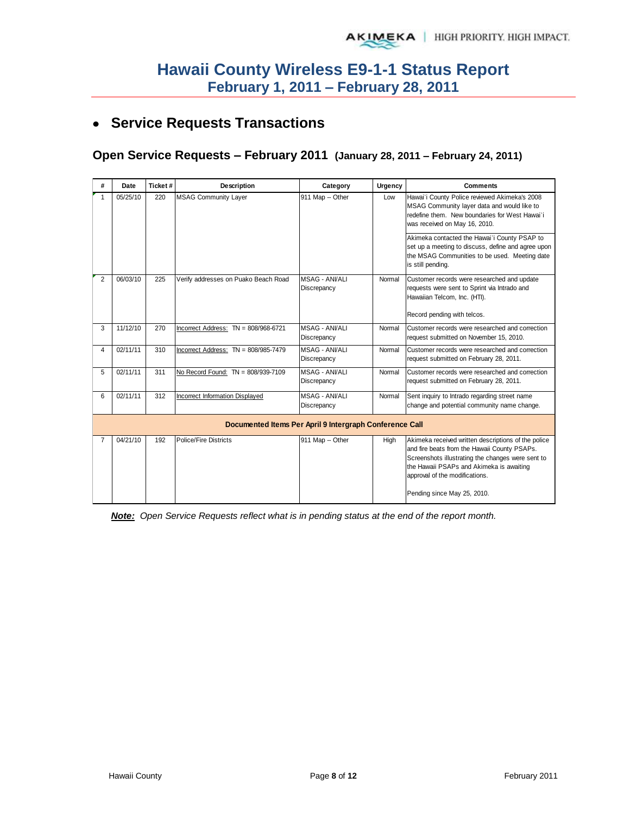# **Service Requests Transactions**

## **Open Service Requests – February 2011 (January 28, 2011 – February 24, 2011)**

| #              | Date     | Ticket# | <b>Description</b>                   | Category                                                | Urgency | <b>Comments</b>                                                                                                                                                                                                                                                       |
|----------------|----------|---------|--------------------------------------|---------------------------------------------------------|---------|-----------------------------------------------------------------------------------------------------------------------------------------------------------------------------------------------------------------------------------------------------------------------|
| 1              | 05/25/10 | 220     | <b>MSAG Community Layer</b>          | 911 Map -- Other                                        | Low     | Hawai'i County Police reviewed Akimeka's 2008<br>MSAG Community layer data and would like to<br>redefine them. New boundaries for West Hawai'i<br>was received on May 16, 2010.                                                                                       |
|                |          |         |                                      |                                                         |         | Akimeka contacted the Hawai'i County PSAP to<br>set up a meeting to discuss, define and agree upon<br>the MSAG Communities to be used. Meeting date<br>is still pending.                                                                                              |
| 2              | 06/03/10 | 225     | Verify addresses on Puako Beach Road | <b>MSAG - ANI/ALI</b><br>Discrepancy                    | Normal  | Customer records were researched and update<br>requests were sent to Sprint via Intrado and<br>Hawaiian Telcom, Inc. (HTI).<br>Record pending with telcos.                                                                                                            |
| 3              | 11/12/10 | 270     | Incorrect Address: TN = 808/968-6721 | MSAG - ANI/ALI<br>Discrepancy                           | Normal  | Customer records were researched and correction<br>request submitted on November 15, 2010.                                                                                                                                                                            |
| 4              | 02/11/11 | 310     | Incorrect Address: TN = 808/985-7479 | MSAG - ANI/ALI<br>Discrepancy                           | Normal  | Customer records were researched and correction<br>request submitted on February 28, 2011.                                                                                                                                                                            |
| 5              | 02/11/11 | 311     | No Record Found: TN = 808/939-7109   | <b>MSAG - ANI/ALI</b><br>Discrepancy                    | Normal  | Customer records were researched and correction<br>request submitted on February 28, 2011.                                                                                                                                                                            |
| 6              | 02/11/11 | 312     | Incorrect Information Displayed      | <b>MSAG - ANVALI</b><br>Discrepancy                     | Normal  | Sent inquiry to Intrado regarding street name<br>change and potential community name change.                                                                                                                                                                          |
|                |          |         |                                      | Documented Items Per April 9 Intergraph Conference Call |         |                                                                                                                                                                                                                                                                       |
| $\overline{7}$ | 04/21/10 | 192     | Police/Fire Districts                | 911 Map -- Other                                        | High    | Akimeka received written descriptions of the police<br>and fire beats from the Hawaii County PSAPs.<br>Screenshots illustrating the changes were sent to<br>the Hawaii PSAPs and Akimeka is awaiting<br>approval of the modifications.<br>Pending since May 25, 2010. |

*Note: Open Service Requests reflect what is in pending status at the end of the report month.*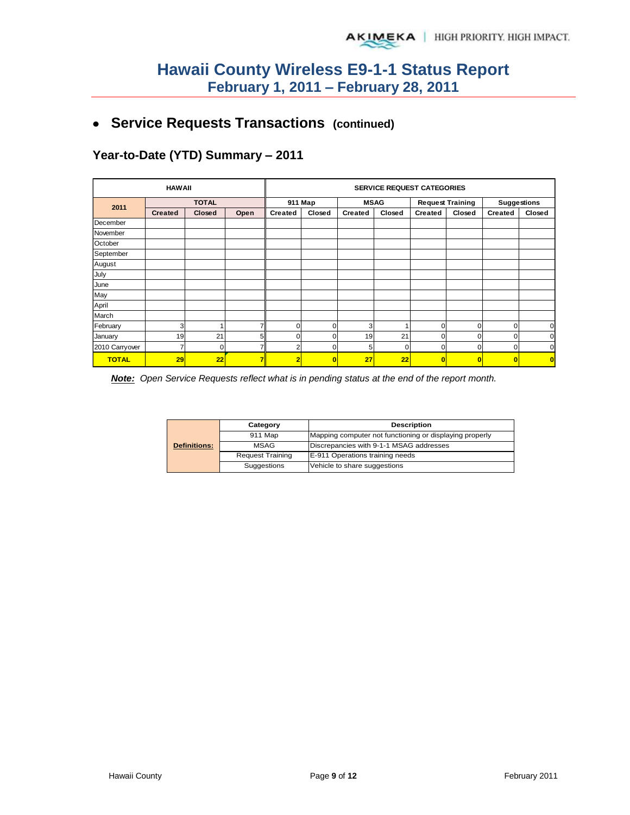# **Service Requests Transactions (continued)**

**Year-to-Date (YTD) Summary – 2011**

| <b>HAWAII</b>  |                |        |         | <b>SERVICE REQUEST CATEGORIES</b> |             |         |                         |                         |                    |          |          |
|----------------|----------------|--------|---------|-----------------------------------|-------------|---------|-------------------------|-------------------------|--------------------|----------|----------|
| 2011           | <b>TOTAL</b>   |        | 911 Map |                                   | <b>MSAG</b> |         | <b>Request Training</b> |                         | <b>Suggestions</b> |          |          |
|                | <b>Created</b> | Closed | Open    | <b>Created</b>                    | Closed      | Created | Closed                  | Created                 | Closed             | Created  | Closed   |
| December       |                |        |         |                                   |             |         |                         |                         |                    |          |          |
| November       |                |        |         |                                   |             |         |                         |                         |                    |          |          |
| October        |                |        |         |                                   |             |         |                         |                         |                    |          |          |
| September      |                |        |         |                                   |             |         |                         |                         |                    |          |          |
| August         |                |        |         |                                   |             |         |                         |                         |                    |          |          |
| July           |                |        |         |                                   |             |         |                         |                         |                    |          |          |
| June           |                |        |         |                                   |             |         |                         |                         |                    |          |          |
| May            |                |        |         |                                   |             |         |                         |                         |                    |          |          |
| April          |                |        |         |                                   |             |         |                         |                         |                    |          |          |
| March          |                |        |         |                                   |             |         |                         |                         |                    |          |          |
| February       | 3              |        |         | $\Omega$                          | 0           | 3       |                         | 0                       | 0                  | $\Omega$ | 0        |
| January        | 19             | 21     | 5       | $\Omega$                          | $\Omega$    | 19      | 21                      | 0                       | 0                  | C        | $\Omega$ |
| 2010 Carryover | 7              | 0      |         | 2                                 | 0           | 5       | $\Omega$                | 0                       | 0                  | $\Omega$ | 0        |
| <b>TOTAL</b>   | 29             | 22     | 7       | 2                                 | Ō           | 27      | 22                      | $\overline{\mathbf{0}}$ | O                  | $\bf{0}$ | O        |

*Note: Open Service Requests reflect what is in pending status at the end of the report month.* 

|                     | Category                | <b>Description</b>                                      |  |  |  |
|---------------------|-------------------------|---------------------------------------------------------|--|--|--|
|                     | 911 Map                 | Mapping computer not functioning or displaying properly |  |  |  |
| <b>Definitions:</b> | <b>MSAG</b>             | Discrepancies with 9-1-1 MSAG addresses                 |  |  |  |
|                     | <b>Request Training</b> | E-911 Operations training needs                         |  |  |  |
|                     | Suggestions             | Vehicle to share suggestions                            |  |  |  |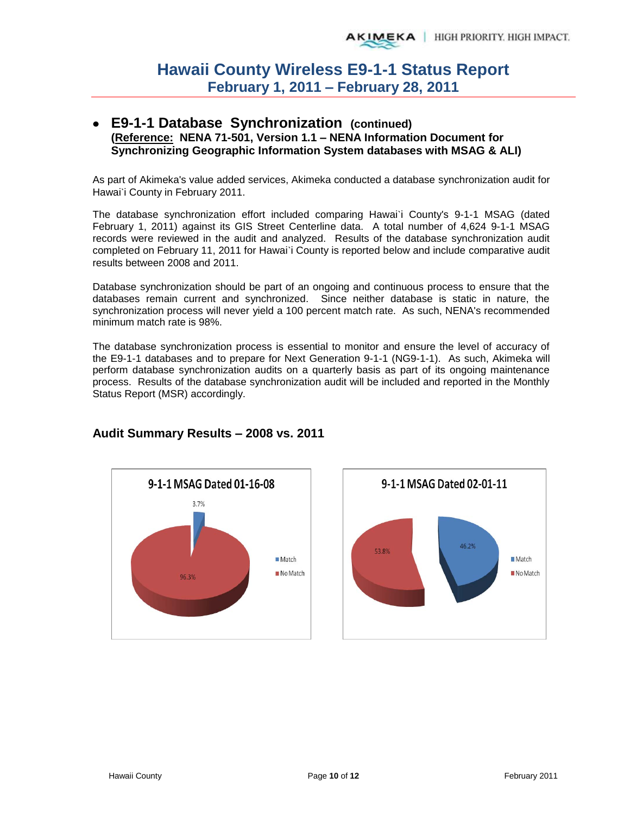### **E9-1-1 Database Synchronization (continued) (Reference: NENA 71-501, Version 1.1 – NENA Information Document for Synchronizing Geographic Information System databases with MSAG & ALI)**

As part of Akimeka's value added services, Akimeka conducted a database synchronization audit for Hawai`i County in February 2011.

The database synchronization effort included comparing Hawai`i County's 9-1-1 MSAG (dated February 1, 2011) against its GIS Street Centerline data. A total number of 4,624 9-1-1 MSAG records were reviewed in the audit and analyzed. Results of the database synchronization audit completed on February 11, 2011 for Hawai`i County is reported below and include comparative audit results between 2008 and 2011.

Database synchronization should be part of an ongoing and continuous process to ensure that the databases remain current and synchronized. Since neither database is static in nature, the synchronization process will never yield a 100 percent match rate. As such, NENA's recommended minimum match rate is 98%.

The database synchronization process is essential to monitor and ensure the level of accuracy of the E9-1-1 databases and to prepare for Next Generation 9-1-1 (NG9-1-1). As such, Akimeka will perform database synchronization audits on a quarterly basis as part of its ongoing maintenance process. Results of the database synchronization audit will be included and reported in the Monthly Status Report (MSR) accordingly.





## **Audit Summary Results – 2008 vs. 2011**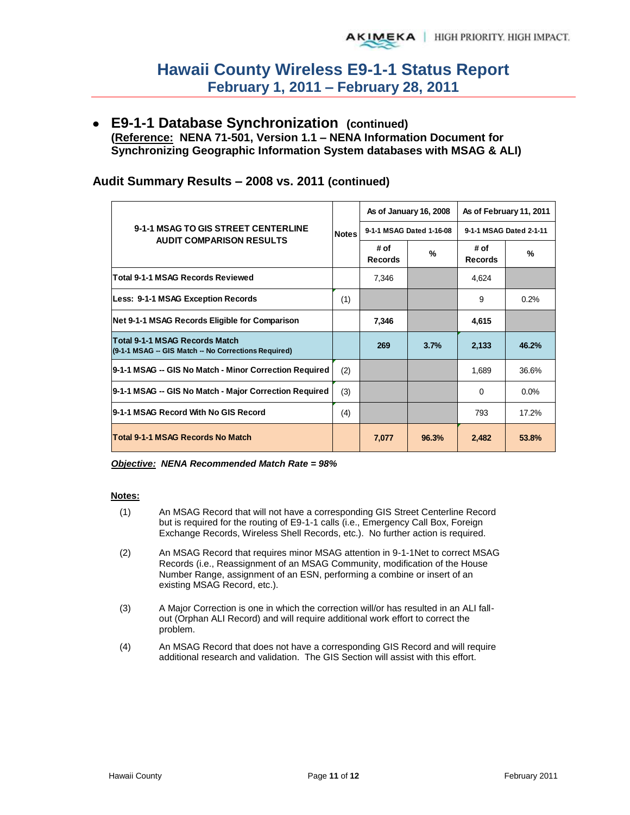**E9-1-1 Database Synchronization (continued) (Reference: NENA 71-501, Version 1.1 – NENA Information Document for Synchronizing Geographic Information System databases with MSAG & ALI)** 

### **Audit Summary Results – 2008 vs. 2011 (continued)**

|                                                                                        |              |                        | As of January 16, 2008   | As of February 11, 2011 |               |  |
|----------------------------------------------------------------------------------------|--------------|------------------------|--------------------------|-------------------------|---------------|--|
| 9-1-1 MSAG TO GIS STREET CENTERLINE                                                    | <b>Notes</b> |                        | 9-1-1 MSAG Dated 1-16-08 | 9-1-1 MSAG Dated 2-1-11 |               |  |
| <b>AUDIT COMPARISON RESULTS</b>                                                        |              | # of<br><b>Records</b> | %                        | # of<br><b>Records</b>  | $\frac{9}{6}$ |  |
| <b>Total 9-1-1 MSAG Records Reviewed</b>                                               |              | 7,346                  |                          | 4,624                   |               |  |
| Less: 9-1-1 MSAG Exception Records                                                     | (1)          |                        |                          | 9                       | 0.2%          |  |
| Net 9-1-1 MSAG Records Eligible for Comparison                                         |              | 7,346                  |                          | 4,615                   |               |  |
| Total 9-1-1 MSAG Records Match<br>(9-1-1 MSAG -- GIS Match -- No Corrections Required) |              | 269                    | 3.7%                     | 2,133                   | 46.2%         |  |
| 9-1-1 MSAG -- GIS No Match - Minor Correction Required                                 | (2)          |                        |                          | 1,689                   | 36.6%         |  |
| 9-1-1 MSAG -- GIS No Match - Major Correction Required                                 | (3)          |                        |                          | $\Omega$                | $0.0\%$       |  |
| l9-1-1 MSAG Record With No GIS Record                                                  | (4)          |                        |                          | 793                     | 17.2%         |  |
| Total 9-1-1 MSAG Records No Match                                                      |              | 7,077                  | 96.3%                    | 2,482                   | 53.8%         |  |

*Objective: NENA Recommended Match Rate = 98%* 

#### **Notes:**

- (1) An MSAG Record that will not have a corresponding GIS Street Centerline Record but is required for the routing of E9-1-1 calls (i.e., Emergency Call Box, Foreign Exchange Records, Wireless Shell Records, etc.). No further action is required.
- (2) An MSAG Record that requires minor MSAG attention in 9-1-1Net to correct MSAG Records (i.e., Reassignment of an MSAG Community, modification of the House Number Range, assignment of an ESN, performing a combine or insert of an existing MSAG Record, etc.).
- (3) A Major Correction is one in which the correction will/or has resulted in an ALI fallout (Orphan ALI Record) and will require additional work effort to correct the problem.
- (4) An MSAG Record that does not have a corresponding GIS Record and will require additional research and validation. The GIS Section will assist with this effort.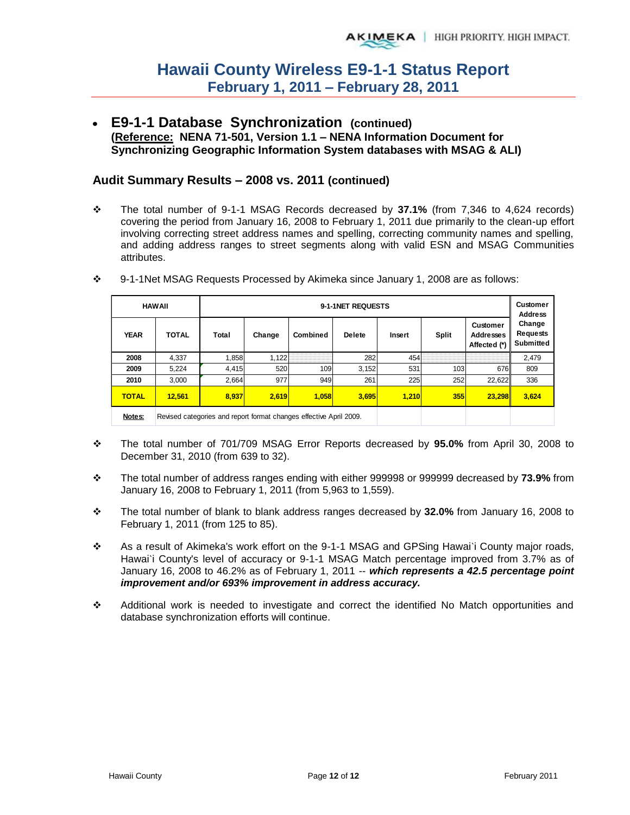**E9-1-1 Database Synchronization (continued) (Reference: NENA 71-501, Version 1.1 – NENA Information Document for Synchronizing Geographic Information System databases with MSAG & ALI)** 

### **Audit Summary Results – 2008 vs. 2011 (continued)**

 The total number of 9-1-1 MSAG Records decreased by **37.1%** (from 7,346 to 4,624 records) covering the period from January 16, 2008 to February 1, 2011 due primarily to the clean-up effort involving correcting street address names and spelling, correcting community names and spelling, and adding address ranges to street segments along with valid ESN and MSAG Communities attributes.

|              | <b>HAWAII</b> | 9-1-1NET REQUESTS                                                  |        |          |               |        |       |                                              | Customer<br><b>Address</b>                    |
|--------------|---------------|--------------------------------------------------------------------|--------|----------|---------------|--------|-------|----------------------------------------------|-----------------------------------------------|
| <b>YEAR</b>  | <b>TOTAL</b>  | Total                                                              | Change | Combined | <b>Delete</b> | Insert | Split | Customer<br><b>Addresses</b><br>Affected (*) | Change<br><b>Requests</b><br><b>Submitted</b> |
| 2008         | 4.337         | 1,858                                                              | 1,122  |          | 282           | 454    |       |                                              | 2,479                                         |
| 2009         | 5.224         | 4,415                                                              | 520    | 109      | 3,152         | 531    | 103   | 676                                          | 809                                           |
| 2010         | 3.000         | 2.664                                                              | 977    | 949      | 261           | 225    | 252   | 22.622                                       | 336                                           |
| <b>TOTAL</b> | 12.561        | 8.937                                                              | 2.619  | 1.058    | 3,695         | 1,210  | 355   | 23.298                                       | 3,624                                         |
| Notes:       |               | Revised categories and report format changes effective April 2009. |        |          |               |        |       |                                              |                                               |

9-1-1Net MSAG Requests Processed by Akimeka since January 1, 2008 are as follows:

- The total number of 701/709 MSAG Error Reports decreased by **95.0%** from April 30, 2008 to December 31, 2010 (from 639 to 32).
- The total number of address ranges ending with either 999998 or 999999 decreased by **73.9%** from January 16, 2008 to February 1, 2011 (from 5,963 to 1,559).
- The total number of blank to blank address ranges decreased by **32.0%** from January 16, 2008 to February 1, 2011 (from 125 to 85).
- \* As a result of Akimeka's work effort on the 9-1-1 MSAG and GPSing Hawai'i County major roads, Hawai'i County's level of accuracy or 9-1-1 MSAG Match percentage improved from 3.7% as of January 16, 2008 to 46.2% as of February 1, 2011 -- *which represents a 42.5 percentage point improvement and/or 693% improvement in address accuracy.*
- Additional work is needed to investigate and correct the identified No Match opportunities and database synchronization efforts will continue.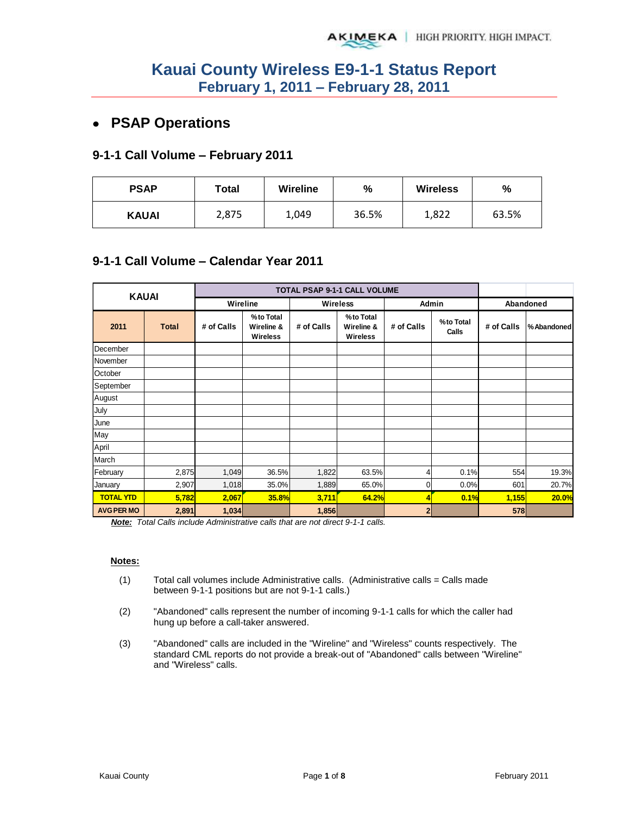# **PSAP Operations**

### **9-1-1 Call Volume – February 2011**

| <b>PSAP</b>  | Total | Wireline | $\frac{9}{6}$ | <b>Wireless</b> | %     |  |
|--------------|-------|----------|---------------|-----------------|-------|--|
| <b>KAUAI</b> | 2,875 | 1,049    | 36.5%         | 1,822           | 63.5% |  |

### **9-1-1 Call Volume – Calendar Year 2011**

| <b>KAUAI</b>      |              |            |                                            |            | TOTAL PSAP 9-1-1 CALL VOLUME               |                |                    |            |            |
|-------------------|--------------|------------|--------------------------------------------|------------|--------------------------------------------|----------------|--------------------|------------|------------|
|                   |              | Wireline   |                                            |            | Wireless                                   | Admin          |                    |            | Abandoned  |
| 2011              | <b>Total</b> | # of Calls | %to Total<br>Wireline &<br><b>Wireless</b> | # of Calls | %to Total<br>Wireline &<br><b>Wireless</b> | # of Calls     | %to Total<br>Calls | # of Calls | %Abandoned |
| December          |              |            |                                            |            |                                            |                |                    |            |            |
| November          |              |            |                                            |            |                                            |                |                    |            |            |
| October           |              |            |                                            |            |                                            |                |                    |            |            |
| September         |              |            |                                            |            |                                            |                |                    |            |            |
| August            |              |            |                                            |            |                                            |                |                    |            |            |
| July              |              |            |                                            |            |                                            |                |                    |            |            |
| June              |              |            |                                            |            |                                            |                |                    |            |            |
| May               |              |            |                                            |            |                                            |                |                    |            |            |
| April             |              |            |                                            |            |                                            |                |                    |            |            |
| March             |              |            |                                            |            |                                            |                |                    |            |            |
| February          | 2,875        | 1,049      | 36.5%                                      | 1,822      | 63.5%                                      | 4              | 0.1%               | 554        | 19.3%      |
| January           | 2,907        | 1,018      | 35.0%                                      | 1,889      | 65.0%                                      | $\overline{0}$ | 0.0%               | 601        | 20.7%      |
| <b>TOTAL YTD</b>  | 5,782        | 2,067      | <b>35.8%</b>                               | 3,711      | 64.2%                                      | 4              | 0.1%               | 1,155      | 20.0%      |
| <b>AVG PER MO</b> | 2,891        | 1,034      |                                            | 1,856      |                                            | 2              |                    | 578        |            |

*Note: Total Calls include Administrative calls that are not direct 9-1-1 calls.* 

#### **Notes:**

- $(1)$  Total call volumes include Administrative calls. (Administrative calls = Calls made between 9-1-1 positions but are not 9-1-1 calls.)
- (2) "Abandoned" calls represent the number of incoming 9-1-1 calls for which the caller had hung up before a call-taker answered.
- (3) "Abandoned" calls are included in the "Wireline" and "Wireless" counts respectively. The standard CML reports do not provide a break-out of "Abandoned" calls between "Wireline" and "Wireless" calls.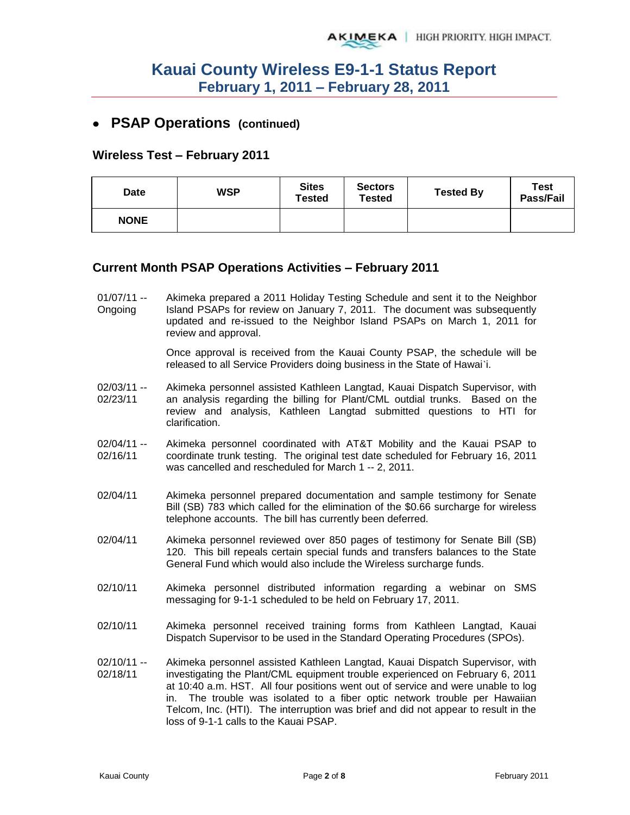## **PSAP Operations (continued)**

### **Wireless Test – February 2011**

| <b>Date</b> | <b>WSP</b> | <b>Sites</b><br>Tested | <b>Sectors</b><br>Tested | <b>Tested By</b> | <b>Test</b><br>Pass/Fail |
|-------------|------------|------------------------|--------------------------|------------------|--------------------------|
| <b>NONE</b> |            |                        |                          |                  |                          |

### **Current Month PSAP Operations Activities – February 2011**

 $01/07/11 -$ Ongoing Akimeka prepared a 2011 Holiday Testing Schedule and sent it to the Neighbor Island PSAPs for review on January 7, 2011. The document was subsequently updated and re-issued to the Neighbor Island PSAPs on March 1, 2011 for review and approval.

> Once approval is received from the Kauai County PSAP, the schedule will be released to all Service Providers doing business in the State of Hawai`i.

- 02/03/11 -- 02/23/11 Akimeka personnel assisted Kathleen Langtad, Kauai Dispatch Supervisor, with an analysis regarding the billing for Plant/CML outdial trunks. Based on the review and analysis, Kathleen Langtad submitted questions to HTI for clarification.
- 02/04/11 -- 02/16/11 Akimeka personnel coordinated with AT&T Mobility and the Kauai PSAP to coordinate trunk testing. The original test date scheduled for February 16, 2011 was cancelled and rescheduled for March 1 -- 2, 2011.
- 02/04/11 Akimeka personnel prepared documentation and sample testimony for Senate Bill (SB) 783 which called for the elimination of the \$0.66 surcharge for wireless telephone accounts. The bill has currently been deferred.
- 02/04/11 Akimeka personnel reviewed over 850 pages of testimony for Senate Bill (SB) 120. This bill repeals certain special funds and transfers balances to the State General Fund which would also include the Wireless surcharge funds.
- 02/10/11 Akimeka personnel distributed information regarding a webinar on SMS messaging for 9-1-1 scheduled to be held on February 17, 2011.
- 02/10/11 Akimeka personnel received training forms from Kathleen Langtad, Kauai Dispatch Supervisor to be used in the Standard Operating Procedures (SPOs).
- 02/10/11 -- 02/18/11 Akimeka personnel assisted Kathleen Langtad, Kauai Dispatch Supervisor, with investigating the Plant/CML equipment trouble experienced on February 6, 2011 at 10:40 a.m. HST. All four positions went out of service and were unable to log in. The trouble was isolated to a fiber optic network trouble per Hawaiian Telcom, Inc. (HTI). The interruption was brief and did not appear to result in the loss of 9-1-1 calls to the Kauai PSAP.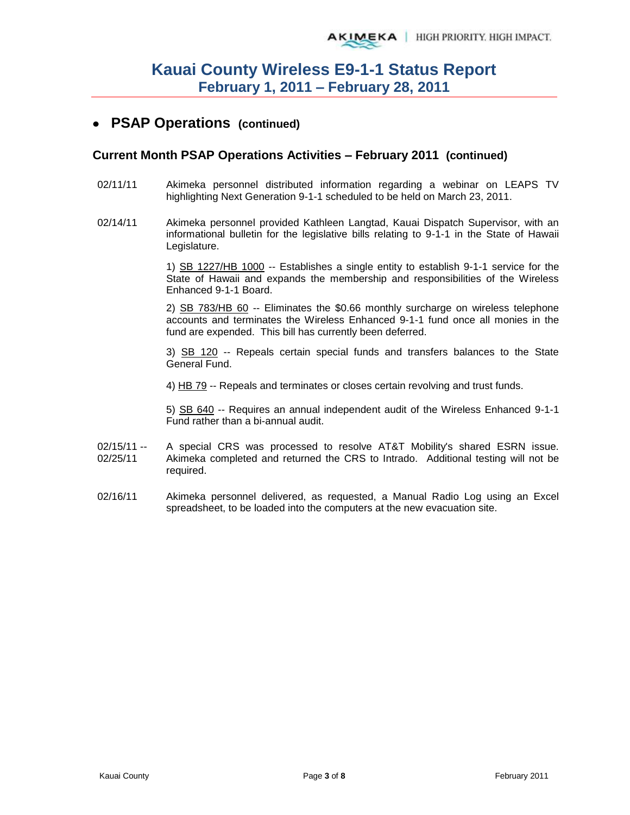## **PSAP Operations (continued)**

### **Current Month PSAP Operations Activities – February 2011 (continued)**

- 02/11/11 Akimeka personnel distributed information regarding a webinar on LEAPS TV highlighting Next Generation 9-1-1 scheduled to be held on March 23, 2011.
- 02/14/11 Akimeka personnel provided Kathleen Langtad, Kauai Dispatch Supervisor, with an informational bulletin for the legislative bills relating to 9-1-1 in the State of Hawaii Legislature.

1) SB 1227/HB 1000 -- Establishes a single entity to establish 9-1-1 service for the State of Hawaii and expands the membership and responsibilities of the Wireless Enhanced 9-1-1 Board.

2) SB 783/HB 60 -- Eliminates the \$0.66 monthly surcharge on wireless telephone accounts and terminates the Wireless Enhanced 9-1-1 fund once all monies in the fund are expended. This bill has currently been deferred.

3) SB 120 -- Repeals certain special funds and transfers balances to the State General Fund.

4) HB 79 -- Repeals and terminates or closes certain revolving and trust funds.

5) SB 640 -- Requires an annual independent audit of the Wireless Enhanced 9-1-1 Fund rather than a bi-annual audit.

- 02/15/11 -- 02/25/11 A special CRS was processed to resolve AT&T Mobility's shared ESRN issue. Akimeka completed and returned the CRS to Intrado. Additional testing will not be required.
- 02/16/11 Akimeka personnel delivered, as requested, a Manual Radio Log using an Excel spreadsheet, to be loaded into the computers at the new evacuation site.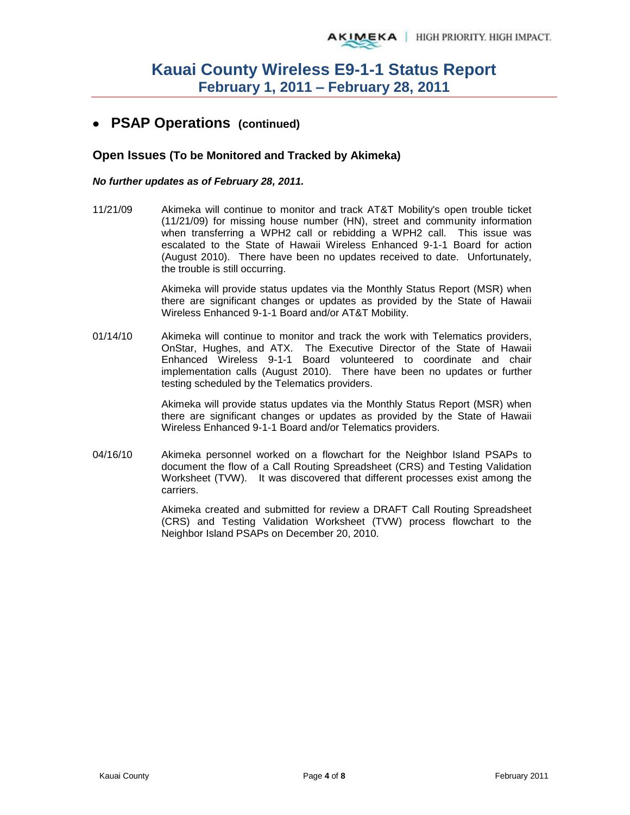## **PSAP Operations (continued)**

### **Open Issues (To be Monitored and Tracked by Akimeka)**

### *No further updates as of February 28, 2011.*

11/21/09 Akimeka will continue to monitor and track AT&T Mobility's open trouble ticket (11/21/09) for missing house number (HN), street and community information when transferring a WPH2 call or rebidding a WPH2 call. This issue was escalated to the State of Hawaii Wireless Enhanced 9-1-1 Board for action (August 2010). There have been no updates received to date. Unfortunately, the trouble is still occurring.

> Akimeka will provide status updates via the Monthly Status Report (MSR) when there are significant changes or updates as provided by the State of Hawaii Wireless Enhanced 9-1-1 Board and/or AT&T Mobility.

01/14/10 Akimeka will continue to monitor and track the work with Telematics providers, OnStar, Hughes, and ATX. The Executive Director of the State of Hawaii Enhanced Wireless 9-1-1 Board volunteered to coordinate and chair implementation calls (August 2010). There have been no updates or further testing scheduled by the Telematics providers.

> Akimeka will provide status updates via the Monthly Status Report (MSR) when there are significant changes or updates as provided by the State of Hawaii Wireless Enhanced 9-1-1 Board and/or Telematics providers.

04/16/10 Akimeka personnel worked on a flowchart for the Neighbor Island PSAPs to document the flow of a Call Routing Spreadsheet (CRS) and Testing Validation Worksheet (TVW). It was discovered that different processes exist among the carriers.

> Akimeka created and submitted for review a DRAFT Call Routing Spreadsheet (CRS) and Testing Validation Worksheet (TVW) process flowchart to the Neighbor Island PSAPs on December 20, 2010.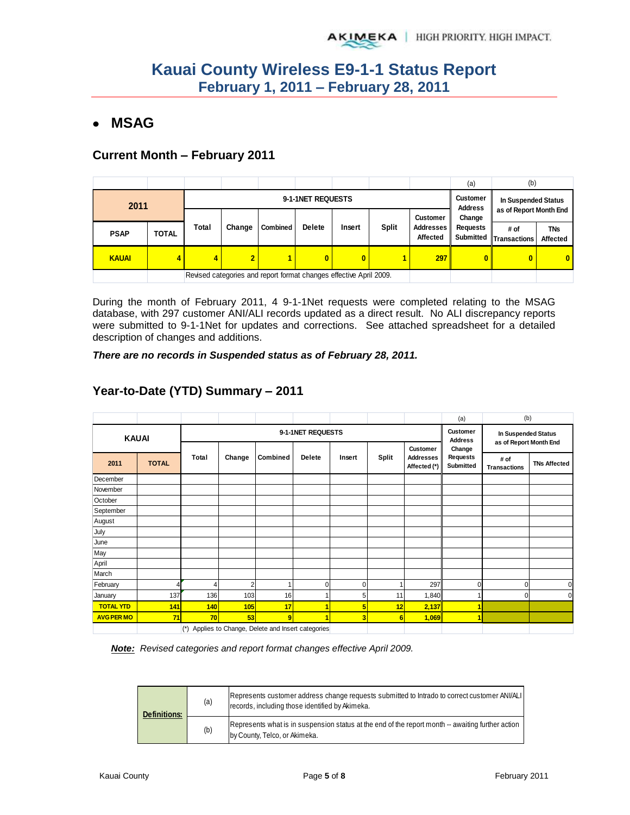# **MSAG**

### **Current Month – February 2011**

|              |              |                   |                |                                                                    |               |          |              |                       | (a)                               | (b)                            |                        |
|--------------|--------------|-------------------|----------------|--------------------------------------------------------------------|---------------|----------|--------------|-----------------------|-----------------------------------|--------------------------------|------------------------|
| 2011         |              | 9-1-1NET REQUESTS |                |                                                                    |               |          |              |                       | <b>Customer</b><br><b>Address</b> | In Suspended Status            |                        |
|              |              |                   |                |                                                                    |               |          |              | <b>Customer</b>       | as of Report Month End<br>Change  |                                |                        |
| <b>PSAP</b>  | <b>TOTAL</b> | Total             | Change         | <b>Combined</b>                                                    | <b>Delete</b> | Insert   | <b>Split</b> | Addresses<br>Affected | <b>Requests</b>                   | # of<br>Submitted Transactions | <b>TNs</b><br>Affected |
| <b>KAUAI</b> |              | 4                 | $\overline{2}$ |                                                                    | 0             | $\bf{0}$ |              | 297                   | $\mathbf{0}$                      | 0                              | $\mathbf{0}$           |
|              |              |                   |                | Revised categories and report format changes effective April 2009. |               |          |              |                       |                                   |                                |                        |

During the month of February 2011, 4 9-1-1Net requests were completed relating to the MSAG database, with 297 customer ANI/ALI records updated as a direct result. No ALI discrepancy reports were submitted to 9-1-1Net for updates and corrections. See attached spreadsheet for a detailed description of changes and additions.

*There are no records in Suspended status as of February 28, 2011.* 

|                   |              |           |        |                                                 |                                   |                                               |              |                                              | (a)                                    | (b)                         |                     |
|-------------------|--------------|-----------|--------|-------------------------------------------------|-----------------------------------|-----------------------------------------------|--------------|----------------------------------------------|----------------------------------------|-----------------------------|---------------------|
|                   | <b>KAUAI</b> |           |        | 9-1-1NET REQUESTS                               | <b>Customer</b><br><b>Address</b> | In Suspended Status<br>as of Report Month End |              |                                              |                                        |                             |                     |
| 2011              | <b>TOTAL</b> | Total     | Change | Combined                                        | Delete                            | Insert                                        | <b>Split</b> | Customer<br><b>Addresses</b><br>Affected (*) | Change<br><b>Requests</b><br>Submitted | # of<br><b>Transactions</b> | <b>TNs Affected</b> |
| December          |              |           |        |                                                 |                                   |                                               |              |                                              |                                        |                             |                     |
| November          |              |           |        |                                                 |                                   |                                               |              |                                              |                                        |                             |                     |
| October           |              |           |        |                                                 |                                   |                                               |              |                                              |                                        |                             |                     |
| September         |              |           |        |                                                 |                                   |                                               |              |                                              |                                        |                             |                     |
| August            |              |           |        |                                                 |                                   |                                               |              |                                              |                                        |                             |                     |
| July              |              |           |        |                                                 |                                   |                                               |              |                                              |                                        |                             |                     |
| June              |              |           |        |                                                 |                                   |                                               |              |                                              |                                        |                             |                     |
| May               |              |           |        |                                                 |                                   |                                               |              |                                              |                                        |                             |                     |
| April             |              |           |        |                                                 |                                   |                                               |              |                                              |                                        |                             |                     |
| March             |              |           |        |                                                 |                                   |                                               |              |                                              |                                        |                             |                     |
| February          |              | 4         |        | 1                                               | $\Omega$                          | $\mathbf 0$                                   |              | 297                                          | 0                                      | $\Omega$                    | 0                   |
| January           | 137          | 136       | 103    | 16                                              |                                   | 5                                             | 11           | 1,840                                        |                                        | $\mathbf 0$                 |                     |
| <b>TOTAL YTD</b>  | 141          | 140       | 105    | 17                                              |                                   | 5                                             | 12           | 2,137                                        |                                        |                             |                     |
| <b>AVG PER MO</b> | 71           | 70        | 53     | 9                                               |                                   | 3                                             | 6            | 1,069                                        |                                        |                             |                     |
|                   |              | $(\star)$ |        | Applies to Change, Delete and Insert categories |                                   |                                               |              |                                              |                                        |                             |                     |

## **Year-to-Date (YTD) Summary – 2011**

*Note: Revised categories and report format changes effective April 2009.* 

| <b>Definitions:</b> | (a) | Represents customer address change requests submitted to Intrado to correct customer ANI/ALI<br>records, including those identified by Akimeka. |
|---------------------|-----|-------------------------------------------------------------------------------------------------------------------------------------------------|
|                     | (b) | Represents what is in suspension status at the end of the report month -- awaiting further action<br>by County, Telco, or Akimeka.              |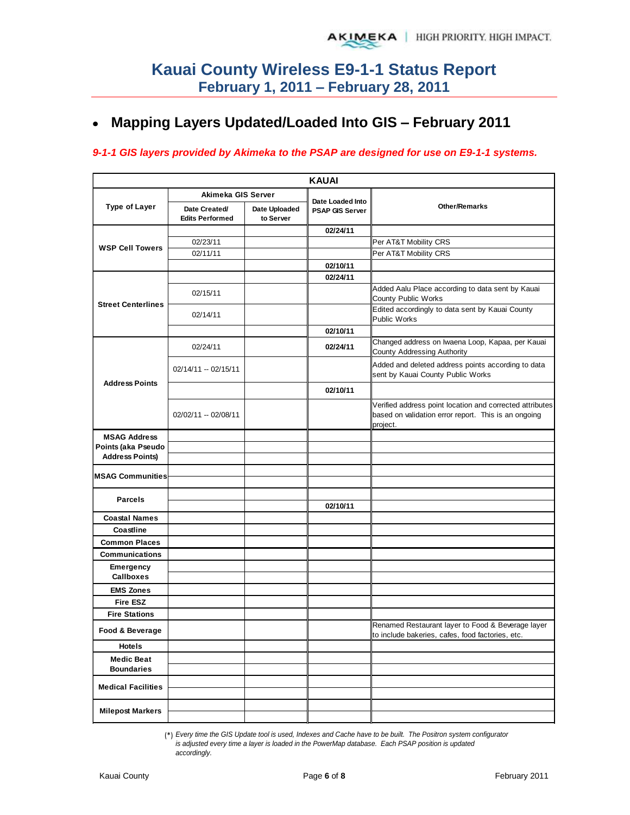#### **Mapping Layers Updated/Loaded Into GIS – February 2011**  $\bullet$

### *9-1-1 GIS layers provided by Akimeka to the PSAP are designed for use on E9-1-1 systems.*

|                                        |                                         |                            | <b>KAUAI</b>                               |                                                                                                                              |
|----------------------------------------|-----------------------------------------|----------------------------|--------------------------------------------|------------------------------------------------------------------------------------------------------------------------------|
|                                        | Akimeka GIS Server                      |                            |                                            |                                                                                                                              |
| <b>Type of Layer</b>                   | Date Created/<br><b>Edits Performed</b> | Date Uploaded<br>to Server | Date Loaded Into<br><b>PSAP GIS Server</b> | <b>Other/Remarks</b>                                                                                                         |
|                                        |                                         |                            | 02/24/11                                   |                                                                                                                              |
| <b>WSP Cell Towers</b>                 | 02/23/11                                |                            |                                            | Per AT&T Mobility CRS                                                                                                        |
|                                        | 02/11/11                                |                            |                                            | Per AT&T Mobility CRS                                                                                                        |
|                                        |                                         |                            | 02/10/11                                   |                                                                                                                              |
|                                        |                                         |                            | 02/24/11                                   |                                                                                                                              |
| <b>Street Centerlines</b>              | 02/15/11                                |                            |                                            | Added Aalu Place according to data sent by Kauai<br><b>County Public Works</b>                                               |
|                                        | 02/14/11                                |                            |                                            | Edited accordingly to data sent by Kauai County<br><b>Public Works</b>                                                       |
|                                        |                                         |                            | 02/10/11                                   |                                                                                                                              |
|                                        | 02/24/11                                |                            | 02/24/11                                   | Changed address on Iwaena Loop, Kapaa, per Kauai<br><b>County Addressing Authority</b>                                       |
| <b>Address Points</b>                  | $02/14/11 - 02/15/11$                   |                            |                                            | Added and deleted address points according to data<br>sent by Kauai County Public Works                                      |
|                                        |                                         |                            | 02/10/11                                   |                                                                                                                              |
|                                        | 02/02/11 -- 02/08/11                    |                            |                                            | Verified address point location and corrected attributes<br>based on validation error report. This is an ongoing<br>project. |
| <b>MSAG Address</b>                    |                                         |                            |                                            |                                                                                                                              |
| Points (aka Pseudo                     |                                         |                            |                                            |                                                                                                                              |
| <b>Address Points)</b>                 |                                         |                            |                                            |                                                                                                                              |
| <b>MSAG Communities</b>                |                                         |                            |                                            |                                                                                                                              |
|                                        |                                         |                            |                                            |                                                                                                                              |
| <b>Parcels</b>                         |                                         |                            |                                            |                                                                                                                              |
|                                        |                                         |                            | 02/10/11                                   |                                                                                                                              |
| <b>Coastal Names</b>                   |                                         |                            |                                            |                                                                                                                              |
| Coastline                              |                                         |                            |                                            |                                                                                                                              |
| <b>Common Places</b>                   |                                         |                            |                                            |                                                                                                                              |
| <b>Communications</b>                  |                                         |                            |                                            |                                                                                                                              |
| <b>Emergency</b><br><b>Callboxes</b>   |                                         |                            |                                            |                                                                                                                              |
| <b>EMS Zones</b>                       |                                         |                            |                                            |                                                                                                                              |
| <b>Fire ESZ</b>                        |                                         |                            |                                            |                                                                                                                              |
| <b>Fire Stations</b>                   |                                         |                            |                                            |                                                                                                                              |
| Food & Beverage                        |                                         |                            |                                            | Renamed Restaurant layer to Food & Beverage layer<br>to include bakeries, cafes, food factories, etc.                        |
| Hotels                                 |                                         |                            |                                            |                                                                                                                              |
| <b>Medic Beat</b><br><b>Boundaries</b> |                                         |                            |                                            |                                                                                                                              |
| <b>Medical Facilities</b>              |                                         |                            |                                            |                                                                                                                              |
| <b>Milepost Markers</b>                |                                         |                            |                                            |                                                                                                                              |

(\*) *Every time the GIS Update tool is used, Indexes and Cache have to be built. The Positron system configurator is adjusted every time a layer is loaded in the PowerMap database. Each PSAP position is updated accordingly.*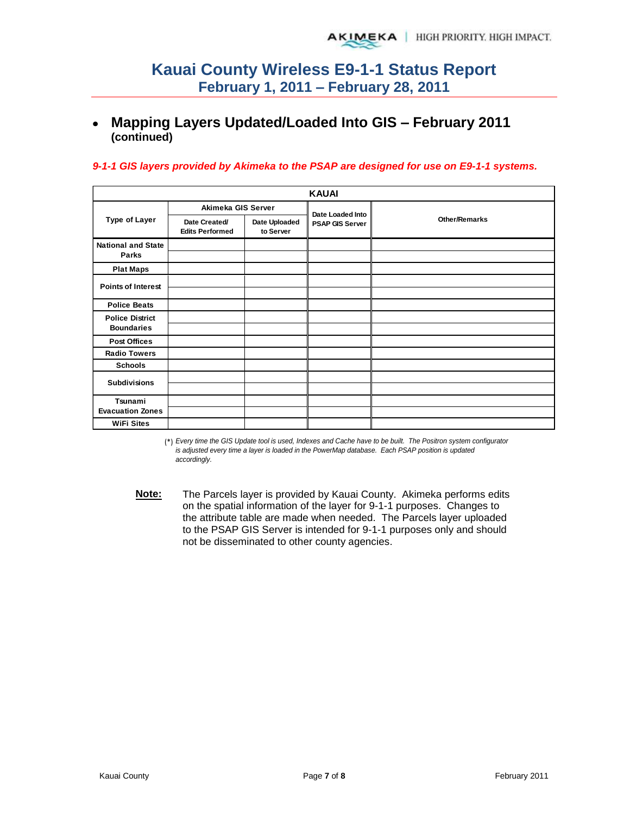#### **Mapping Layers Updated/Loaded Into GIS – February 2011**   $\bullet$ **(continued)**

### *9-1-1 GIS layers provided by Akimeka to the PSAP are designed for use on E9-1-1 systems.*

|                                             |                                         |                            | <b>KAUAI</b>           |                      |
|---------------------------------------------|-----------------------------------------|----------------------------|------------------------|----------------------|
|                                             | Akimeka GIS Server                      |                            | Date Loaded Into       |                      |
| <b>Type of Layer</b>                        | Date Created/<br><b>Edits Performed</b> | Date Uploaded<br>to Server | <b>PSAP GIS Server</b> | <b>Other/Remarks</b> |
| <b>National and State</b><br>Parks          |                                         |                            |                        |                      |
| <b>Plat Maps</b>                            |                                         |                            |                        |                      |
| <b>Points of Interest</b>                   |                                         |                            |                        |                      |
|                                             |                                         |                            |                        |                      |
| <b>Police Beats</b>                         |                                         |                            |                        |                      |
| <b>Police District</b><br><b>Boundaries</b> |                                         |                            |                        |                      |
| <b>Post Offices</b>                         |                                         |                            |                        |                      |
| <b>Radio Towers</b>                         |                                         |                            |                        |                      |
| <b>Schools</b>                              |                                         |                            |                        |                      |
| <b>Subdivisions</b>                         |                                         |                            |                        |                      |
|                                             |                                         |                            |                        |                      |
| Tsunami<br><b>Evacuation Zones</b>          |                                         |                            |                        |                      |
| <b>WiFi Sites</b>                           |                                         |                            |                        |                      |

(\*) *Every time the GIS Update tool is used, Indexes and Cache have to be built. The Positron system configurator is adjusted every time a layer is loaded in the PowerMap database. Each PSAP position is updated accordingly.*

**Note:** The Parcels layer is provided by Kauai County. Akimeka performs edits on the spatial information of the layer for 9-1-1 purposes. Changes to the attribute table are made when needed. The Parcels layer uploaded to the PSAP GIS Server is intended for 9-1-1 purposes only and should not be disseminated to other county agencies.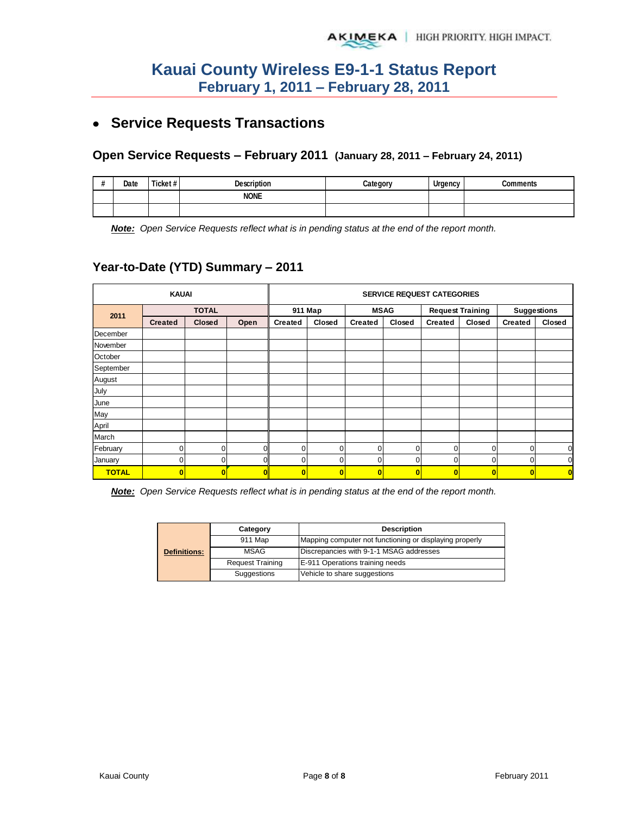# **Service Requests Transactions**

### **Open Service Requests – February 2011 (January 28, 2011 – February 24, 2011)**

| $\boldsymbol{\#}$<br>" | Date | Ticket# | <b>Description</b> | Category | Urgency | `ommante |
|------------------------|------|---------|--------------------|----------|---------|----------|
|                        |      |         | <b>NONE</b>        |          |         |          |
|                        |      |         |                    |          |         |          |

*Note: Open Service Requests reflect what is in pending status at the end of the report month.*

## **Year-to-Date (YTD) Summary – 2011**

|              | <b>KAUAI</b>   |              |      |                | <b>SERVICE REQUEST CATEGORIES</b> |                |                         |                |                         |                    |             |  |
|--------------|----------------|--------------|------|----------------|-----------------------------------|----------------|-------------------------|----------------|-------------------------|--------------------|-------------|--|
| 2011         |                | <b>TOTAL</b> |      |                | 911 Map                           |                | <b>MSAG</b>             |                | <b>Request Training</b> | <b>Suggestions</b> |             |  |
|              | <b>Created</b> | Closed       | Open | <b>Created</b> | Closed                            | <b>Created</b> | Closed                  | <b>Created</b> | Closed                  | <b>Created</b>     | Closed      |  |
| December     |                |              |      |                |                                   |                |                         |                |                         |                    |             |  |
| November     |                |              |      |                |                                   |                |                         |                |                         |                    |             |  |
| October      |                |              |      |                |                                   |                |                         |                |                         |                    |             |  |
| September    |                |              |      |                |                                   |                |                         |                |                         |                    |             |  |
| August       |                |              |      |                |                                   |                |                         |                |                         |                    |             |  |
| July         |                |              |      |                |                                   |                |                         |                |                         |                    |             |  |
| June         |                |              |      |                |                                   |                |                         |                |                         |                    |             |  |
| May          |                |              |      |                |                                   |                |                         |                |                         |                    |             |  |
| April        |                |              |      |                |                                   |                |                         |                |                         |                    |             |  |
| March        |                |              |      |                |                                   |                |                         |                |                         |                    |             |  |
| February     | $\mathbf{0}$   | $\mathbf 0$  | n    | $\Omega$       | $\Omega$                          | $\mathbf 0$    | 0                       | 0              | $\Omega$                | $\Omega$           | $\mathbf 0$ |  |
| January      |                | $\mathbf 0$  |      | $\Omega$       | $\Omega$                          | 0              | 0                       | 0              | 0                       | $\mathbf 0$        | $\mathbf 0$ |  |
| <b>TOTAL</b> | $\bf{0}$       | $\mathbf{0}$ |      | $\bf{0}$       | $\mathbf{0}$                      | $\bf{0}$       | $\overline{\mathbf{0}}$ | $\bf{0}$       | $\mathbf{0}$            | $\bf{0}$           | $\bf{0}$    |  |

*Note: Open Service Requests reflect what is in pending status at the end of the report month.* 

|                     | Category                | <b>Description</b>                                      |  |  |  |
|---------------------|-------------------------|---------------------------------------------------------|--|--|--|
|                     | 911 Map                 | Mapping computer not functioning or displaying properly |  |  |  |
| <b>Definitions:</b> | MSAG                    | Discrepancies with 9-1-1 MSAG addresses                 |  |  |  |
|                     | <b>Request Training</b> | E-911 Operations training needs                         |  |  |  |
|                     | Suggestions             | Vehicle to share suggestions                            |  |  |  |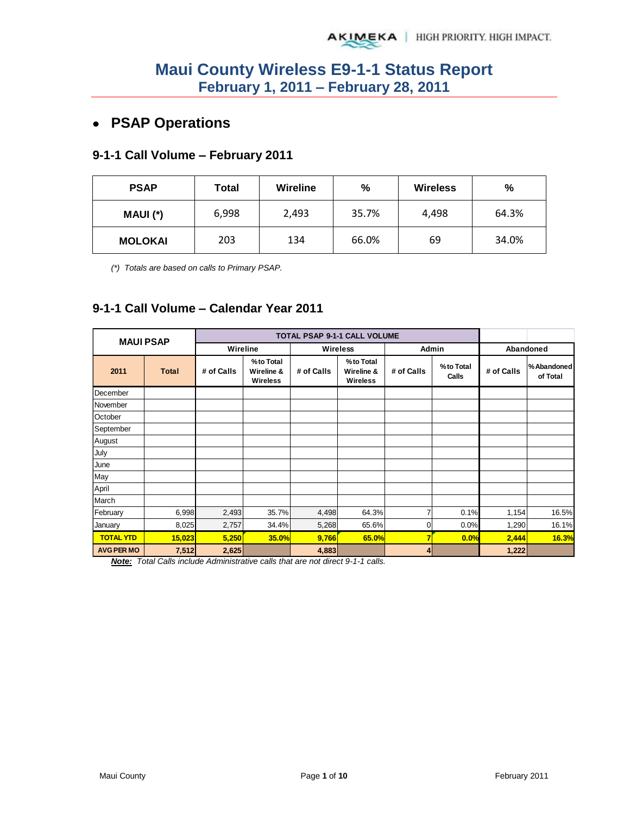# **PSAP Operations**

### **9-1-1 Call Volume – February 2011**

| <b>PSAP</b>    | Total | Wireline | $\%$  | <b>Wireless</b> | %     |
|----------------|-------|----------|-------|-----------------|-------|
| MAUI (*)       | 6,998 | 2,493    | 35.7% | 4,498           | 64.3% |
| <b>MOLOKAI</b> | 203   | 134      | 66.0% | 69              | 34.0% |

*(\*) Totals are based on calls to Primary PSAP.* 

## **9-1-1 Call Volume – Calendar Year 2011**

| <b>MAUI PSAP</b>  |              |            |                                            |            | TOTAL PSAP 9-1-1 CALL VOLUME               |               |                    |            |                         |
|-------------------|--------------|------------|--------------------------------------------|------------|--------------------------------------------|---------------|--------------------|------------|-------------------------|
|                   |              | Wireline   |                                            |            | Wireless                                   | Admin         |                    | Abandoned  |                         |
| 2011              | <b>Total</b> | # of Calls | %to Total<br>Wireline &<br><b>Wireless</b> | # of Calls | %to Total<br>Wireline &<br><b>Wireless</b> | # of Calls    | %to Total<br>Calls | # of Calls | % Abandoned<br>of Total |
| December          |              |            |                                            |            |                                            |               |                    |            |                         |
| November          |              |            |                                            |            |                                            |               |                    |            |                         |
| October           |              |            |                                            |            |                                            |               |                    |            |                         |
| September         |              |            |                                            |            |                                            |               |                    |            |                         |
| August            |              |            |                                            |            |                                            |               |                    |            |                         |
| July              |              |            |                                            |            |                                            |               |                    |            |                         |
| June              |              |            |                                            |            |                                            |               |                    |            |                         |
| May               |              |            |                                            |            |                                            |               |                    |            |                         |
| April             |              |            |                                            |            |                                            |               |                    |            |                         |
| March             |              |            |                                            |            |                                            |               |                    |            |                         |
| February          | 6,998        | 2,493      | 35.7%                                      | 4,498      | 64.3%                                      | 7             | 0.1%               | 1,154      | 16.5%                   |
| January           | 8,025        | 2,757      | 34.4%                                      | 5,268      | 65.6%                                      | 0             | 0.0%               | 1,290      | 16.1%                   |
| <b>TOTAL YTD</b>  | 15,023       | 5,250      | <b>35.0%</b>                               | 9,766      | 65.0%                                      | 7             | 0.0%               | 2,444      | 16.3%                   |
| <b>AVG PER MO</b> | 7,512        | 2,625      |                                            | 4,883      |                                            | $\frac{4}{ }$ |                    | 1,222      |                         |

*Note: Total Calls include Administrative calls that are not direct 9-1-1 calls.*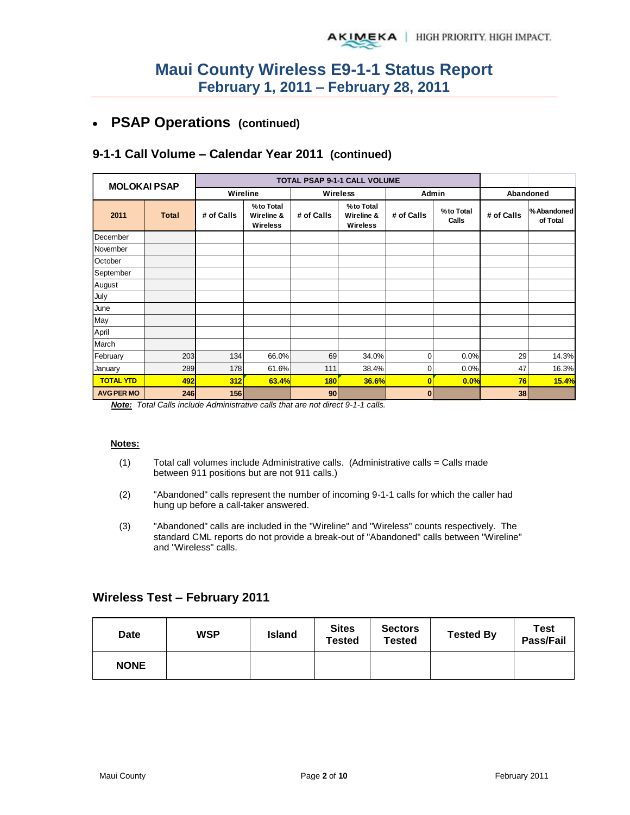#### **PSAP Operations (continued)**   $\bullet$

## **9-1-1 Call Volume – Calendar Year 2011 (continued)**

| <b>MOLOKAI PSAP</b> |              |            |                                            |            | TOTAL PSAP 9-1-1 CALL VOLUME        |                |                    |            |                        |
|---------------------|--------------|------------|--------------------------------------------|------------|-------------------------------------|----------------|--------------------|------------|------------------------|
|                     |              | Wireline   |                                            |            | <b>Wireless</b>                     | Admin          |                    | Abandoned  |                        |
| 2011                | <b>Total</b> | # of Calls | %to Total<br>Wireline &<br><b>Wireless</b> | # of Calls | %to Total<br>Wireline &<br>Wireless | # of Calls     | %to Total<br>Calls | # of Calls | %Abandoned<br>of Total |
| December            |              |            |                                            |            |                                     |                |                    |            |                        |
| November            |              |            |                                            |            |                                     |                |                    |            |                        |
| October             |              |            |                                            |            |                                     |                |                    |            |                        |
| September           |              |            |                                            |            |                                     |                |                    |            |                        |
| August              |              |            |                                            |            |                                     |                |                    |            |                        |
| July                |              |            |                                            |            |                                     |                |                    |            |                        |
| June                |              |            |                                            |            |                                     |                |                    |            |                        |
| May                 |              |            |                                            |            |                                     |                |                    |            |                        |
| April               |              |            |                                            |            |                                     |                |                    |            |                        |
| March               |              |            |                                            |            |                                     |                |                    |            |                        |
| February            | 203          | 134        | 66.0%                                      | 69         | 34.0%                               | $\overline{0}$ | 0.0%               | 29         | 14.3%                  |
| January             | 289          | 178        | 61.6%                                      | 111        | 38.4%                               | $\overline{0}$ | 0.0%               | 47         | 16.3%                  |
| <b>TOTAL YTD</b>    | 492          | 312        | 63.4%                                      | <b>180</b> | 36.6%                               | $\bf{0}$       | 0.0%               | 76         | 15.4%                  |
| <b>AVG PER MO</b>   | 246          | 156        |                                            | 90         |                                     | $\bf{0}$       |                    | 38         |                        |

*Note: Total Calls include Administrative calls that are not direct 9-1-1 calls.* 

#### **Notes:**

- $(1)$  Total call volumes include Administrative calls. (Administrative calls = Calls made between 911 positions but are not 911 calls.)
- (2) "Abandoned" calls represent the number of incoming 9-1-1 calls for which the caller had hung up before a call-taker answered.
- (3) "Abandoned" calls are included in the "Wireline" and "Wireless" counts respectively. The standard CML reports do not provide a break-out of "Abandoned" calls between "Wireline" and "Wireless" calls.

### **Wireless Test – February 2011**

| Date        | WSP | <b>Island</b> | <b>Sites</b><br><b>Tested</b> | <b>Sectors</b><br><b>Tested</b> | <b>Tested By</b> | <b>Test</b><br>Pass/Fail |
|-------------|-----|---------------|-------------------------------|---------------------------------|------------------|--------------------------|
| <b>NONE</b> |     |               |                               |                                 |                  |                          |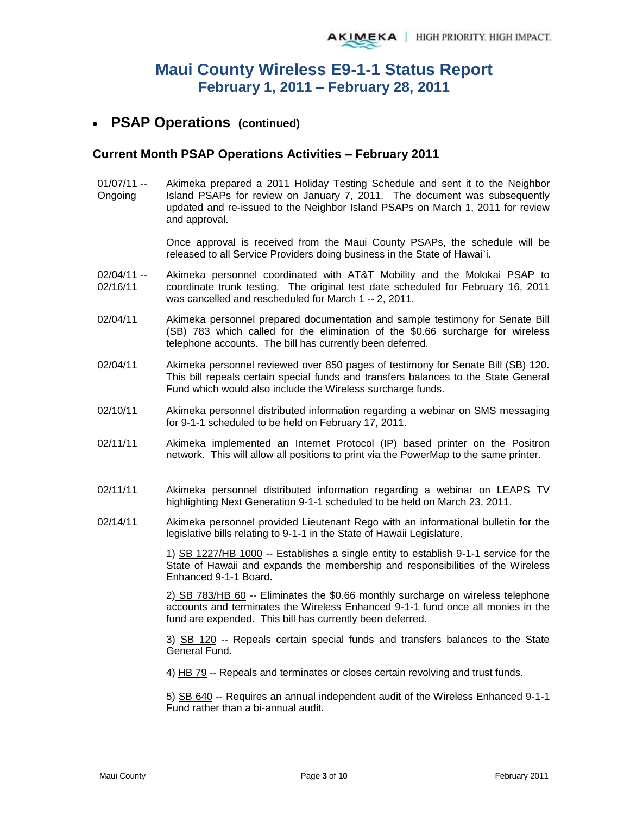## **PSAP Operations (continued)**

### **Current Month PSAP Operations Activities – February 2011**

01/07/11 -- Ongoing Akimeka prepared a 2011 Holiday Testing Schedule and sent it to the Neighbor Island PSAPs for review on January 7, 2011. The document was subsequently updated and re-issued to the Neighbor Island PSAPs on March 1, 2011 for review and approval.

> Once approval is received from the Maui County PSAPs, the schedule will be released to all Service Providers doing business in the State of Hawai`i.

- $02/04/11 -$ 02/16/11 Akimeka personnel coordinated with AT&T Mobility and the Molokai PSAP to coordinate trunk testing. The original test date scheduled for February 16, 2011 was cancelled and rescheduled for March 1 -- 2, 2011.
- 02/04/11 Akimeka personnel prepared documentation and sample testimony for Senate Bill (SB) 783 which called for the elimination of the \$0.66 surcharge for wireless telephone accounts. The bill has currently been deferred.
- 02/04/11 Akimeka personnel reviewed over 850 pages of testimony for Senate Bill (SB) 120. This bill repeals certain special funds and transfers balances to the State General Fund which would also include the Wireless surcharge funds.
- 02/10/11 Akimeka personnel distributed information regarding a webinar on SMS messaging for 9-1-1 scheduled to be held on February 17, 2011.
- 02/11/11 Akimeka implemented an Internet Protocol (IP) based printer on the Positron network. This will allow all positions to print via the PowerMap to the same printer.
- 02/11/11 Akimeka personnel distributed information regarding a webinar on LEAPS TV highlighting Next Generation 9-1-1 scheduled to be held on March 23, 2011.
- 02/14/11 Akimeka personnel provided Lieutenant Rego with an informational bulletin for the legislative bills relating to 9-1-1 in the State of Hawaii Legislature.

1) SB 1227/HB 1000 -- Establishes a single entity to establish 9-1-1 service for the State of Hawaii and expands the membership and responsibilities of the Wireless Enhanced 9-1-1 Board.

2) SB 783/HB 60 -- Eliminates the \$0.66 monthly surcharge on wireless telephone accounts and terminates the Wireless Enhanced 9-1-1 fund once all monies in the fund are expended. This bill has currently been deferred.

3) SB 120 -- Repeals certain special funds and transfers balances to the State General Fund.

4) HB 79 -- Repeals and terminates or closes certain revolving and trust funds.

5) SB 640 -- Requires an annual independent audit of the Wireless Enhanced 9-1-1 Fund rather than a bi-annual audit.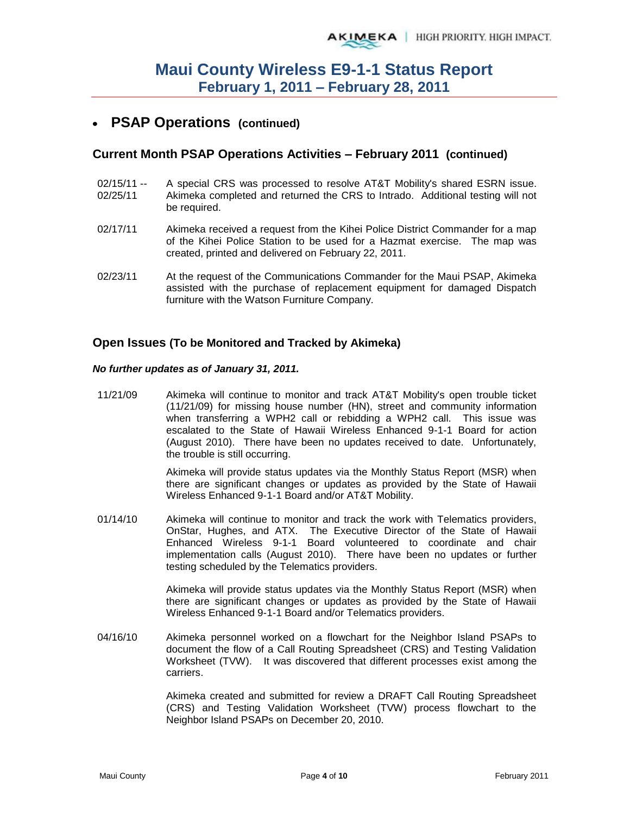## **PSAP Operations (continued)**

### **Current Month PSAP Operations Activities – February 2011 (continued)**

- 02/15/11 -- 02/25/11 A special CRS was processed to resolve AT&T Mobility's shared ESRN issue. Akimeka completed and returned the CRS to Intrado. Additional testing will not be required.
- 02/17/11 Akimeka received a request from the Kihei Police District Commander for a map of the Kihei Police Station to be used for a Hazmat exercise. The map was created, printed and delivered on February 22, 2011.
- 02/23/11 At the request of the Communications Commander for the Maui PSAP, Akimeka assisted with the purchase of replacement equipment for damaged Dispatch furniture with the Watson Furniture Company.

### **Open Issues (To be Monitored and Tracked by Akimeka)**

#### *No further updates as of January 31, 2011.*

11/21/09 Akimeka will continue to monitor and track AT&T Mobility's open trouble ticket (11/21/09) for missing house number (HN), street and community information when transferring a WPH2 call or rebidding a WPH2 call. This issue was escalated to the State of Hawaii Wireless Enhanced 9-1-1 Board for action (August 2010). There have been no updates received to date. Unfortunately, the trouble is still occurring.

> Akimeka will provide status updates via the Monthly Status Report (MSR) when there are significant changes or updates as provided by the State of Hawaii Wireless Enhanced 9-1-1 Board and/or AT&T Mobility.

01/14/10 Akimeka will continue to monitor and track the work with Telematics providers, OnStar, Hughes, and ATX. The Executive Director of the State of Hawaii Enhanced Wireless 9-1-1 Board volunteered to coordinate and chair implementation calls (August 2010). There have been no updates or further testing scheduled by the Telematics providers.

> Akimeka will provide status updates via the Monthly Status Report (MSR) when there are significant changes or updates as provided by the State of Hawaii Wireless Enhanced 9-1-1 Board and/or Telematics providers.

04/16/10 Akimeka personnel worked on a flowchart for the Neighbor Island PSAPs to document the flow of a Call Routing Spreadsheet (CRS) and Testing Validation Worksheet (TVW). It was discovered that different processes exist among the carriers.

> Akimeka created and submitted for review a DRAFT Call Routing Spreadsheet (CRS) and Testing Validation Worksheet (TVW) process flowchart to the Neighbor Island PSAPs on December 20, 2010.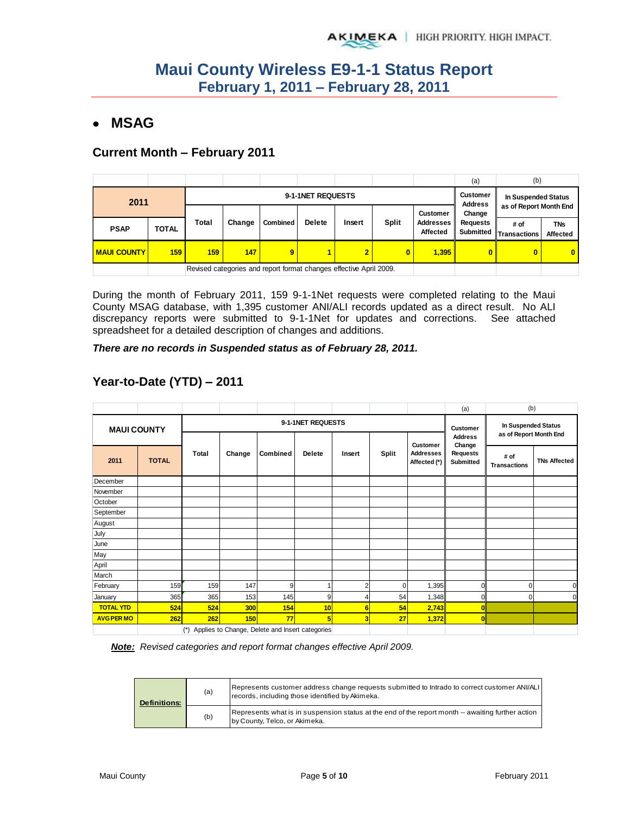## **MSAG**

### **Current Month – February 2011**

|                    |                                                                    |                   |        |                 |               |                |              |                                     | (a)                                    | (b)                    |                               |
|--------------------|--------------------------------------------------------------------|-------------------|--------|-----------------|---------------|----------------|--------------|-------------------------------------|----------------------------------------|------------------------|-------------------------------|
| 2011               |                                                                    | 9-1-1NET REQUESTS |        |                 |               |                |              |                                     | <b>Customer</b><br><b>Address</b>      | In Suspended Status    |                               |
|                    |                                                                    |                   |        |                 |               |                |              | <b>Customer</b>                     | Change<br><b>Requests</b><br>Submitted | as of Report Month End |                               |
| <b>PSAP</b>        | <b>TOTAL</b>                                                       | Total             | Change | <b>Combined</b> | <b>Delete</b> | Insert         | <b>Split</b> | <b>Addresses</b><br><b>Affected</b> |                                        | # of<br>Transactions   | <b>TNs</b><br><b>Affected</b> |
| <b>MAUI COUNTY</b> | 159                                                                | 159 <sub>1</sub>  | 147    | 9               | 1             | $\overline{2}$ | 0            | 1,395                               | 0                                      | 0                      | $\overline{0}$                |
|                    | Revised categories and report format changes effective April 2009. |                   |        |                 |               |                |              |                                     |                                        |                        |                               |

During the month of February 2011, 159 9-1-1Net requests were completed relating to the Maui County MSAG database, with 1,395 customer ANI/ALI records updated as a direct result. No ALI discrepancy reports were submitted to 9-1-1Net for updates and corrections. See attached spreadsheet for a detailed description of changes and additions.

*There are no records in Suspended status as of February 28, 2011.* 

|                    |              |                                                          |                   |          |               |                |              |                                              | (a)                                                             | (b)                                           |                     |
|--------------------|--------------|----------------------------------------------------------|-------------------|----------|---------------|----------------|--------------|----------------------------------------------|-----------------------------------------------------------------|-----------------------------------------------|---------------------|
| <b>MAUI COUNTY</b> |              |                                                          | 9-1-1NET REQUESTS |          |               |                |              |                                              |                                                                 | In Suspended Status<br>as of Report Month End |                     |
| 2011               | <b>TOTAL</b> | Total                                                    | Change            | Combined | <b>Delete</b> | Insert         | <b>Split</b> | Customer<br><b>Addresses</b><br>Affected (*) | <b>Address</b><br>Change<br><b>Requests</b><br><b>Submitted</b> | # of<br><b>Transactions</b>                   | <b>TNs Affected</b> |
| December           |              |                                                          |                   |          |               |                |              |                                              |                                                                 |                                               |                     |
| November           |              |                                                          |                   |          |               |                |              |                                              |                                                                 |                                               |                     |
| October            |              |                                                          |                   |          |               |                |              |                                              |                                                                 |                                               |                     |
| September          |              |                                                          |                   |          |               |                |              |                                              |                                                                 |                                               |                     |
| August             |              |                                                          |                   |          |               |                |              |                                              |                                                                 |                                               |                     |
| July               |              |                                                          |                   |          |               |                |              |                                              |                                                                 |                                               |                     |
| June               |              |                                                          |                   |          |               |                |              |                                              |                                                                 |                                               |                     |
| May                |              |                                                          |                   |          |               |                |              |                                              |                                                                 |                                               |                     |
| April              |              |                                                          |                   |          |               |                |              |                                              |                                                                 |                                               |                     |
| March              |              |                                                          |                   |          |               |                |              |                                              |                                                                 |                                               |                     |
| February           | 159          | 159                                                      | 147               | 9        | 1             | $\overline{2}$ | $\Omega$     | 1,395                                        | $\Omega$                                                        | ი                                             |                     |
| January            | 365          | 365                                                      | 153               | 145      | 9             | 4              | 54           | 1,348                                        | $\Omega$                                                        | ი                                             | ŋ                   |
| <b>TOTAL YTD</b>   | 524          | 524                                                      | 300               | 154      | 10            | 6              | 54           | 2,743                                        | 0                                                               |                                               |                     |
| <b>AVG PER MO</b>  | 262          | 262                                                      | 150               | 77       | 5             | 3              | 27           | 1,372                                        | $\overline{0}$                                                  |                                               |                     |
|                    |              | $(*)$<br>Applies to Change, Delete and Insert categories |                   |          |               |                |              |                                              |                                                                 |                                               |                     |

## **Year-to-Date (YTD) – 2011**

*Note: Revised categories and report format changes effective April 2009.*

| <b>Definitions:</b> | (a) | Represents customer address change requests submitted to Intrado to correct customer ANI/ALI<br>records, including those identified by Akimeka. |
|---------------------|-----|-------------------------------------------------------------------------------------------------------------------------------------------------|
|                     | (b) | Represents what is in suspension status at the end of the report month -- awaiting further action<br>by County, Telco, or Akimeka.              |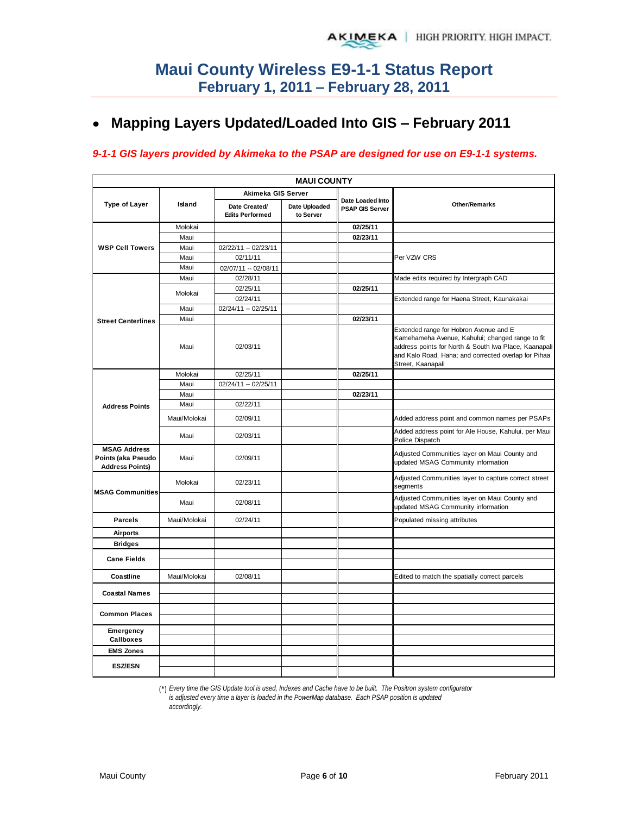# **Mapping Layers Updated/Loaded Into GIS – February 2011**

### *9-1-1 GIS layers provided by Akimeka to the PSAP are designed for use on E9-1-1 systems.*

| <b>MAUI COUNTY</b>                                                  |              |                                         |                            |                                            |                                                                                                                                                                                                                                  |  |  |  |  |  |  |
|---------------------------------------------------------------------|--------------|-----------------------------------------|----------------------------|--------------------------------------------|----------------------------------------------------------------------------------------------------------------------------------------------------------------------------------------------------------------------------------|--|--|--|--|--|--|
|                                                                     |              | Akimeka GIS Server                      |                            |                                            |                                                                                                                                                                                                                                  |  |  |  |  |  |  |
| <b>Type of Layer</b>                                                | Island       | Date Created/<br><b>Edits Performed</b> | Date Uploaded<br>to Server | Date Loaded Into<br><b>PSAP GIS Server</b> | <b>Other/Remarks</b>                                                                                                                                                                                                             |  |  |  |  |  |  |
|                                                                     | Molokai      |                                         |                            | 02/25/11                                   |                                                                                                                                                                                                                                  |  |  |  |  |  |  |
|                                                                     | Maui         |                                         |                            | 02/23/11                                   |                                                                                                                                                                                                                                  |  |  |  |  |  |  |
| <b>WSP Cell Towers</b>                                              | Maui         | 02/22/11 -- 02/23/11                    |                            |                                            |                                                                                                                                                                                                                                  |  |  |  |  |  |  |
|                                                                     | Maui         | 02/11/11                                |                            |                                            | Per VZW CRS                                                                                                                                                                                                                      |  |  |  |  |  |  |
|                                                                     | Maui         | 02/07/11 -- 02/08/11                    |                            |                                            |                                                                                                                                                                                                                                  |  |  |  |  |  |  |
|                                                                     | Maui         | 02/28/11                                |                            |                                            | Made edits required by Intergraph CAD                                                                                                                                                                                            |  |  |  |  |  |  |
|                                                                     | Molokai      | 02/25/11                                |                            | 02/25/11                                   |                                                                                                                                                                                                                                  |  |  |  |  |  |  |
|                                                                     |              | 02/24/11                                |                            |                                            | Extended range for Haena Street, Kaunakakai                                                                                                                                                                                      |  |  |  |  |  |  |
|                                                                     | Maui         | 02/24/11 -- 02/25/11                    |                            |                                            |                                                                                                                                                                                                                                  |  |  |  |  |  |  |
| <b>Street Centerlines</b>                                           | Maui         |                                         |                            | 02/23/11                                   |                                                                                                                                                                                                                                  |  |  |  |  |  |  |
|                                                                     | Maui         | 02/03/11                                |                            |                                            | Extended range for Hobron Avenue and E<br>Kamehameha Avenue, Kahului; changed range to fit<br>address points for North & South Iwa Place, Kaanapali<br>and Kalo Road, Hana; and corrected overlap for Pihaa<br>Street, Kaanapali |  |  |  |  |  |  |
|                                                                     | Molokai      | 02/25/11                                |                            | 02/25/11                                   |                                                                                                                                                                                                                                  |  |  |  |  |  |  |
|                                                                     | Maui         | 02/24/11 -- 02/25/11                    |                            |                                            |                                                                                                                                                                                                                                  |  |  |  |  |  |  |
|                                                                     | Maui         |                                         |                            | 02/23/11                                   |                                                                                                                                                                                                                                  |  |  |  |  |  |  |
| <b>Address Points</b>                                               | Maui         | 02/22/11                                |                            |                                            |                                                                                                                                                                                                                                  |  |  |  |  |  |  |
|                                                                     | Maui/Molokai | 02/09/11                                |                            |                                            | Added address point and common names per PSAPs                                                                                                                                                                                   |  |  |  |  |  |  |
|                                                                     | Maui         | 02/03/11                                |                            |                                            | Added address point for Ale House, Kahului, per Maui<br>Police Dispatch                                                                                                                                                          |  |  |  |  |  |  |
| <b>MSAG Address</b><br>Points (aka Pseudo<br><b>Address Points)</b> | Maui         | 02/09/11                                |                            |                                            | Adjusted Communities layer on Maui County and<br>updated MSAG Community information                                                                                                                                              |  |  |  |  |  |  |
| <b>MSAG Communities</b>                                             | Molokai      | 02/23/11                                |                            |                                            | Adjusted Communities layer to capture correct street<br>segments                                                                                                                                                                 |  |  |  |  |  |  |
|                                                                     | Maui         | 02/08/11                                |                            |                                            | Adjusted Communities layer on Maui County and<br>updated MSAG Community information                                                                                                                                              |  |  |  |  |  |  |
| <b>Parcels</b>                                                      | Maui/Molokai | 02/24/11                                |                            |                                            | Populated missing attributes                                                                                                                                                                                                     |  |  |  |  |  |  |
| <b>Airports</b>                                                     |              |                                         |                            |                                            |                                                                                                                                                                                                                                  |  |  |  |  |  |  |
| <b>Bridges</b>                                                      |              |                                         |                            |                                            |                                                                                                                                                                                                                                  |  |  |  |  |  |  |
| <b>Cane Fields</b>                                                  |              |                                         |                            |                                            |                                                                                                                                                                                                                                  |  |  |  |  |  |  |
| Coastline                                                           | Maui/Molokai | 02/08/11                                |                            |                                            | Edited to match the spatially correct parcels                                                                                                                                                                                    |  |  |  |  |  |  |
| <b>Coastal Names</b>                                                |              |                                         |                            |                                            |                                                                                                                                                                                                                                  |  |  |  |  |  |  |
| <b>Common Places</b>                                                |              |                                         |                            |                                            |                                                                                                                                                                                                                                  |  |  |  |  |  |  |
| Emergency<br><b>Callboxes</b>                                       |              |                                         |                            |                                            |                                                                                                                                                                                                                                  |  |  |  |  |  |  |
| <b>EMS Zones</b>                                                    |              |                                         |                            |                                            |                                                                                                                                                                                                                                  |  |  |  |  |  |  |
| <b>ESZ/ESN</b>                                                      |              |                                         |                            |                                            |                                                                                                                                                                                                                                  |  |  |  |  |  |  |
|                                                                     |              |                                         |                            |                                            |                                                                                                                                                                                                                                  |  |  |  |  |  |  |

(\*) *Every time the GIS Update tool is used, Indexes and Cache have to be built. The Positron system configurator* 

*is adjusted every time a layer is loaded in the PowerMap database. Each PSAP position is updated accordingly.*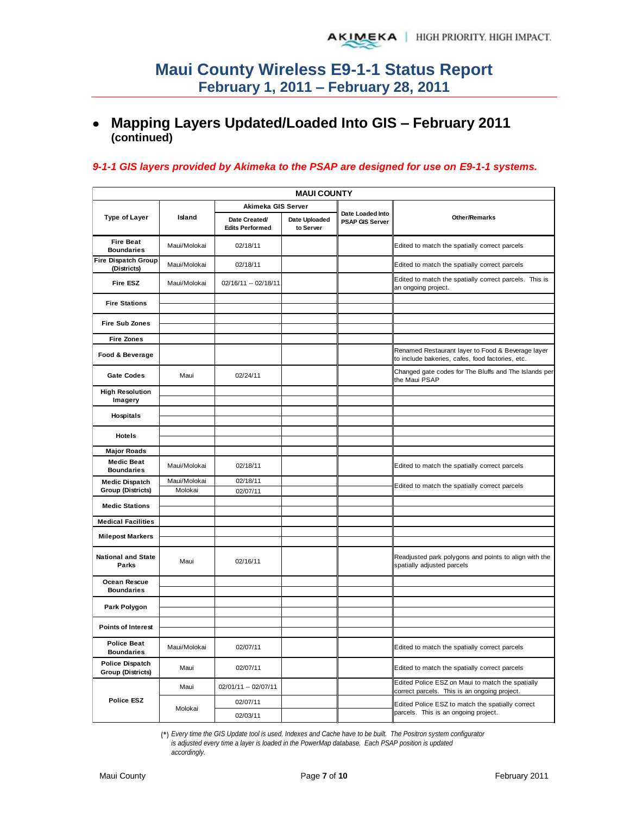# **Mapping Layers Updated/Loaded Into GIS – February 2011 (continued)**

### *9-1-1 GIS layers provided by Akimeka to the PSAP are designed for use on E9-1-1 systems.*

|                                                    | <b>MAUI COUNTY</b>      |                                         |                            |                                            |                                                                                                       |  |  |  |  |  |  |
|----------------------------------------------------|-------------------------|-----------------------------------------|----------------------------|--------------------------------------------|-------------------------------------------------------------------------------------------------------|--|--|--|--|--|--|
|                                                    |                         | Akimeka GIS Server                      |                            |                                            |                                                                                                       |  |  |  |  |  |  |
| <b>Type of Layer</b>                               | Island                  | Date Created/<br><b>Edits Performed</b> | Date Uploaded<br>to Server | Date Loaded Into<br><b>PSAP GIS Server</b> | Other/Remarks                                                                                         |  |  |  |  |  |  |
| <b>Fire Beat</b><br><b>Boundaries</b>              | Maui/Molokai            | 02/18/11                                |                            |                                            | Edited to match the spatially correct parcels                                                         |  |  |  |  |  |  |
| <b>Fire Dispatch Group</b><br>(Districts)          | Maui/Molokai            | 02/18/11                                |                            |                                            | Edited to match the spatially correct parcels                                                         |  |  |  |  |  |  |
| Fire ESZ                                           | Maui/Molokai            | 02/16/11 -- 02/18/11                    |                            |                                            | Edited to match the spatially correct parcels. This is<br>an ongoing project.                         |  |  |  |  |  |  |
| <b>Fire Stations</b>                               |                         |                                         |                            |                                            |                                                                                                       |  |  |  |  |  |  |
| <b>Fire Sub Zones</b>                              |                         |                                         |                            |                                            |                                                                                                       |  |  |  |  |  |  |
| <b>Fire Zones</b>                                  |                         |                                         |                            |                                            |                                                                                                       |  |  |  |  |  |  |
| Food & Beverage                                    |                         |                                         |                            |                                            | Renamed Restaurant layer to Food & Beverage layer<br>to include bakeries, cafes, food factories, etc. |  |  |  |  |  |  |
| <b>Gate Codes</b>                                  | Maui                    | 02/24/11                                |                            |                                            | Changed gate codes for The Bluffs and The Islands per<br>the Maui PSAP                                |  |  |  |  |  |  |
| <b>High Resolution</b><br>Imagery                  |                         |                                         |                            |                                            |                                                                                                       |  |  |  |  |  |  |
| <b>Hospitals</b>                                   |                         |                                         |                            |                                            |                                                                                                       |  |  |  |  |  |  |
| <b>Hotels</b>                                      |                         |                                         |                            |                                            |                                                                                                       |  |  |  |  |  |  |
| <b>Major Roads</b>                                 |                         |                                         |                            |                                            |                                                                                                       |  |  |  |  |  |  |
| <b>Medic Beat</b><br><b>Boundaries</b>             | Maui/Molokai            | 02/18/11                                |                            |                                            | Edited to match the spatially correct parcels                                                         |  |  |  |  |  |  |
| <b>Medic Dispatch</b><br><b>Group (Districts)</b>  | Maui/Molokai<br>Molokai | 02/18/11<br>02/07/11                    |                            |                                            | Edited to match the spatially correct parcels                                                         |  |  |  |  |  |  |
| <b>Medic Stations</b>                              |                         |                                         |                            |                                            |                                                                                                       |  |  |  |  |  |  |
| <b>Medical Facilities</b>                          |                         |                                         |                            |                                            |                                                                                                       |  |  |  |  |  |  |
| <b>Milepost Markers</b>                            |                         |                                         |                            |                                            |                                                                                                       |  |  |  |  |  |  |
| <b>National and State</b><br>Parks                 | Maui                    | 02/16/11                                |                            |                                            | Readjusted park polygons and points to align with the<br>spatially adjusted parcels                   |  |  |  |  |  |  |
| Ocean Rescue<br><b>Boundaries</b>                  |                         |                                         |                            |                                            |                                                                                                       |  |  |  |  |  |  |
| Park Polygon                                       |                         |                                         |                            |                                            |                                                                                                       |  |  |  |  |  |  |
| <b>Points of Interest</b>                          |                         |                                         |                            |                                            |                                                                                                       |  |  |  |  |  |  |
| <b>Police Beat</b><br><b>Boundaries</b>            | Maui/Molokai            | 02/07/11                                |                            |                                            | Edited to match the spatially correct parcels                                                         |  |  |  |  |  |  |
| <b>Police Dispatch</b><br><b>Group (Districts)</b> | Maui                    | 02/07/11                                |                            |                                            | Edited to match the spatially correct parcels                                                         |  |  |  |  |  |  |
|                                                    | Maui                    | 02/01/11 -- 02/07/11                    |                            |                                            | Edited Police ESZ on Maui to match the spatially<br>correct parcels. This is an ongoing project.      |  |  |  |  |  |  |
| <b>Police ESZ</b>                                  | Molokai                 | 02/07/11                                |                            |                                            | Edited Police ESZ to match the spatially correct                                                      |  |  |  |  |  |  |
|                                                    |                         | 02/03/11                                |                            |                                            | parcels. This is an ongoing project.                                                                  |  |  |  |  |  |  |

(\*) *Every time the GIS Update tool is used, Indexes and Cache have to be built. The Positron system configurator is adjusted every time a layer is loaded in the PowerMap database. Each PSAP position is updated accordingly.*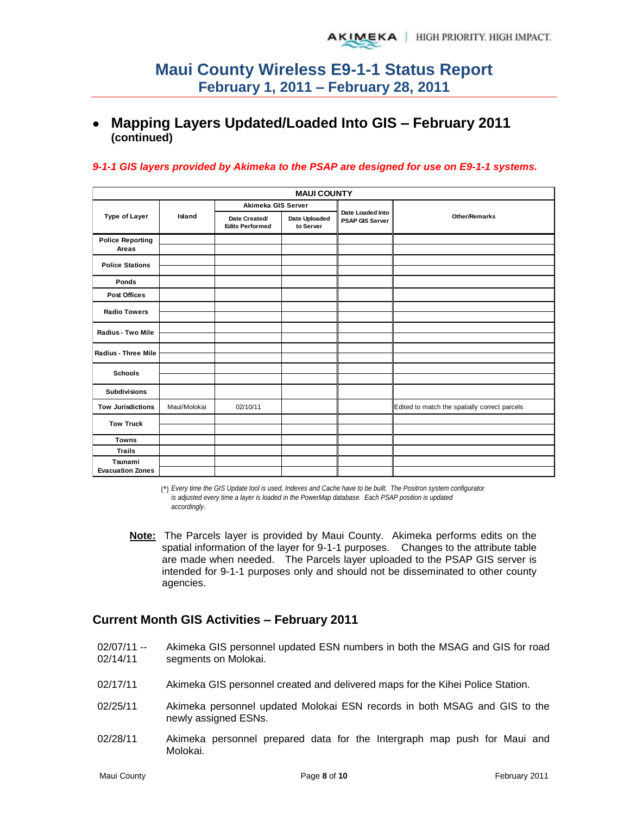# **Mapping Layers Updated/Loaded Into GIS – February 2011 (continued)**

### *9-1-1 GIS layers provided by Akimeka to the PSAP are designed for use on E9-1-1 systems.*

|                                  | <b>MAUI COUNTY</b> |                                         |                            |                                            |                                               |  |  |  |  |  |  |  |
|----------------------------------|--------------------|-----------------------------------------|----------------------------|--------------------------------------------|-----------------------------------------------|--|--|--|--|--|--|--|
|                                  |                    | Akimeka GIS Server                      |                            |                                            |                                               |  |  |  |  |  |  |  |
| Type of Layer                    | Island             | Date Created/<br><b>Edits Performed</b> | Date Uploaded<br>to Server | Date Loaded Into<br><b>PSAP GIS Server</b> | <b>Other/Remarks</b>                          |  |  |  |  |  |  |  |
| <b>Police Reporting</b><br>Areas |                    |                                         |                            |                                            |                                               |  |  |  |  |  |  |  |
| <b>Police Stations</b>           |                    |                                         |                            |                                            |                                               |  |  |  |  |  |  |  |
| Ponds                            |                    |                                         |                            |                                            |                                               |  |  |  |  |  |  |  |
| <b>Post Offices</b>              |                    |                                         |                            |                                            |                                               |  |  |  |  |  |  |  |
| <b>Radio Towers</b>              |                    |                                         |                            |                                            |                                               |  |  |  |  |  |  |  |
|                                  |                    |                                         |                            |                                            |                                               |  |  |  |  |  |  |  |
| <b>Radius - Two Mile</b>         |                    |                                         |                            |                                            |                                               |  |  |  |  |  |  |  |
|                                  |                    |                                         |                            |                                            |                                               |  |  |  |  |  |  |  |
| Radius - Three Mile              |                    |                                         |                            |                                            |                                               |  |  |  |  |  |  |  |
| <b>Schools</b>                   |                    |                                         |                            |                                            |                                               |  |  |  |  |  |  |  |
|                                  |                    |                                         |                            |                                            |                                               |  |  |  |  |  |  |  |
| <b>Subdivisions</b>              |                    |                                         |                            |                                            |                                               |  |  |  |  |  |  |  |
| <b>Tow Jurisdictions</b>         | Maui/Molokai       | 02/10/11                                |                            |                                            | Edited to match the spatially correct parcels |  |  |  |  |  |  |  |
| <b>Tow Truck</b>                 |                    |                                         |                            |                                            |                                               |  |  |  |  |  |  |  |
|                                  |                    |                                         |                            |                                            |                                               |  |  |  |  |  |  |  |
| <b>Towns</b>                     |                    |                                         |                            |                                            |                                               |  |  |  |  |  |  |  |
| <b>Trails</b>                    |                    |                                         |                            |                                            |                                               |  |  |  |  |  |  |  |
| Tsunami                          |                    |                                         |                            |                                            |                                               |  |  |  |  |  |  |  |
| <b>Evacuation Zones</b>          |                    |                                         |                            |                                            |                                               |  |  |  |  |  |  |  |

(\*) *Every time the GIS Update tool is used, Indexes and Cache have to be built. The Positron system configurator is adjusted every time a layer is loaded in the PowerMap database. Each PSAP position is updated accordingly.*

**Note:** The Parcels layer is provided by Maui County. Akimeka performs edits on the spatial information of the layer for 9-1-1 purposes. Changes to the attribute table are made when needed. The Parcels layer uploaded to the PSAP GIS server is intended for 9-1-1 purposes only and should not be disseminated to other county agencies.

## **Current Month GIS Activities – February 2011**

- 02/07/11 -- 02/14/11 Akimeka GIS personnel updated ESN numbers in both the MSAG and GIS for road segments on Molokai.
- 02/17/11 Akimeka GIS personnel created and delivered maps for the Kihei Police Station.
- 02/25/11 Akimeka personnel updated Molokai ESN records in both MSAG and GIS to the newly assigned ESNs.
- 02/28/11 Akimeka personnel prepared data for the Intergraph map push for Maui and Molokai.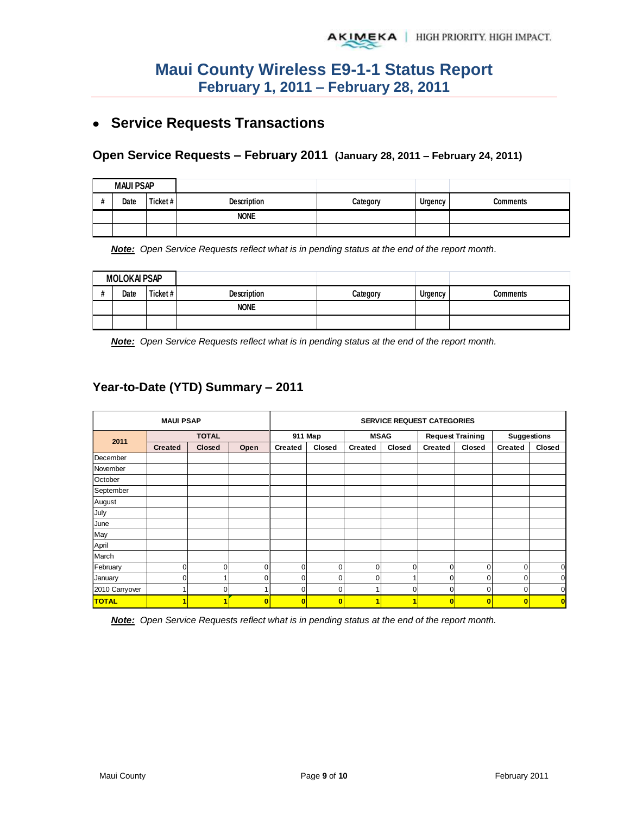# **Service Requests Transactions**

### **Open Service Requests – February 2011 (January 28, 2011 – February 24, 2011)**

|   | <b>MAUI PSAP</b> |         |                    |          |         |          |
|---|------------------|---------|--------------------|----------|---------|----------|
| п | Date             | Ticket# | <b>Description</b> | Category | Urgency | Comments |
|   |                  |         | <b>NONE</b>        |          |         |          |
|   |                  |         |                    |          |         |          |

*Note: Open Service Requests reflect what is in pending status at the end of the report month.* 

| <b>MOLOKAI PSAP</b> |      |          |                    |          |         |          |
|---------------------|------|----------|--------------------|----------|---------|----------|
|                     | Date | Ticket # | <b>Description</b> | Categorv | Urgency | Comments |
|                     |      |          | <b>NONE</b>        |          |         |          |
|                     |      |          |                    |          |         |          |

*Note: Open Service Requests reflect what is in pending status at the end of the report month.* 

## **Year-to-Date (YTD) Summary – 2011**

|                | <b>SERVICE REQUEST CATEGORIES</b> |        |      |                |                         |                |          |                         |                         |                    |        |
|----------------|-----------------------------------|--------|------|----------------|-------------------------|----------------|----------|-------------------------|-------------------------|--------------------|--------|
| 2011           | <b>TOTAL</b>                      |        |      | 911 Map        |                         | <b>MSAG</b>    |          | <b>Request Training</b> |                         | <b>Suggestions</b> |        |
|                | <b>Created</b>                    | Closed | Open | <b>Created</b> | Closed                  | <b>Created</b> | Closed   | <b>Created</b>          | Closed                  | <b>Created</b>     | Closed |
| December       |                                   |        |      |                |                         |                |          |                         |                         |                    |        |
| November       |                                   |        |      |                |                         |                |          |                         |                         |                    |        |
| October        |                                   |        |      |                |                         |                |          |                         |                         |                    |        |
| September      |                                   |        |      |                |                         |                |          |                         |                         |                    |        |
| August         |                                   |        |      |                |                         |                |          |                         |                         |                    |        |
| July           |                                   |        |      |                |                         |                |          |                         |                         |                    |        |
| June           |                                   |        |      |                |                         |                |          |                         |                         |                    |        |
| May            |                                   |        |      |                |                         |                |          |                         |                         |                    |        |
| April          |                                   |        |      |                |                         |                |          |                         |                         |                    |        |
| March          |                                   |        |      |                |                         |                |          |                         |                         |                    |        |
| February       | 0                                 | n      |      |                | $\Omega$                | $\Omega$       | $\Omega$ | $\Omega$                | 0                       | $\Omega$           | 0      |
| January        | 0                                 |        |      |                | 0                       | O              |          | 0                       | 0                       | 0                  | O      |
| 2010 Carryover | 1                                 |        |      |                | 0                       |                | $\Omega$ | 0                       | 0                       | $\mathbf 0$        | 0      |
| <b>TOTAL</b>   | $\blacksquare$                    |        | o    | $\bf{0}$       | $\overline{\mathbf{0}}$ |                | ٠        | $\overline{\mathbf{0}}$ | $\overline{\mathbf{0}}$ | $\overline{0}$     | O      |

*Note: Open Service Requests reflect what is in pending status at the end of the report month.*